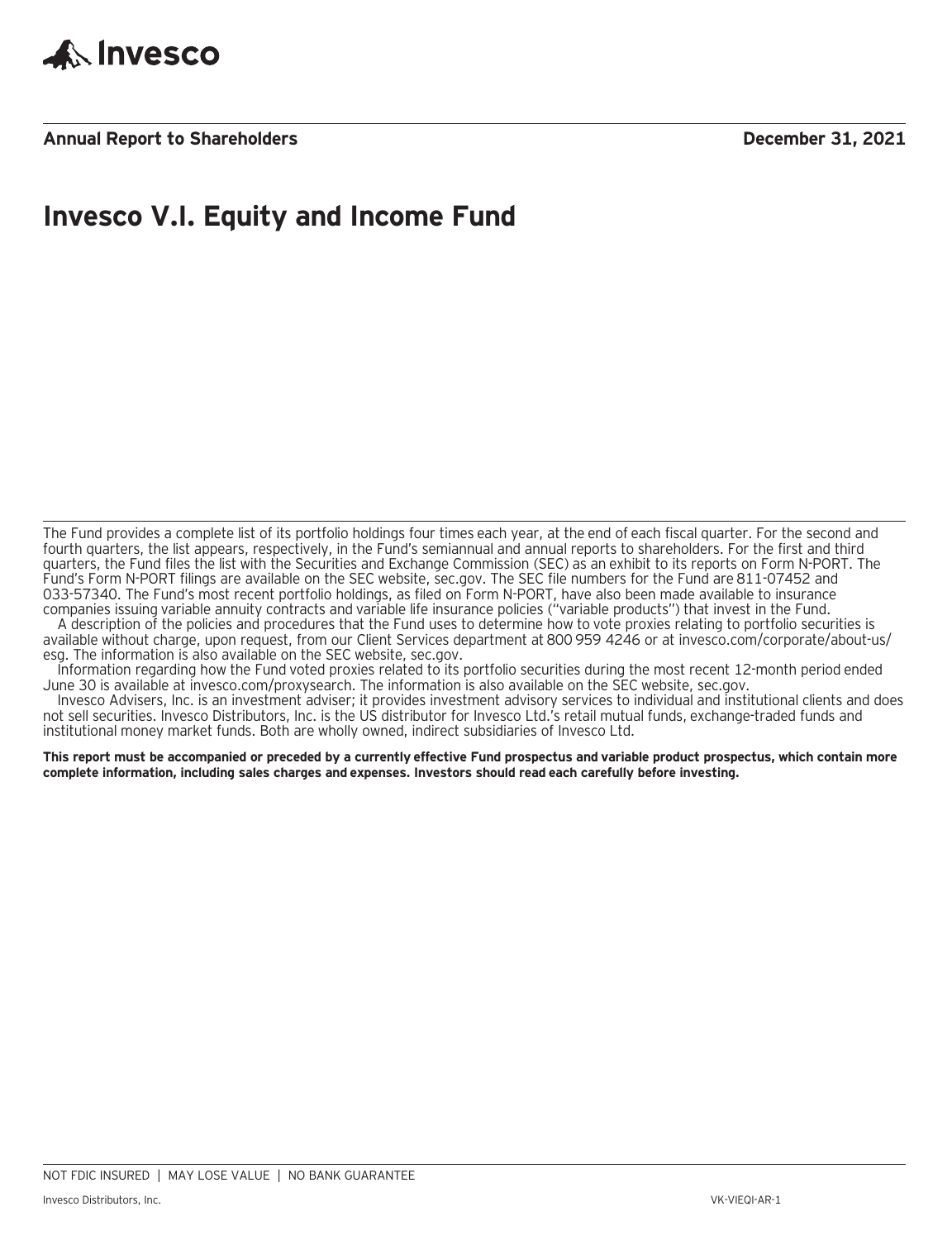

**Annual Report to Shareholders December 31, 2021**

### **Invesco V.I. Equity and Income Fund**

The Fund provides a complete list of its portfolio holdings four times each year, at the end of each fiscal quarter. For the second and fourth quarters, the list appears, respectively, in the Fund's semiannual and annual reports to shareholders. For the first and third quarters, the Fund files the list with the Securities and Exchange Commission (SEC) as an exhibit to its reports on Form N-PORT. The Fund's Form N-PORT filings are available on the SEC website, sec.gov. The SEC file numbers for the Fund are 811-07452 and 033-57340. The Fund's most recent portfolio holdings, as filed on Form N-PORT, have also been made available to insurance companies issuing variable annuity contracts and variable life insurance policies ("variable products") that invest in the Fund.

A description of the policies and procedures that the Fund uses to determine how to vote proxies relating to portfolio securities is available without charge, upon request, from our Client Services department at 800 959 4246 or at invesco.com/corporate/about-us/ esg. The information is also available on the SEC website, sec.gov.

Information regarding how the Fund voted proxies related to its portfolio securities during the most recent 12-month period ended June 30 is available at invesco.com/proxysearch. The information is also available on the SEC website, sec.gov.

Invesco Advisers, Inc. is an investment adviser; it provides investment advisory services to individual and institutional clients and does not sell securities. Invesco Distributors, Inc. is the US distributor for Invesco Ltd.'s retail mutual funds, exchange-traded funds and institutional money market funds. Both are wholly owned, indirect subsidiaries of Invesco Ltd.

**This report must be accompanied or preceded by a currently effective Fund prospectus and variable product prospectus, which contain more complete information, including sales charges and expenses. Investors should read each carefully before investing.**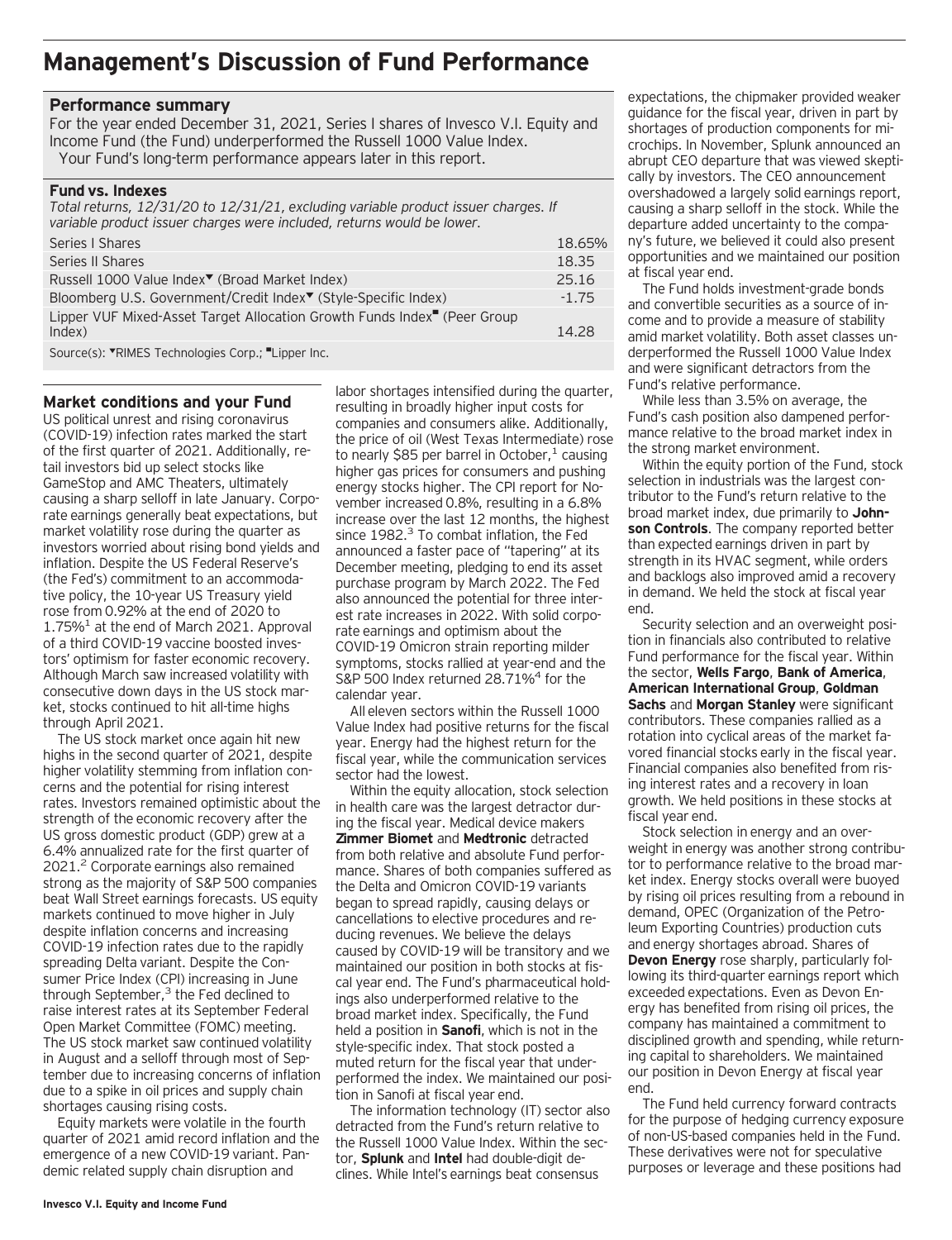### **Management's Discussion of Fund Performance**

#### **Performance summary**

For the year ended December 31, 2021, Series I shares of Invesco V.I. Equity and Income Fund (the Fund) underperformed the Russell 1000 Value Index. Your Fund's long-term performance appears later in this report.

#### **Fund vs. Indexes**

| Total returns, 12/31/20 to 12/31/21, excluding variable product issuer charges. If<br>variable product issuer charges were included, returns would be lower.                                                                                                                                                                                                                                                                                                                       |         |
|------------------------------------------------------------------------------------------------------------------------------------------------------------------------------------------------------------------------------------------------------------------------------------------------------------------------------------------------------------------------------------------------------------------------------------------------------------------------------------|---------|
| Series   Shares                                                                                                                                                                                                                                                                                                                                                                                                                                                                    | 18.65%  |
| Series II Shares                                                                                                                                                                                                                                                                                                                                                                                                                                                                   | 18.35   |
| Russell 1000 Value Index <sup>▼</sup> (Broad Market Index)                                                                                                                                                                                                                                                                                                                                                                                                                         | 25.16   |
| Bloomberg U.S. Government/Credit Index <sup>▼</sup> (Style-Specific Index)                                                                                                                                                                                                                                                                                                                                                                                                         | $-1.75$ |
| Lipper VUF Mixed-Asset Target Allocation Growth Funds Index <sup>"</sup> (Peer Group                                                                                                                                                                                                                                                                                                                                                                                               |         |
| Index)                                                                                                                                                                                                                                                                                                                                                                                                                                                                             | 14.28   |
| $C_{\text{Our}(\text{c})}$ $\bullet$ $\blacksquare$ $\blacksquare$ $\blacksquare$ $\blacksquare$ $\blacksquare$ $\blacksquare$ $\blacksquare$ $\blacksquare$ $\blacksquare$ $\blacksquare$ $\blacksquare$ $\blacksquare$ $\blacksquare$ $\blacksquare$ $\blacksquare$ $\blacksquare$ $\blacksquare$ $\blacksquare$ $\blacksquare$ $\blacksquare$ $\blacksquare$ $\blacksquare$ $\blacksquare$ $\blacksquare$ $\blacksquare$ $\blacksquare$ $\blacksquare$ $\blacksquare$ $\blacks$ |         |

Source(s): VRIMES Technologies Corp.; "Lipper Inc.

#### **Market conditions and your Fund**

US political unrest and rising coronavirus (COVID-19) infection rates marked the start of the first quarter of 2021. Additionally, retail investors bid up select stocks like GameStop and AMC Theaters, ultimately causing a sharp selloff in late January. Corporate earnings generally beat expectations, but market volatility rose during the quarter as investors worried about rising bond yields and inflation. Despite the US Federal Reserve's (the Fed's) commitment to an accommodative policy, the 10-year US Treasury yield rose from 0.92% at the end of 2020 to  $1.75\%$ <sup>1</sup> at the end of March 2021. Approval of a third COVID-19 vaccine boosted investors' optimism for faster economic recovery. Although March saw increased volatility with consecutive down days in the US stock market, stocks continued to hit all-time highs through April 2021.

The US stock market once again hit new highs in the second quarter of 2021, despite higher volatility stemming from inflation concerns and the potential for rising interest rates. Investors remained optimistic about the strength of the economic recovery after the US gross domestic product (GDP) grew at a 6.4% annualized rate for the first quarter of 2021.2 Corporate earnings also remained strong as the majority of S&P 500 companies beat Wall Street earnings forecasts. US equity markets continued to move higher in July despite inflation concerns and increasing COVID-19 infection rates due to the rapidly spreading Delta variant. Despite the Consumer Price Index (CPI) increasing in June through September, $3$  the Fed declined to raise interest rates at its September Federal Open Market Committee (FOMC) meeting. The US stock market saw continued volatility in August and a selloff through most of September due to increasing concerns of inflation due to a spike in oil prices and supply chain shortages causing rising costs.

Equity markets were volatile in the fourth quarter of 2021 amid record inflation and the emergence of a new COVID-19 variant. Pandemic related supply chain disruption and

labor shortages intensified during the quarter, resulting in broadly higher input costs for companies and consumers alike. Additionally, the price of oil (West Texas Intermediate) rose to nearly \$85 per barrel in October, $<sup>1</sup>$  causing</sup> higher gas prices for consumers and pushing energy stocks higher. The CPI report for November increased 0.8%, resulting in a 6.8% increase over the last 12 months, the highest since  $1982<sup>3</sup>$  To combat inflation, the Fed announced a faster pace of "tapering" at its December meeting, pledging to end its asset purchase program by March 2022. The Fed also announced the potential for three interest rate increases in 2022. With solid corporate earnings and optimism about the COVID-19 Omicron strain reporting milder symptoms, stocks rallied at year-end and the S&P 500 Index returned 28.71%<sup>4</sup> for the calendar year.

All eleven sectors within the Russell 1000 Value Index had positive returns for the fiscal year. Energy had the highest return for the fiscal year, while the communication services sector had the lowest.

Within the equity allocation, stock selection in health care was the largest detractor during the fiscal year. Medical device makers **Zimmer Biomet** and **Medtronic** detracted from both relative and absolute Fund performance. Shares of both companies suffered as the Delta and Omicron COVID-19 variants began to spread rapidly, causing delays or cancellations to elective procedures and reducing revenues. We believe the delays caused by COVID-19 will be transitory and we maintained our position in both stocks at fiscal year end. The Fund's pharmaceutical holdings also underperformed relative to the broad market index. Specifically, the Fund held a position in **Sanofi**, which is not in the style-specific index. That stock posted a muted return for the fiscal year that underperformed the index. We maintained our position in Sanofi at fiscal year end.

The information technology (IT) sector also detracted from the Fund's return relative to the Russell 1000 Value Index. Within the sector, **Splunk** and **Intel** had double-digit declines. While Intel's earnings beat consensus

expectations, the chipmaker provided weaker guidance for the fiscal year, driven in part by shortages of production components for microchips. In November, Splunk announced an abrupt CEO departure that was viewed skeptically by investors. The CEO announcement overshadowed a largely solid earnings report, causing a sharp selloff in the stock. While the departure added uncertainty to the company's future, we believed it could also present opportunities and we maintained our position at fiscal year end.

The Fund holds investment-grade bonds and convertible securities as a source of income and to provide a measure of stability amid market volatility. Both asset classes underperformed the Russell 1000 Value Index and were significant detractors from the Fund's relative performance.

While less than 3.5% on average, the Fund's cash position also dampened performance relative to the broad market index in the strong market environment.

Within the equity portion of the Fund, stock selection in industrials was the largest contributor to the Fund's return relative to the broad market index, due primarily to **Johnson Controls**. The company reported better than expected earnings driven in part by strength in its HVAC segment, while orders and backlogs also improved amid a recovery in demand. We held the stock at fiscal year end.

Security selection and an overweight position in financials also contributed to relative Fund performance for the fiscal year. Within the sector, **Wells Fargo**, **Bank of America**, **American International Group**, **Goldman Sachs** and **Morgan Stanley** were significant contributors. These companies rallied as a rotation into cyclical areas of the market favored financial stocks early in the fiscal year. Financial companies also benefited from rising interest rates and a recovery in loan growth. We held positions in these stocks at fiscal year end.

Stock selection in energy and an overweight in energy was another strong contributor to performance relative to the broad market index. Energy stocks overall were buoyed by rising oil prices resulting from a rebound in demand, OPEC (Organization of the Petroleum Exporting Countries) production cuts and energy shortages abroad. Shares of **Devon Energy** rose sharply, particularly following its third-quarter earnings report which exceeded expectations. Even as Devon Energy has benefited from rising oil prices, the company has maintained a commitment to disciplined growth and spending, while returning capital to shareholders. We maintained our position in Devon Energy at fiscal year end.

The Fund held currency forward contracts for the purpose of hedging currency exposure of non-US-based companies held in the Fund. These derivatives were not for speculative purposes or leverage and these positions had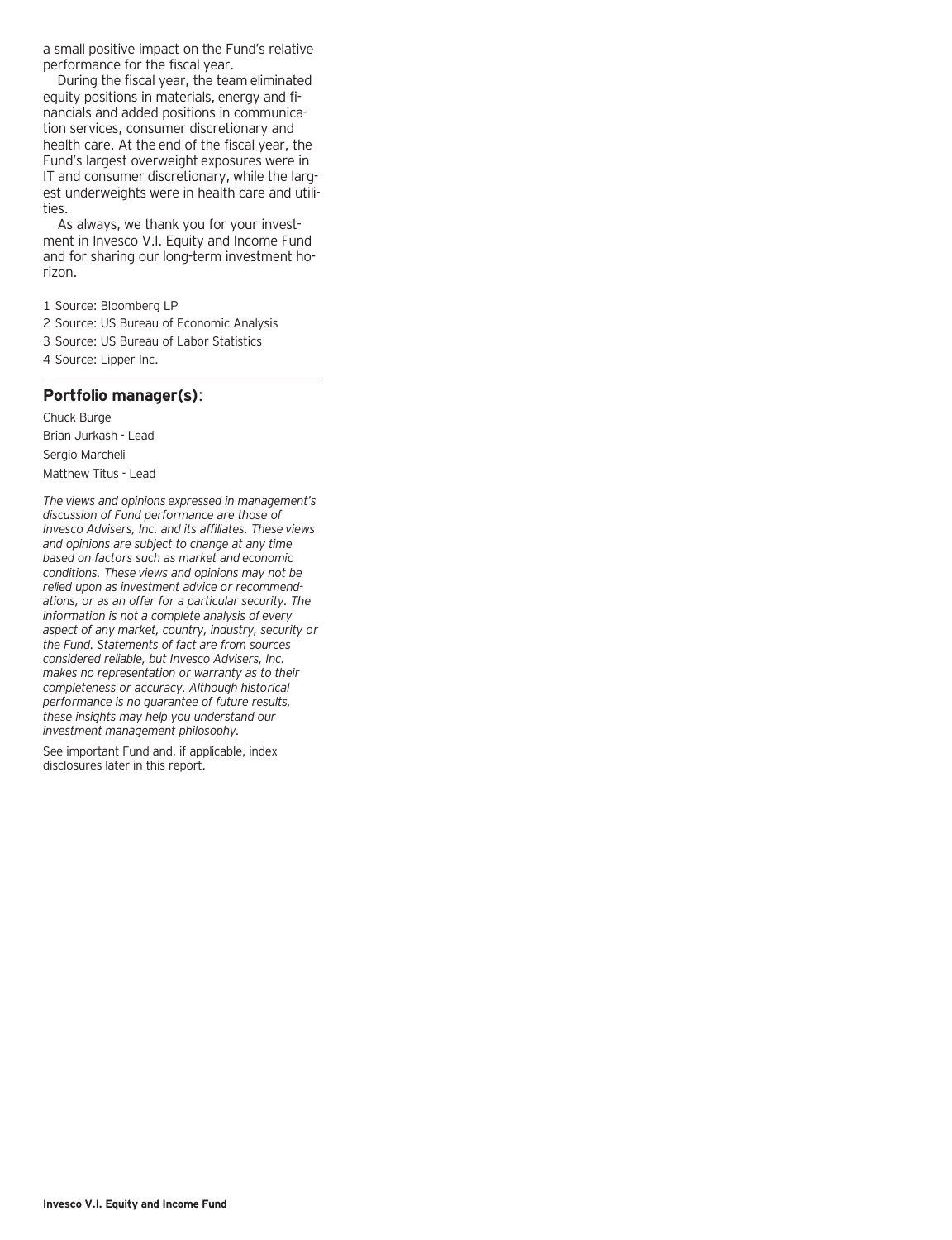a small positive impact on the Fund's relative performance for the fiscal year.

During the fiscal year, the team eliminated equity positions in materials, energy and financials and added positions in communication services, consumer discretionary and health care. At the end of the fiscal year, the Fund's largest overweight exposures were in IT and consumer discretionary, while the largest underweights were in health care and utilities.

As always, we thank you for your investment in Invesco V.I. Equity and Income Fund and for sharing our long-term investment horizon.

1 Source: Bloomberg LP

2 Source: US Bureau of Economic Analysis

3 Source: US Bureau of Labor Statistics

4 Source: Lipper Inc.

#### **Portfolio manager(s)**:

Chuck Burge Brian Jurkash - Lead Sergio Marcheli Matthew Titus - Lead

*The views and opinions expressed in management's discussion of Fund performance are those of Invesco Advisers, Inc. and its affiliates. These views and opinions are subject to change at any time based on factors such as market and economic conditions. These views and opinions may not be relied upon as investment advice or recommendations, or as an offer for a particular security. The information is not a complete analysis of every aspect of any market, country, industry, security or the Fund. Statements of fact are from sources considered reliable, but Invesco Advisers, Inc. makes no representation or warranty as to their completeness or accuracy. Although historical performance is no guarantee of future results, these insights may help you understand our investment management philosophy.*

See important Fund and, if applicable, index disclosures later in this report.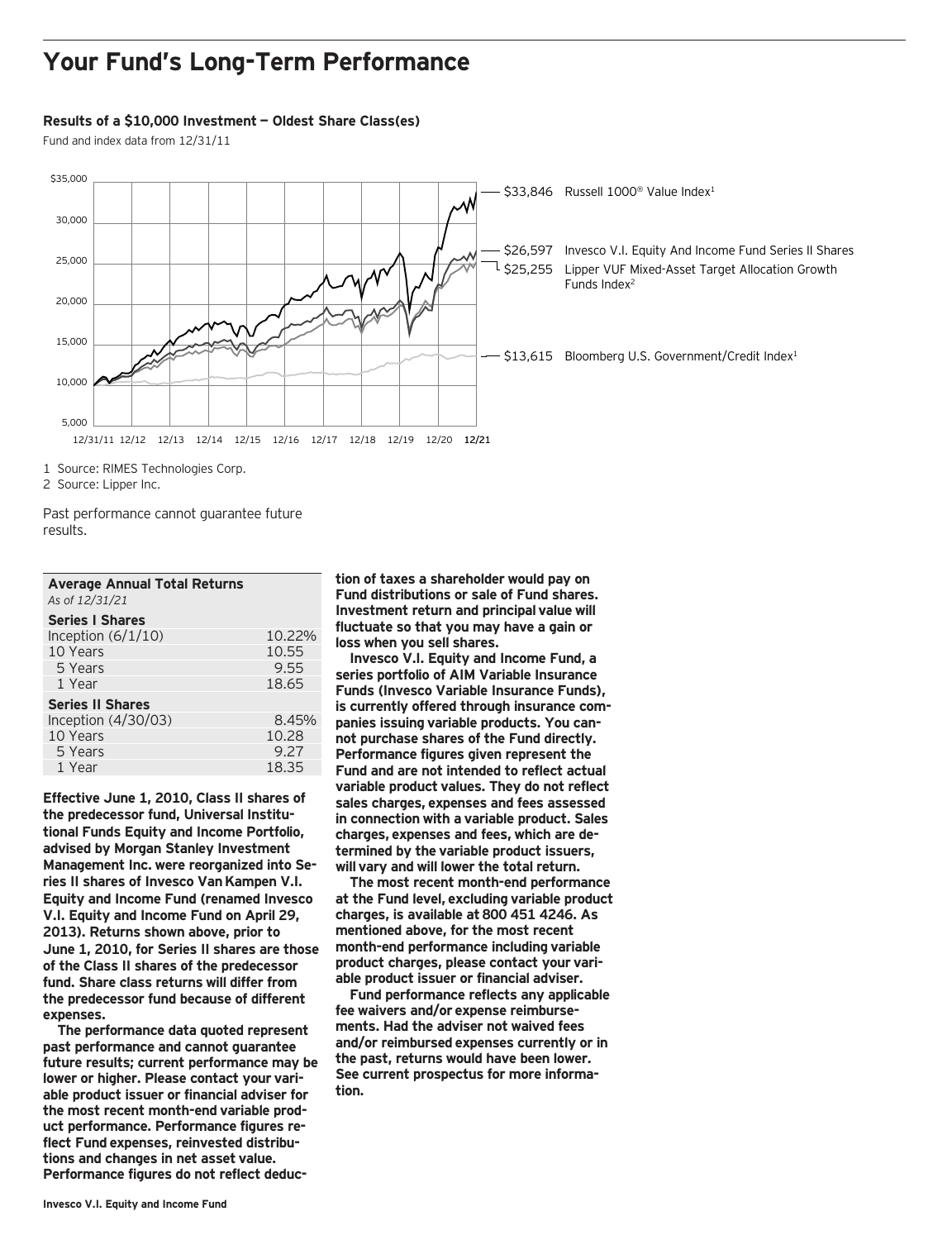### **Your Fund's Long-Term Performance**

#### **Results of a \$10,000 Investment — Oldest Share Class(es)**

Fund and index data from 12/31/11



2 Source: Lipper Inc.

1 Year

Past performance cannot guarantee future results.

| <b>Average Annual Total Returns</b><br>As of 12/31/21 |        |
|-------------------------------------------------------|--------|
| <b>Series I Shares</b>                                |        |
| Inception $(6/1/10)$                                  | 10.22% |
| 10 Years                                              | 10.55  |
| 5 Years                                               | 9.55   |
| 1 Year                                                | 18.65  |
| <b>Series II Shares</b>                               |        |
| Inception $(4/30/03)$                                 | 8.45%  |
| 10 Years                                              | 10.28  |
|                                                       |        |

5 Years 9.27<br>1 Year 19.35

**Effective June 1, 2010, Class II shares of the predecessor fund, Universal Institutional Funds Equity and Income Portfolio, advised by Morgan Stanley Investment Management Inc. were reorganized into Series II shares of Invesco Van Kampen V.I. Equity and Income Fund (renamed Invesco V.I. Equity and Income Fund on April 29, 2013). Returns shown above, prior to June 1, 2010, for Series II shares are those of the Class II shares of the predecessor fund. Share class returns will differ from the predecessor fund because of different expenses.**

**The performance data quoted represent past performance and cannot guarantee future results; current performance may be lower or higher. Please contact your variable product issuer or financial adviser for the most recent month-end variable product performance. Performance figures reflect Fund expenses, reinvested distributions and changes in net asset value. Performance figures do not reflect deduc-** **tion of taxes a shareholder would pay on Fund distributions or sale of Fund shares. Investment return and principal value will fluctuate so that you may have a gain or loss when you sell shares.**

**Invesco V.I. Equity and Income Fund, a series portfolio of AIM Variable Insurance Funds (Invesco Variable Insurance Funds), is currently offered through insurance companies issuing variable products. You cannot purchase shares of the Fund directly. Performance figures given represent the Fund and are not intended to reflect actual variable product values. They do not reflect sales charges, expenses and fees assessed in connection with a variable product. Sales charges, expenses and fees, which are determined by the variable product issuers, will vary and will lower the total return.**

**The most recent month-end performance at the Fund level, excluding variable product charges, is available at 800 451 4246. As mentioned above, for the most recent month-end performance including variable product charges, please contact your variable product issuer or financial adviser.**

**Fund performance reflects any applicable fee waivers and/or expense reimbursements. Had the adviser not waived fees and/or reimbursed expenses currently or in the past, returns would have been lower. See current prospectus for more information.**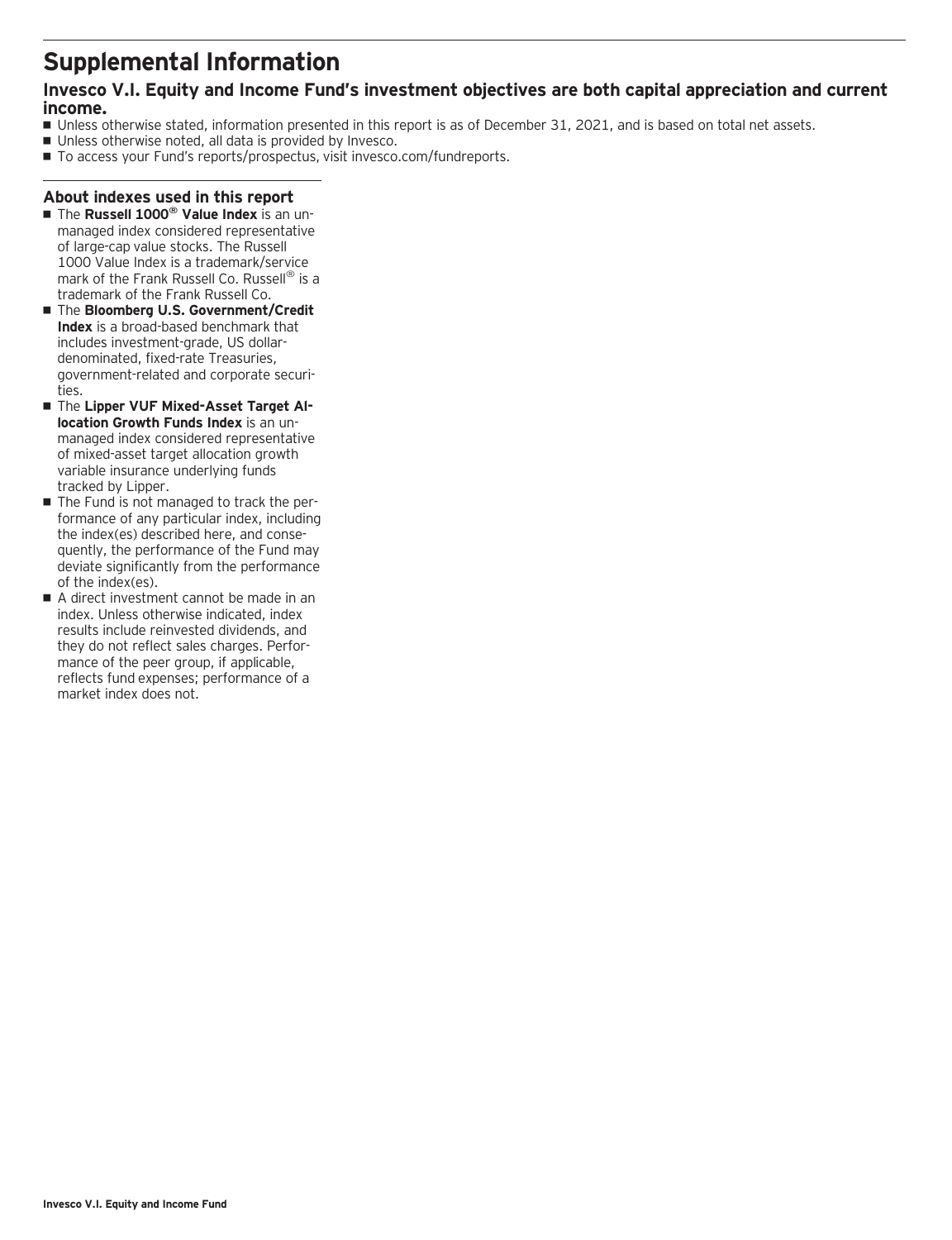### **Supplemental Information**

### **Invesco V.I. Equity and Income Fund's investment objectives are both capital appreciation and current income.**

- Unless otherwise stated, information presented in this report is as of December 31, 2021, and is based on total net assets.
- Unless otherwise noted, all data is provided by Invesco.
- To access your Fund's reports/prospectus, visit invesco.com/fundreports.

#### **About indexes used in this report**

- The Russell 1000<sup>®</sup> Value Index is an unmanaged index considered representative of large-cap value stocks. The Russell 1000 Value Index is a trademark/service mark of the Frank Russell Co. Russell<sup>®</sup> is a trademark of the Frank Russell Co.
- The **Bloomberg U.S. Government/Credit Index** is a broad-based benchmark that includes investment-grade, US dollardenominated, fixed-rate Treasuries, government-related and corporate securities.
- **The Lipper VUF Mixed-Asset Target Allocation Growth Funds Index** is an unmanaged index considered representative of mixed-asset target allocation growth variable insurance underlying funds tracked by Lipper.
- The Fund is not managed to track the performance of any particular index, including the index(es) described here, and consequently, the performance of the Fund may deviate significantly from the performance of the index(es).
- A direct investment cannot be made in an index. Unless otherwise indicated, index results include reinvested dividends, and they do not reflect sales charges. Performance of the peer group, if applicable, reflects fund expenses; performance of a market index does not.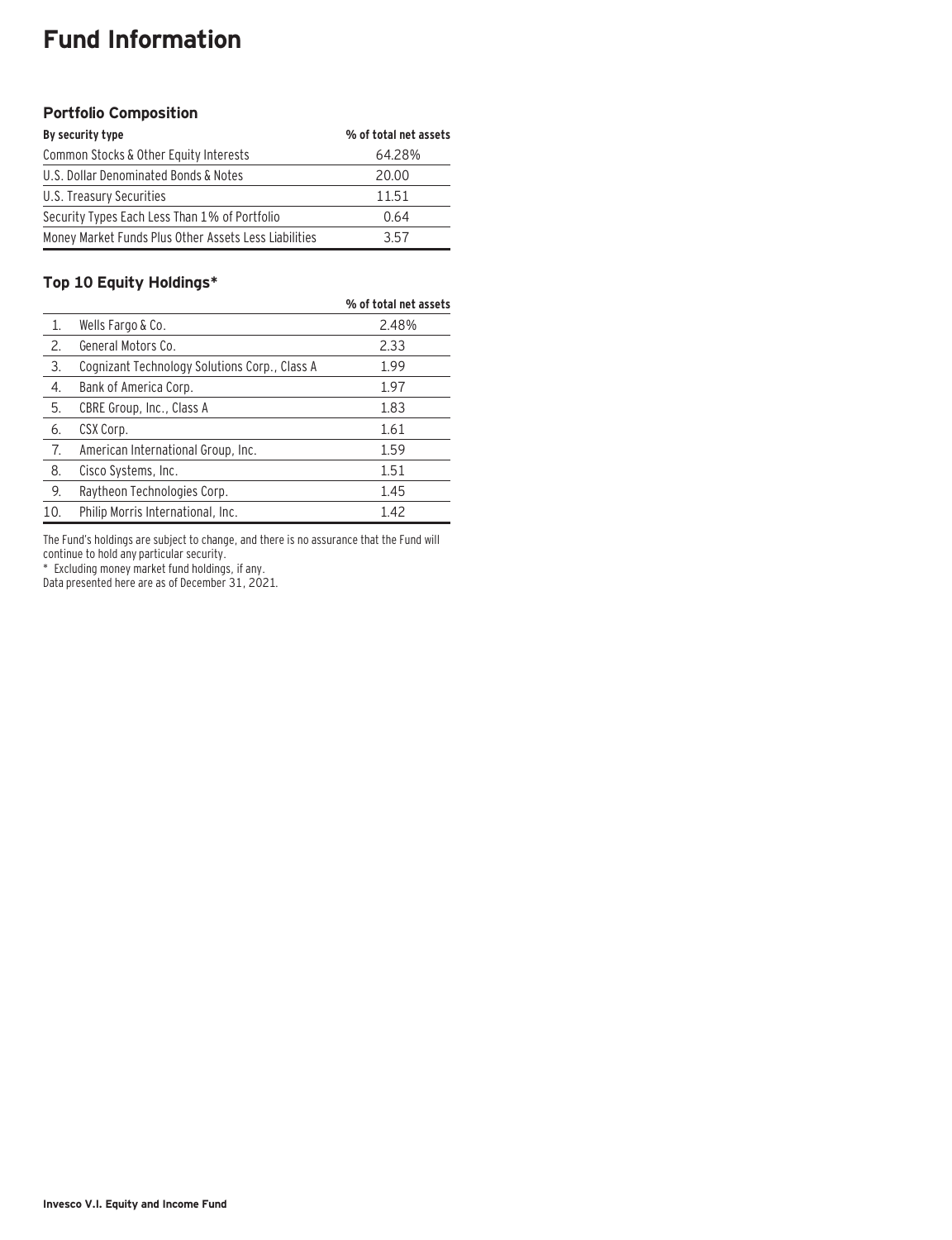### **Fund Information**

#### **Portfolio Composition**

| By security type                                      | % of total net assets |
|-------------------------------------------------------|-----------------------|
| Common Stocks & Other Equity Interests                | 64.28%                |
| U.S. Dollar Denominated Bonds & Notes                 | 20.00                 |
| U.S. Treasury Securities                              | 11.51                 |
| Security Types Each Less Than 1% of Portfolio         | 0.64                  |
| Money Market Funds Plus Other Assets Less Liabilities | 357                   |

### **Top 10 Equity Holdings\***

|     |                                               | % of total net assets |
|-----|-----------------------------------------------|-----------------------|
| 1.  | Wells Fargo & Co.                             | 2.48%                 |
| 2.  | General Motors Co.                            | 2.33                  |
| 3.  | Cognizant Technology Solutions Corp., Class A | 1.99                  |
| 4.  | Bank of America Corp.                         | 1.97                  |
| 5.  | CBRE Group, Inc., Class A                     | 1.83                  |
| 6.  | CSX Corp.                                     | 1.61                  |
| 7.  | American International Group, Inc.            | 1.59                  |
| 8.  | Cisco Systems, Inc.                           | 1.51                  |
| 9.  | Raytheon Technologies Corp.                   | 1.45                  |
| 10. | Philip Morris International, Inc.             | 1.42                  |

The Fund's holdings are subject to change, and there is no assurance that the Fund will continue to hold any particular security.

\* Excluding money market fund holdings, if any.

Data presented here are as of December 31, 2021.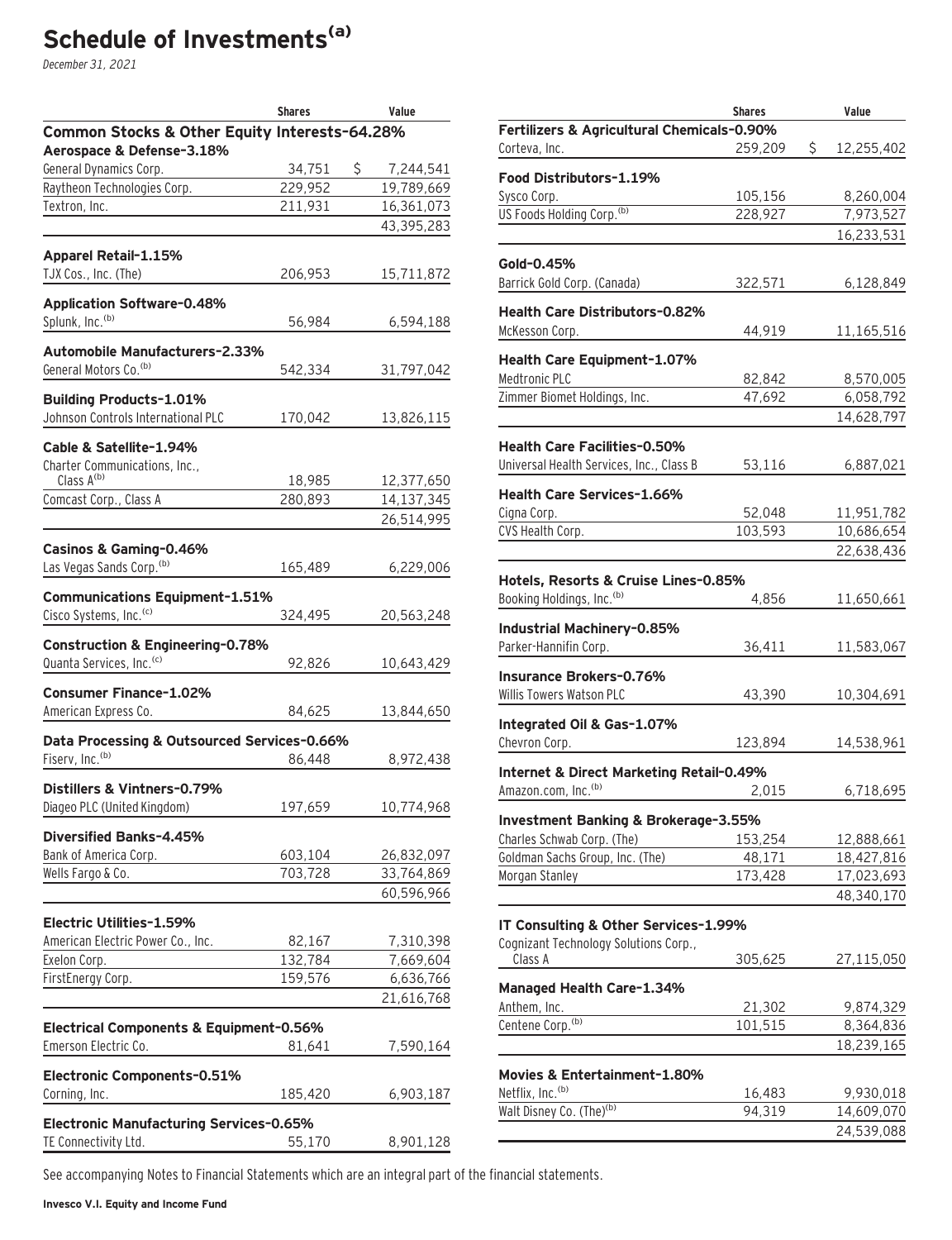### **Schedule of Investments(a)**

December 31, 2021

|                                                                             | <b>Shares</b> | Value           |
|-----------------------------------------------------------------------------|---------------|-----------------|
| Common Stocks & Other Equity Interests-64.28%                               |               |                 |
| Aerospace & Defense-3.18%                                                   |               |                 |
| General Dynamics Corp.                                                      | 34,751        | \$<br>7,244,541 |
| Raytheon Technologies Corp.                                                 | 229,952       | 19,789,669      |
| Textron, Inc.                                                               | 211,931       | 16,361,073      |
|                                                                             |               | 43,395,283      |
| Apparel Retail-1.15%                                                        |               |                 |
| TJX Cos., Inc. (The)                                                        | 206,953       | 15,711,872      |
|                                                                             |               |                 |
| <b>Application Software-0.48%</b><br>Splunk, Inc. <sup>(b)</sup>            | 56,984        | 6,594,188       |
|                                                                             |               |                 |
| Automobile Manufacturers-2.33%                                              |               |                 |
| General Motors Co. <sup>(b)</sup>                                           | 542,334       | 31,797,042      |
| <b>Building Products-1.01%</b>                                              |               |                 |
| Johnson Controls International PLC                                          | 170,042       | 13,826,115      |
| Cable & Satellite-1.94%                                                     |               |                 |
| Charter Communications, Inc.,                                               |               |                 |
| Class A(b)                                                                  | 18,985        | 12,377,650      |
| Comcast Corp., Class A                                                      | 280,893       | 14,137,345      |
|                                                                             |               | 26,514,995      |
| Casinos & Gaming-0.46%                                                      |               |                 |
| Las Vegas Sands Corp. (b)                                                   | 165,489       | 6,229,006       |
|                                                                             |               |                 |
| <b>Communications Equipment-1.51%</b><br>Cisco Systems, Inc. <sup>(c)</sup> | 324,495       | 20,563,248      |
|                                                                             |               |                 |
| Construction & Engineering-0.78%                                            |               |                 |
| Quanta Services, Inc. <sup>(c)</sup>                                        | 92,826        | 10,643,429      |
| <b>Consumer Finance-1.02%</b>                                               |               |                 |
| American Express Co.                                                        | 84,625        | 13,844,650      |
| Data Processing & Outsourced Services-0.66%                                 |               |                 |
| Fiserv, Inc. <sup>(b)</sup>                                                 | 86,448        | 8,972,438       |
|                                                                             |               |                 |
| Distillers & Vintners-0.79%                                                 |               |                 |
| Diageo PLC (United Kingdom)                                                 | 197,659       | 10,774,968      |
| Diversified Banks-4.45%                                                     |               |                 |
| Bank of America Corp.                                                       | 603,104       | 26,832,097      |
| Wells Fargo & Co.                                                           | 703,728       | 33,764,869      |
|                                                                             |               | 60,596,966      |
| Electric Utilities-1.59%                                                    |               |                 |
| American Electric Power Co., Inc.                                           | 82,167        | 7,310,398       |
| Exelon Corp.                                                                | 132,784       | 7,669,604       |
| FirstEnergy Corp.                                                           | 159,576       | 6,636,766       |
|                                                                             |               | 21,616,768      |
| Electrical Components & Equipment-0.56%                                     |               |                 |
| Emerson Electric Co.                                                        | 81,641        | 7,590,164       |
|                                                                             |               |                 |
| Electronic Components-0.51%                                                 |               |                 |
| Corning, Inc.                                                               | 185,420       | 6,903,187       |
| Electronic Manufacturing Services-0.65%                                     |               |                 |
| TE Connectivity Ltd.                                                        | 55,170        | 8,901,128       |

|                                                                    | <b>Shares</b> | Value            |
|--------------------------------------------------------------------|---------------|------------------|
| Fertilizers & Agricultural Chemicals-0.90%                         |               |                  |
| Corteva, Inc.                                                      | 259,209       | \$<br>12,255,402 |
| Food Distributors-1.19%                                            |               |                  |
| Sysco Corp.                                                        | 105,156       | 8,260,004        |
| US Foods Holding Corp. <sup>(b)</sup>                              | 228,927       | 7,973,527        |
|                                                                    |               | 16,233,531       |
|                                                                    |               |                  |
| Gold-0.45%                                                         |               |                  |
| Barrick Gold Corp. (Canada)                                        | 322,571       | 6,128,849        |
| <b>Health Care Distributors-0.82%</b>                              |               |                  |
| McKesson Corp.                                                     | 44,919        | 11,165,516       |
|                                                                    |               |                  |
| Health Care Equipment-1.07%                                        |               |                  |
| Medtronic PLC                                                      | 82,842        | 8,570,005        |
| Zimmer Biomet Holdings, Inc.                                       | 47,692        | 6,058,792        |
|                                                                    |               | 14,628,797       |
| <b>Health Care Facilities-0.50%</b>                                |               |                  |
| Universal Health Services, Inc., Class B                           | 53,116        | 6,887,021        |
|                                                                    |               |                  |
| <b>Health Care Services-1.66%</b>                                  |               |                  |
| Cigna Corp.                                                        | 52,048        | 11,951,782       |
| CVS Health Corp.                                                   | 103,593       | 10,686,654       |
|                                                                    |               | 22,638,436       |
| Hotels, Resorts & Cruise Lines-0.85%                               |               |                  |
| Booking Holdings, Inc. (b)                                         | 4,856         | 11,650,661       |
|                                                                    |               |                  |
| Industrial Machinery-0.85%                                         |               |                  |
| Parker-Hannifin Corp.                                              | 36,411        | 11,583,067       |
| Insurance Brokers-0.76%                                            |               |                  |
| Willis Towers Watson PLC                                           | 43,390        | 10,304,691       |
|                                                                    |               |                  |
| Integrated Oil & Gas-1.07%                                         |               |                  |
| Chevron Corp.                                                      | 123,894       | 14,538,961       |
| Internet & Direct Marketing Retail-0.49%                           |               |                  |
| Amazon.com, Inc. <sup>(b)</sup>                                    | 2,015         | 6,718,695        |
|                                                                    |               |                  |
| Investment Banking & Brokerage-3.55%<br>Charles Schwab Corp. (The) | 153,254       | 12,888,661       |
| Goldman Sachs Group, Inc. (The)                                    | 48,171        | 18,427,816       |
| Morgan Stanley                                                     | 173,428       | 17,023,693       |
|                                                                    |               | 48,340,170       |
|                                                                    |               |                  |
| IT Consulting & Other Services-1.99%                               |               |                  |
| Cognizant Technology Solutions Corp.,                              |               |                  |
| Class A                                                            | 305,625       | 27,115,050       |
| Managed Health Care-1.34%                                          |               |                  |
| Anthem, Inc.                                                       | 21,302        | 9,874,329        |
| Centene Corp. <sup>(b)</sup>                                       | 101,515       | 8,364,836        |
|                                                                    |               | 18,239,165       |
|                                                                    |               |                  |
| Movies & Entertainment-1.80%                                       |               |                  |
| Netflix, Inc. <sup>(b)</sup>                                       | 16,483        | 9,930,018        |
| Walt Disney Co. (The) <sup>(b)</sup>                               | 94,319        | 14,609,070       |
|                                                                    |               | 24,539,088       |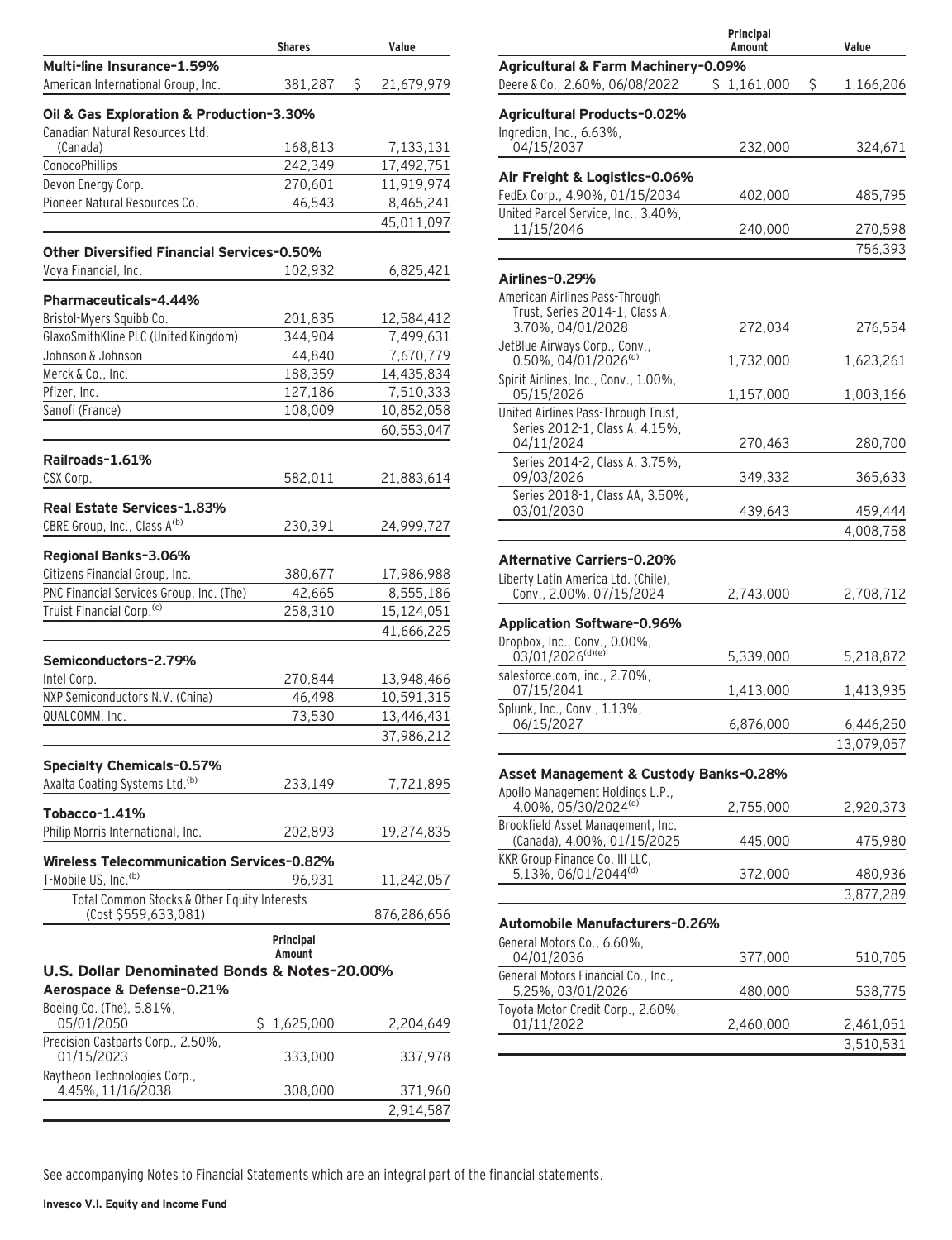|                                                                                | <b>Shares</b>   | Value                   |
|--------------------------------------------------------------------------------|-----------------|-------------------------|
| Multi-line Insurance-1.59%                                                     |                 |                         |
| American International Group, Inc.                                             | 381,287         | \$<br>21,679,979        |
| Oil & Gas Exploration & Production-3.30%                                       |                 |                         |
| Canadian Natural Resources Ltd.                                                |                 |                         |
| (Canada)                                                                       | 168,813         | 7,133,131               |
| ConocoPhillips                                                                 | 242,349         | 17,492,751              |
| Devon Energy Corp.<br>Pioneer Natural Resources Co.                            | 270,601         | 11,919,974<br>8,465,241 |
|                                                                                | 46,543          | 45,011,097              |
|                                                                                |                 |                         |
| <b>Other Diversified Financial Services-0.50%</b>                              |                 |                         |
| Voya Financial, Inc.                                                           | 102,932         | 6,825,421               |
| <b>Pharmaceuticals-4.44%</b>                                                   |                 |                         |
| Bristol-Myers Squibb Co.                                                       | 201,835         | 12,584,412              |
| GlaxoSmithKline PLC (United Kingdom)                                           | 344,904         | 7,499,631               |
| Johnson & Johnson                                                              | 44,840          | 7,670,779               |
| Merck & Co., Inc.                                                              | 188,359         | 14,435,834              |
| Pfizer, Inc.                                                                   | 127,186         | 7,510,333               |
| Sanofi (France)                                                                | 108,009         | 10,852,058              |
|                                                                                |                 | 60,553,047              |
| Railroads-1.61%                                                                |                 |                         |
| CSX Corp.                                                                      | 582,011         | 21,883,614              |
|                                                                                |                 |                         |
| Real Estate Services-1.83%                                                     |                 |                         |
| CBRE Group, Inc., Class A(b)                                                   | 230,391         | 24,999,727              |
| Regional Banks-3.06%                                                           |                 |                         |
| Citizens Financial Group, Inc.                                                 | 380,677         | 17,986,988              |
| PNC Financial Services Group, Inc. (The)                                       | 42,665          | 8,555,186               |
| Truist Financial Corp. <sup>(c)</sup>                                          | 258,310         | 15,124,051              |
|                                                                                |                 | 41,666,225              |
| Semiconductors-2.79%                                                           |                 |                         |
| Intel Corp.                                                                    | 270,844         | 13,948,466              |
| NXP Semiconductors N.V. (China)                                                | 46,498          | 10,591,315              |
| QUALCOMM, Inc.                                                                 | 73,530          | 13,446,431              |
|                                                                                |                 | 37,986,212              |
|                                                                                |                 |                         |
| <b>Specialty Chemicals-0.57%</b><br>Axalta Coating Systems Ltd. <sup>(b)</sup> |                 |                         |
|                                                                                | 233,149         | 7,721,895               |
| Tobacco-1.41%                                                                  |                 |                         |
| Philip Morris International, Inc.                                              | 202,893         | 19,274,835              |
| <b>Wireless Telecommunication Services-0.82%</b>                               |                 |                         |
| T-Mobile US, Inc. <sup>(b)</sup>                                               | 96.931          | 11,242,057              |
| Total Common Stocks & Other Equity Interests                                   |                 |                         |
| (Cost \$559,633,081)                                                           |                 | 876,286,656             |
|                                                                                | Principal       |                         |
|                                                                                | Amount          |                         |
| U.S. Dollar Denominated Bonds & Notes-20.00%                                   |                 |                         |
| Aerospace & Defense-0.21%                                                      |                 |                         |
| Boeing Co. (The), 5.81%,<br>05/01/2050                                         | S.<br>1,625,000 | 2,204,649               |
| Precision Castparts Corp., 2.50%,                                              |                 |                         |
| 01/15/2023                                                                     | 333,000         | 337,978                 |
| Raytheon Technologies Corp.,                                                   |                 |                         |
| 4.45%, 11/16/2038                                                              | 308,000         | 371,960                 |
|                                                                                |                 | 2,914,587               |

|                                                                 | Principal<br>Amount | Value           |
|-----------------------------------------------------------------|---------------------|-----------------|
| Agricultural & Farm Machinery-0.09%                             |                     |                 |
| Deere & Co., 2.60%, 06/08/2022                                  | \$1,161,000         | \$<br>1,166,206 |
| <b>Agricultural Products-0.02%</b>                              |                     |                 |
| Ingredion, Inc., 6.63%,                                         |                     |                 |
| 04/15/2037                                                      | 232,000             | 324,671         |
| Air Freight & Logistics-0.06%                                   |                     |                 |
| FedEx Corp., 4.90%, 01/15/2034                                  | 402,000             | 485,795         |
| United Parcel Service, Inc., 3.40%,                             |                     |                 |
| 11/15/2046                                                      | 240,000             | 270,598         |
|                                                                 |                     | 756,393         |
| Airlines-0.29%                                                  |                     |                 |
| American Airlines Pass-Through                                  |                     |                 |
| Trust, Series 2014-1, Class A,                                  |                     |                 |
| 3.70%, 04/01/2028                                               | 272,034             | 276,554         |
| JetBlue Airways Corp., Conv.,                                   |                     |                 |
| 0.50%, 04/01/2026 <sup>(d)</sup>                                | 1,732,000           | 1,623,261       |
| Spirit Airlines, Inc., Conv., 1.00%,<br>05/15/2026              | 1,157,000           | 1,003,166       |
| United Airlines Pass-Through Trust,                             |                     |                 |
| Series 2012-1, Class A, 4.15%,                                  |                     |                 |
| 04/11/2024                                                      | 270,463             | 280,700         |
| Series 2014-2, Class A, 3.75%,                                  |                     |                 |
| 09/03/2026<br>Series 2018-1, Class AA, 3.50%,                   | 349,332             | 365,633         |
| 03/01/2030                                                      | 439,643             | 459,444         |
|                                                                 |                     | 4,008,758       |
|                                                                 |                     |                 |
| <b>Alternative Carriers-0.20%</b>                               |                     |                 |
| Liberty Latin America Ltd. (Chile),<br>Conv., 2.00%, 07/15/2024 | 2,743,000           | 2,708,712       |
|                                                                 |                     |                 |
| <b>Application Software-0.96%</b>                               |                     |                 |
| Dropbox, Inc., Conv., 0.00%,<br>03/01/2026(d)(e)                |                     |                 |
| salesforce.com, inc., 2.70%,                                    | 5,339,000           | 5,218,872       |
| 07/15/2041                                                      | 1,413,000           | 1,413,935       |
| Splunk, Inc., Conv., 1.13%,                                     |                     |                 |
| 06/15/2027                                                      | 6,876,000           | 6,446,250       |
|                                                                 |                     | 13,079,057      |
| Asset Management & Custody Banks-0.28%                          |                     |                 |
| Apollo Management Holdings L.P.,                                |                     |                 |
| 4.00%, 05/30/2024 <sup>(d)</sup>                                | 2,755,000           | 2,920,373       |
| Brookfield Asset Management, Inc.                               |                     |                 |
| (Canada), 4.00%, 01/15/2025                                     | 445,000             | 475,980         |
| KKR Group Finance Co. III LLC,                                  |                     |                 |
| 5.13%, 06/01/2044 <sup>(d)</sup>                                | 372,000             | 480,936         |
|                                                                 |                     | 3,877,289       |
| Automobile Manufacturers-0.26%                                  |                     |                 |
| General Motors Co., 6.60%.                                      |                     |                 |
| 04/01/2036                                                      | 377,000             | 510,705         |
| General Motors Financial Co., Inc.,<br>5.25%, 03/01/2026        | 480,000             | 538,775         |
| Toyota Motor Credit Corp., 2.60%,                               |                     |                 |
| 01/11/2022                                                      | 2,460,000           | 2,461,051       |
|                                                                 |                     | 3,510,531       |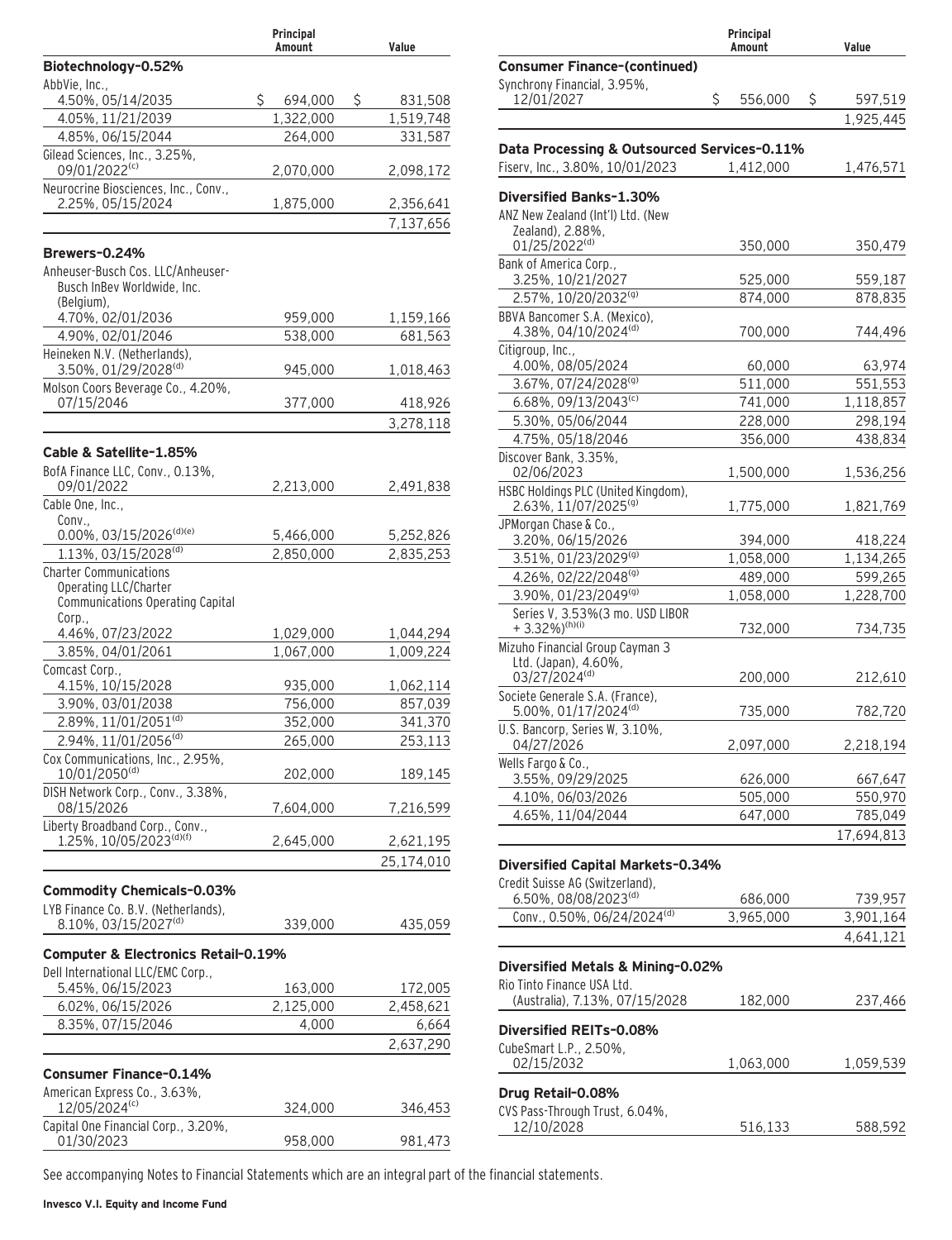|                                                                                                      | Principal<br>Amount | Value              |
|------------------------------------------------------------------------------------------------------|---------------------|--------------------|
| Biotechnology-0.52%                                                                                  |                     |                    |
| AbbVie, Inc.,                                                                                        |                     |                    |
| 4.50%, 05/14/2035                                                                                    | \$<br>694,000       | \$<br>831,508      |
| 4.05%, 11/21/2039                                                                                    | 1,322,000           | 1,519,748          |
| 4.85%, 06/15/2044                                                                                    | 264,000             | 331,587            |
| Gilead Sciences, Inc., 3.25%,<br>09/01/2022(c)                                                       | 2,070,000           | 2,098,172          |
| Neurocrine Biosciences, Inc., Conv.,<br>2.25%, 05/15/2024                                            | 1,875,000           | 2,356,641          |
|                                                                                                      |                     | 7,137,656          |
| Brewers-0.24%                                                                                        |                     |                    |
| Anheuser-Busch Cos. LLC/Anheuser-<br>Busch InBev Worldwide, Inc.<br>(Belgium),                       |                     |                    |
| 4.70%, 02/01/2036                                                                                    | 959,000             | 1,159,166          |
| 4.90%, 02/01/2046                                                                                    | 538.000             | 681,563            |
| Heineken N.V. (Netherlands),<br>3.50%, 01/29/2028(d)                                                 | 945,000             | 1,018,463          |
| Molson Coors Beverage Co., 4.20%,                                                                    |                     |                    |
| 07/15/2046                                                                                           | 377,000             | 418,926            |
|                                                                                                      |                     | 3,278,118          |
| Cable & Satellite-1.85%                                                                              |                     |                    |
| BofA Finance LLC, Conv., 0.13%,<br>09/01/2022                                                        | 2,213,000           | 2,491,838          |
| Cable One, Inc.,                                                                                     |                     |                    |
| Conv.,                                                                                               |                     |                    |
| 0.00%, 03/15/2026(d)(e)                                                                              | 5,466,000           | 5,252,826          |
| 1.13%, 03/15/2028(d)                                                                                 | 2,850,000           | 2,835,253          |
| <b>Charter Communications</b><br>Operating LLC/Charter<br>Communications Operating Capital<br>Corp., |                     |                    |
| 4.46%, 07/23/2022                                                                                    | 1,029,000           | 1,044,294          |
| 3.85%, 04/01/2061                                                                                    | 1,067,000           | 1,009,224          |
| Comcast Corp.,                                                                                       |                     |                    |
| 4.15%, 10/15/2028                                                                                    | 935,000             | 1,062,114          |
| 3.90%, 03/01/2038                                                                                    | 756,000             | 857,039            |
| 2.89%, 11/01/2051 <sup>(d)</sup><br>2.94%, 11/01/2056(d)                                             | 352,000<br>265,000  | 341,370<br>253,113 |
| Cox Communications, Inc., 2.95%,                                                                     |                     |                    |
| 10/01/2050(d)                                                                                        | 202,000             | 189,145            |
| DISH Network Corp., Conv., 3.38%,<br>08/15/2026                                                      | 7,604,000           | 7,216,599          |
| Liberty Broadband Corp., Conv.,<br>1.25%, 10/05/2023(d)(f)                                           | 2,645,000           | 2,621,195          |
|                                                                                                      |                     | 25,174,010         |
|                                                                                                      |                     |                    |
| <b>Commodity Chemicals-0.03%</b><br>LYB Finance Co. B.V. (Netherlands),                              |                     |                    |
| 8.10%, 03/15/2027(d)                                                                                 | 339,000             | 435,059            |
|                                                                                                      |                     |                    |
| <b>Computer &amp; Electronics Retail-0.19%</b><br>Dell International LLC/EMC Corp.,                  |                     |                    |
| 5.45%, 06/15/2023                                                                                    | 163,000             | 172,005            |
| 6.02%, 06/15/2026                                                                                    | 2,125,000           | 2,458,621          |
| 8.35%, 07/15/2046                                                                                    | 4,000               | 6,664              |
|                                                                                                      |                     | 2,637,290          |
| <b>Consumer Finance-0.14%</b>                                                                        |                     |                    |
| American Express Co., 3.63%,<br>12/05/2024 <sup>(c)</sup>                                            | 324,000             | 346,453            |
| Capital One Financial Corp., 3.20%,                                                                  |                     |                    |
| 01/30/2023                                                                                           | 958,000             | 981,473            |

|                                                                                | Principal<br>Amount  | Value                      |
|--------------------------------------------------------------------------------|----------------------|----------------------------|
| <b>Consumer Finance-(continued)</b>                                            |                      |                            |
| Synchrony Financial, 3.95%,                                                    |                      |                            |
| 12/01/2027                                                                     | \$<br>556,000        | \$<br>597,519<br>1,925,445 |
|                                                                                |                      |                            |
| Data Processing & Outsourced Services-0.11%<br>Fiserv, Inc., 3.80%, 10/01/2023 | 1,412,000            | 1,476,571                  |
| Diversified Banks-1.30%                                                        |                      |                            |
| ANZ New Zealand (Int'l) Ltd. (New                                              |                      |                            |
| Zealand), 2.88%,<br>01/25/2022 <sup>(d)</sup>                                  | 350,000              | 350,479                    |
| Bank of America Corp.,                                                         |                      |                            |
| 3.25%, 10/21/2027<br>2.57%, 10/20/2032 <sup>(g)</sup>                          | 525,000<br>874,000   | 559,187<br>878,835         |
| BBVA Bancomer S.A. (Mexico),                                                   |                      |                            |
| 4.38%, 04/10/2024(d)                                                           | 700,000              | 744,496                    |
| Citigroup, Inc.,<br>4.00%, 08/05/2024                                          | 60,000               | 63,974                     |
| 3.67%, 07/24/2028 <sup>(g)</sup>                                               | 511,000              | 551,553                    |
| 6.68%, 09/13/2043 <sup>(c)</sup>                                               | 741,000              | 1,118,857                  |
| 5.30%, 05/06/2044                                                              | 228,000              | 298,194                    |
| 4.75%, 05/18/2046                                                              | 356,000              | 438,834                    |
| Discover Bank, 3.35%,                                                          |                      |                            |
| 02/06/2023                                                                     | 1,500,000            | 1,536,256                  |
| HSBC Holdings PLC (United Kingdom),<br>2.63%, 11/07/2025 <sup>(g)</sup>        | 1,775,000            | 1,821,769                  |
| JPMorgan Chase & Co.,<br>3.20%, 06/15/2026                                     | 394,000              | 418,224                    |
| 3.51%, 01/23/2029 <sup>(g)</sup>                                               | 1,058,000            | 1,134,265                  |
| 4.26%, 02/22/2048 <sup>(g)</sup>                                               | 489,000              | 599,265                    |
| 3.90%, 01/23/2049(g)                                                           | 1,058,000            | 1,228,700                  |
| Series V, 3.53%(3 mo. USD LIBOR<br>$+3.32\%$ <sup>(h)(i)</sup>                 | 732,000              | 734,735                    |
| Mizuho Financial Group Cayman 3                                                |                      |                            |
| Ltd. (Japan), 4.60%,<br>03/27/2024(d)                                          | 200,000              | 212,610                    |
| Societe Generale S.A. (France),<br>5.00%, 01/17/2024(d)                        | 735,000              | 782,720                    |
| U.S. Bancorp, Series W, 3.10%,<br>04/27/2026                                   | 2,097,000            | 2,218,194                  |
| Wells Fargo & Co.,                                                             |                      |                            |
| 3.55%, 09/29/2025                                                              | 626,000              | 667,647                    |
| 4.10%, 06/03/2026                                                              | 505,000              | 550,970                    |
| 4.65%, 11/04/2044                                                              | 647,000              | 785,049                    |
|                                                                                |                      | 17,694,813                 |
| Diversified Capital Markets-0.34%                                              |                      |                            |
| Credit Suisse AG (Switzerland),                                                |                      |                            |
| 6.50%, 08/08/2023 <sup>(d)</sup><br>Conv., 0.50%, 06/24/2024(d)                | 686,000<br>3,965,000 | 739,957<br>3,901,164       |
|                                                                                |                      | 4,641,121                  |
|                                                                                |                      |                            |
| Diversified Metals & Mining-0.02%                                              |                      |                            |
| Rio Tinto Finance USA Ltd.<br>(Australia), 7.13%, 07/15/2028                   | 182,000              | 237,466                    |
|                                                                                |                      |                            |
| Diversified REITs-0.08%                                                        |                      |                            |
| CubeSmart L.P., 2.50%.<br>02/15/2032                                           | 1,063,000            | 1,059,539                  |
|                                                                                |                      |                            |
| Drug Retail-0.08%                                                              |                      |                            |
| CVS Pass-Through Trust, 6.04%,<br>12/10/2028                                   | 516,133              | 588,592                    |
|                                                                                |                      |                            |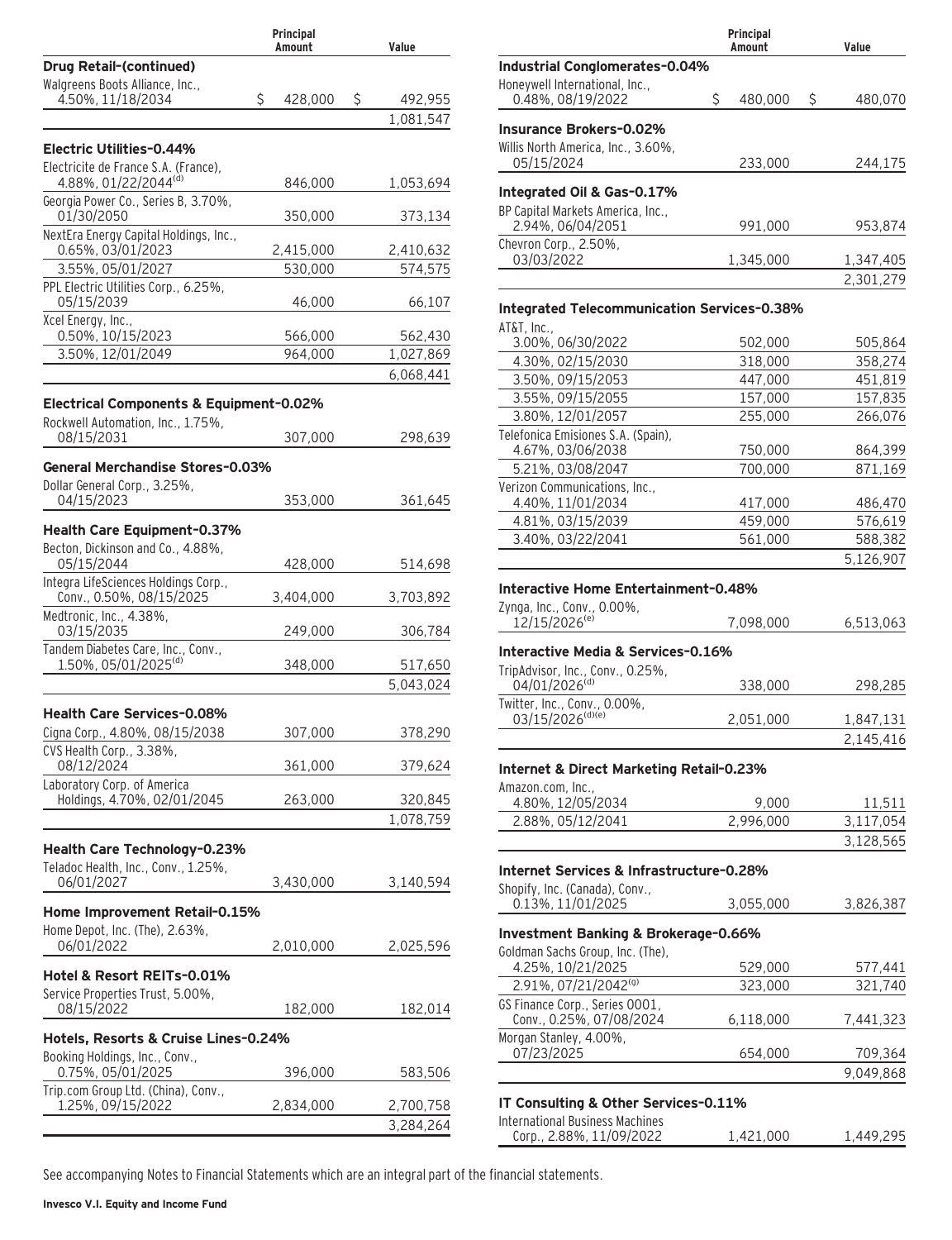|                                                                                         | Principal<br>Amount | Value                |
|-----------------------------------------------------------------------------------------|---------------------|----------------------|
| <b>Drug Retail-(continued)</b>                                                          |                     |                      |
| Walgreens Boots Alliance, Inc.,                                                         |                     |                      |
| 4.50%, 11/18/2034                                                                       | \$<br>428,000       | \$<br>492,955        |
|                                                                                         |                     | 1,081,547            |
| Electric Utilities-0.44%                                                                |                     |                      |
| Electricite de France S.A. (France),<br>4.88%, 01/22/2044(d)                            | 846,000             | 1,053,694            |
| Georgia Power Co., Series B, 3.70%,<br>01/30/2050                                       | 350,000             | 373,134              |
| NextEra Energy Capital Holdings, Inc.,                                                  |                     |                      |
| 0.65%, 03/01/2023                                                                       | 2,415,000           | 2,410,632            |
| 3.55%, 05/01/2027<br>PPL Electric Utilities Corp., 6.25%,                               | 530,000             | 574,575              |
| 05/15/2039                                                                              | 46,000              | 66,107               |
| Xcel Energy, Inc.,                                                                      |                     |                      |
| 0.50%, 10/15/2023<br>3.50%, 12/01/2049                                                  | 566,000<br>964.000  | 562,430<br>1,027,869 |
|                                                                                         |                     | 6,068,441            |
|                                                                                         |                     |                      |
| <b>Electrical Components &amp; Equipment-0.02%</b><br>Rockwell Automation, Inc., 1.75%, |                     |                      |
| 08/15/2031                                                                              | 307,000             | 298,639              |
| General Merchandise Stores-0.03%                                                        |                     |                      |
| Dollar General Corp., 3.25%,                                                            |                     |                      |
| 04/15/2023                                                                              | 353,000             | 361,645              |
| Health Care Equipment-0.37%                                                             |                     |                      |
| Becton, Dickinson and Co., 4.88%,<br>05/15/2044                                         | 428,000             | 514,698              |
| Integra LifeSciences Holdings Corp.,<br>Conv., 0.50%, 08/15/2025                        | 3,404,000           | 3,703,892            |
| Medtronic, Inc., 4.38%,<br>03/15/2035                                                   | 249,000             | 306,784              |
| Tandem Diabetes Care, Inc., Conv.,                                                      |                     |                      |
| 1.50%, 05/01/2025 <sup>(d)</sup>                                                        | 348,000             | 517,650              |
|                                                                                         |                     | 5,043,024            |
| <b>Health Care Services-0.08%</b>                                                       |                     |                      |
| Cigna Corp., 4.80%, 08/15/2038                                                          | 307,000             | 378,290              |
| CVS Health Corp., 3.38%,<br>08/12/2024                                                  | 361,000             | 379,624              |
| Laboratory Corp. of America                                                             |                     |                      |
| Holdings, 4.70%, 02/01/2045                                                             | 263,000             | 320,845              |
|                                                                                         |                     | 1,078,759            |
| Health Care Technology-0.23%                                                            |                     |                      |
| Teladoc Health, Inc., Conv., 1.25%,<br>06/01/2027                                       | 3,430,000           | 3,140,594            |
|                                                                                         |                     |                      |
| Home Improvement Retail-0.15%<br>Home Depot, Inc. (The), 2.63%,                         |                     |                      |
| 06/01/2022                                                                              | 2,010,000           | 2,025,596            |
| Hotel & Resort REITs-0.01%                                                              |                     |                      |
| Service Properties Trust, 5.00%,                                                        |                     |                      |
| 08/15/2022                                                                              | 182,000             | 182,014              |
| Hotels, Resorts & Cruise Lines-0.24%                                                    |                     |                      |
| Booking Holdings, Inc., Conv.,                                                          |                     |                      |
| 0.75%, 05/01/2025                                                                       | 396,000             | 583,506              |
| Trip.com Group Ltd. (China), Conv.,<br>1.25%, 09/15/2022                                | 2,834,000           | 2,700,758            |
|                                                                                         |                     | 3,284,264            |
|                                                                                         |                     |                      |

|                                                        | Principal<br>Amount | Value              |
|--------------------------------------------------------|---------------------|--------------------|
| Industrial Conglomerates-0.04%                         |                     |                    |
| Honeywell International, Inc.,<br>0.48%, 08/19/2022    | \$<br>480,000       | \$<br>480,070      |
| <b>Insurance Brokers-0.02%</b>                         |                     |                    |
| Willis North America, Inc., 3.60%,                     |                     |                    |
| 05/15/2024                                             | 233,000             | 244,175            |
| Integrated Oil & Gas-0.17%                             |                     |                    |
| BP Capital Markets America, Inc.,<br>2.94%, 06/04/2051 | 991,000             | 953,874            |
| Chevron Corp., 2.50%,                                  |                     |                    |
| 03/03/2022                                             | 1,345,000           | 1,347,405          |
|                                                        |                     | 2,301,279          |
| <b>Integrated Telecommunication Services-0.38%</b>     |                     |                    |
| AT&T, Inc.,                                            |                     |                    |
| 3.00%, 06/30/2022<br>4.30%, 02/15/2030                 | 502,000<br>318,000  | 505,864<br>358,274 |
| 3.50%, 09/15/2053                                      | 447,000             | 451,819            |
| 3.55%, 09/15/2055                                      | 157,000             | 157,835            |
| 3.80%, 12/01/2057                                      | 255,000             | 266,076            |
| Telefonica Emisiones S.A. (Spain),                     |                     |                    |
| 4.67%, 03/06/2038                                      | 750,000             | 864,399            |
| 5.21%, 03/08/2047                                      | 700,000             | 871,169            |
| Verizon Communications, Inc.,                          |                     |                    |
| 4.40%, 11/01/2034                                      | 417,000             | 486,470            |
| 4.81%, 03/15/2039                                      | 459,000             | 576,619            |
| 3.40%, 03/22/2041                                      | 561,000             | 588,382            |
|                                                        |                     | 5,126,907          |
| Interactive Home Entertainment-0.48%                   |                     |                    |
| Zynga, Inc., Conv., 0.00%,                             |                     |                    |
| 12/15/2026 <sup>(e)</sup>                              | 7,098,000           | 6,513,063          |
| Interactive Media & Services-0.16%                     |                     |                    |
| TripAdvisor, Inc., Conv., 0.25%,                       |                     |                    |
| 04/01/2026(d)                                          | 338,000             | 298,285            |
| Twitter, Inc., Conv., 0.00%,                           |                     |                    |
| 03/15/2026(d)(e)                                       | 2,051,000           | 1,847,131          |
|                                                        |                     | 2,145,416          |
| Internet & Direct Marketing Retail-0.23%               |                     |                    |
| Amazon.com, Inc.,                                      |                     |                    |
| 4.80%, 12/05/2034                                      | 9,000<br>2,996,000  | 11,511             |
| 2.88%, 05/12/2041                                      |                     | 3,117,054          |
|                                                        |                     | 3,128,565          |
| Internet Services & Infrastructure-0.28%               |                     |                    |
| Shopify, Inc. (Canada), Conv.,<br>0.13%, 11/01/2025    | 3,055,000           | 3,826,387          |
| Investment Banking & Brokerage-0.66%                   |                     |                    |
| Goldman Sachs Group, Inc. (The),                       |                     |                    |
| 4.25%, 10/21/2025                                      | 529,000             | 577,441            |
| 2.91%, 07/21/2042 <sup>(g)</sup>                       | 323,000             | 321,740            |
| GS Finance Corp., Series 0001,                         |                     |                    |
| Conv., 0.25%, 07/08/2024<br>Morgan Stanley, 4.00%,     | 6,118,000           | 7,441,323          |
| 07/23/2025                                             | 654,000             | 709,364            |
|                                                        |                     | 9,049,868          |
| IT Consulting & Other Services-0.11%                   |                     |                    |
| <b>International Business Machines</b>                 |                     |                    |
| Corp., 2.88%, 11/09/2022                               | 1,421,000           | 1,449,295          |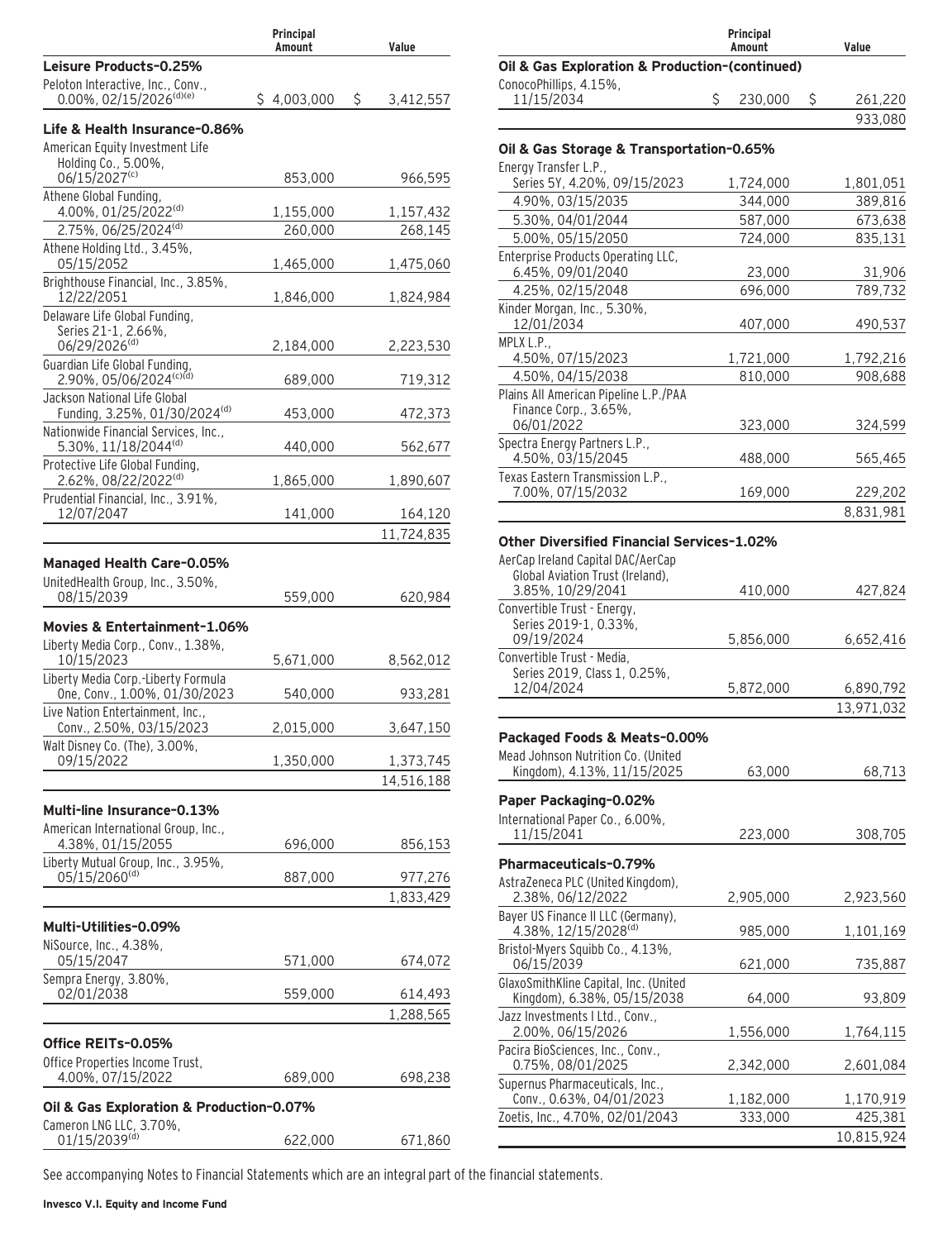|                                                                                  | Principal<br>Amount | Value          |
|----------------------------------------------------------------------------------|---------------------|----------------|
| Leisure Products-0.25%                                                           |                     |                |
| Peloton Interactive, Inc., Conv.,<br>$0.00\%$ , 02/15/2026 <sup>(d)(e)</sup>     | \$4,003,000         | Ś<br>3,412,557 |
| Life & Health Insurance-0.86%<br>American Equity Investment Life                 |                     |                |
| Holding Co., 5.00%,<br>06/15/2027(c)                                             | 853,000             | 966,595        |
| Athene Global Funding,<br>4.00%, 01/25/2022(d)                                   | 1,155,000           | 1,157,432      |
| 2.75%, 06/25/2024(d)                                                             | 260,000             | 268,145        |
| Athene Holding Ltd., 3.45%,<br>05/15/2052                                        | 1,465,000           | 1,475,060      |
| Brighthouse Financial, Inc., 3.85%,<br>12/22/2051                                | 1,846,000           | 1,824,984      |
| Delaware Life Global Funding,<br>Series 21-1, 2.66%,<br>06/29/2026(d)            | 2,184,000           | 2,223,530      |
| Guardian Life Global Funding,<br>2.90%, 05/06/2024(c)(d)                         | 689,000             | 719,312        |
| Jackson National Life Global<br>Funding, 3.25%, 01/30/2024 <sup>(d)</sup>        | 453,000             | 472,373        |
| Nationwide Financial Services, Inc.,<br>5.30%, 11/18/2044(d)                     | 440,000             | 562,677        |
| Protective Life Global Funding,<br>2.62%, 08/22/2022(d)                          | 1,865,000           | 1,890,607      |
| Prudential Financial, Inc., 3.91%,<br>12/07/2047                                 | 141,000             | 164,120        |
|                                                                                  |                     | 11,724,835     |
| <b>Managed Health Care-0.05%</b><br>UnitedHealth Group, Inc., 3.50%,             |                     |                |
| 08/15/2039                                                                       | 559,000             | 620,984        |
| Movies & Entertainment-1.06%<br>Liberty Media Corp., Conv., 1.38%,<br>10/15/2023 | 5,671,000           | 8,562,012      |
| Liberty Media Corp.-Liberty Formula<br>One, Conv., 1.00%, 01/30/2023             | 540,000             | 933,281        |
| Live Nation Entertainment, Inc.,<br>Conv., 2.50%, 03/15/2023                     | 2,015,000           | 3,647,150      |
| Walt Disney Co. (The), 3.00%,<br>09/15/2022                                      | 1,350,000           | 1,373,745      |
|                                                                                  |                     | 14,516,188     |
| Multi-line Insurance-0.13%<br>American International Group, Inc.,                |                     |                |
| 4.38%, 01/15/2055<br>Liberty Mutual Group, Inc., 3.95%,                          | 696,000             | 856,153        |
| 05/15/2060(d)                                                                    | 887,000             | 977,276        |
|                                                                                  |                     | 1,833,429      |
| Multi-Utilities-0.09%                                                            |                     |                |
| NiSource, Inc., 4.38%,<br>05/15/2047                                             | 571,000             | 674,072        |
| Sempra Energy, 3.80%,<br>02/01/2038                                              | 559,000             | 614,493        |
|                                                                                  |                     | 1,288,565      |
| Office REITs-0.05%                                                               |                     |                |
| Office Properties Income Trust,<br>4.00%, 07/15/2022                             | 689,000             | 698,238        |
| Oil & Gas Exploration & Production-0.07%<br>Cameron LNG LLC, 3.70%,              |                     |                |
| 01/15/2039(d)                                                                    | 622,000             | 671,860        |

|                                                                       | Principal<br>Amount | Value         |
|-----------------------------------------------------------------------|---------------------|---------------|
| Oil & Gas Exploration & Production-(continued)                        |                     |               |
| ConocoPhillips, 4.15%,                                                |                     |               |
| 11/15/2034                                                            | \$<br>230,000       | \$<br>261,220 |
|                                                                       |                     | 933,080       |
|                                                                       |                     |               |
| Oil & Gas Storage & Transportation-0.65%<br>Energy Transfer L.P.,     |                     |               |
| Series 5Y, 4.20%, 09/15/2023                                          | 1,724,000           | 1,801,051     |
| 4.90%, 03/15/2035                                                     | 344,000             | 389,816       |
| 5.30%, 04/01/2044                                                     | 587,000             | 673,638       |
| 5.00%, 05/15/2050                                                     | 724.000             | 835,131       |
| Enterprise Products Operating LLC,                                    |                     |               |
| 6.45%, 09/01/2040                                                     | 23,000              | 31,906        |
| 4.25%, 02/15/2048                                                     | 696,000             | 789,732       |
| Kinder Morgan, Inc., 5.30%,                                           |                     |               |
| 12/01/2034                                                            | 407,000             | 490,537       |
| MPLX L.P                                                              |                     |               |
| 4.50%, 07/15/2023                                                     | 1,721,000           | 1,792,216     |
| 4.50%, 04/15/2038                                                     | 810,000             | 908,688       |
| Plains All American Pipeline L.P./PAA<br>Finance Corp., 3.65%,        |                     |               |
| 06/01/2022                                                            | 323,000             | 324,599       |
| Spectra Energy Partners L.P.,                                         |                     |               |
| 4.50%, 03/15/2045                                                     | 488,000             | 565,465       |
| Texas Eastern Transmission L.P.,                                      |                     |               |
| 7.00%, 07/15/2032                                                     | 169,000             | 229,202       |
|                                                                       |                     | 8,831,981     |
| Other Diversified Financial Services-1.02%                            |                     |               |
|                                                                       |                     |               |
| AerCap Ireland Capital DAC/AerCap<br>Global Aviation Trust (Ireland), |                     |               |
| 3.85%, 10/29/2041                                                     | 410,000             | 427,824       |
| Convertible Trust - Energy,                                           |                     |               |
| Series 2019-1, 0.33%,                                                 |                     |               |
| 09/19/2024                                                            | 5,856,000           | 6,652,416     |
| Convertible Trust - Media,<br>Series 2019, Class 1, 0.25%,            |                     |               |
| 12/04/2024                                                            | 5,872,000           | 6,890,792     |
|                                                                       |                     | 13,971,032    |
|                                                                       |                     |               |
| Packaged Foods & Meats-0.00%                                          |                     |               |
| Mead Johnson Nutrition Co. (United                                    |                     |               |
| Kingdom), 4.13%, 11/15/2025                                           | 63,000              | 68,713        |
| Paper Packaging-0.02%                                                 |                     |               |
| International Paper Co., 6.00%,                                       |                     |               |
| 11/15/2041                                                            | 223,000             | 308,705       |
|                                                                       |                     |               |
| Pharmaceuticals-0.79%                                                 |                     |               |
| AstraZeneca PLC (United Kingdom),<br>2.38%, 06/12/2022                |                     |               |
| Bayer US Finance II LLC (Germany),                                    | 2,905,000           | 2,923,560     |
| 4.38%, 12/15/2028 <sup>(d)</sup>                                      | 985,000             | 1,101,169     |
| Bristol-Myers Squibb Co., 4.13%,                                      |                     |               |
| 06/15/2039                                                            | 621,000             | 735,887       |
| GlaxoSmithKline Capital, Inc. (United                                 |                     |               |
| Kingdom), 6.38%, 05/15/2038                                           | 64,000              | 93,809        |
| Jazz Investments I Ltd., Conv.,                                       |                     |               |
| 2.00%, 06/15/2026                                                     | 1,556,000           | 1,764,115     |
| Pacira BioSciences, Inc., Conv.,                                      |                     |               |
| 0.75%, 08/01/2025<br>Supernus Pharmaceuticals, Inc.,                  | 2,342,000           | 2,601,084     |
| Conv., 0.63%, 04/01/2023                                              | 1,182,000           | 1,170,919     |
| Zoetis, Inc., 4.70%, 02/01/2043                                       | 333,000             | 425,381       |
|                                                                       |                     | 10,815,924    |
|                                                                       |                     |               |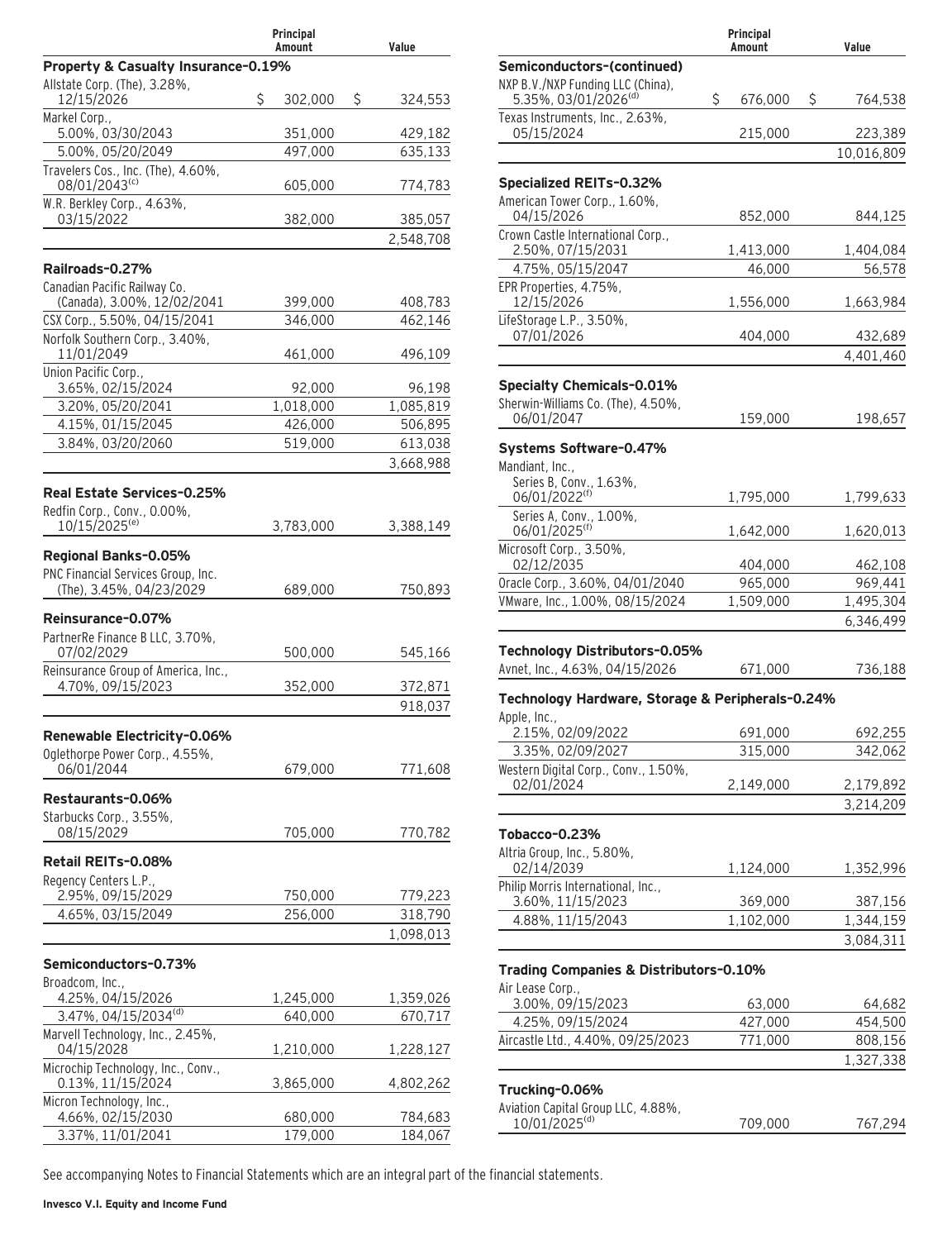|                                                          | Principal<br>Amount | Value         |
|----------------------------------------------------------|---------------------|---------------|
| Property & Casualty Insurance-0.19%                      |                     |               |
| Allstate Corp. (The), 3.28%,<br>12/15/2026               | \$<br>302,000       | \$<br>324,553 |
| Markel Corp.,<br>5.00%, 03/30/2043                       | 351,000             | 429,182       |
| 5.00%, 05/20/2049                                        | 497,000             | 635,133       |
| Travelers Cos., Inc. (The), 4.60%,<br>08/01/2043(c)      | 605,000             | 774,783       |
| W.R. Berkley Corp., 4.63%,                               |                     |               |
| 03/15/2022                                               | 382,000             | 385,057       |
|                                                          |                     | 2,548,708     |
| Railroads-0.27%                                          |                     |               |
| Canadian Pacific Railway Co.                             |                     |               |
| (Canada), 3.00%, 12/02/2041                              | 399,000             | 408,783       |
| CSX Corp., 5.50%, 04/15/2041                             | 346,000             | 462,146       |
| Norfolk Southern Corp., 3.40%,<br>11/01/2049             | 461,000             | 496,109       |
| Union Pacific Corp.,<br>3.65%, 02/15/2024                | 92,000              | 96,198        |
| 3.20%, 05/20/2041                                        | 1,018,000           | 1,085,819     |
| 4.15%, 01/15/2045                                        | 426,000             | 506,895       |
| 3.84%, 03/20/2060                                        | 519,000             | 613,038       |
|                                                          |                     | 3,668,988     |
|                                                          |                     |               |
| Real Estate Services-0.25%                               |                     |               |
| Redfin Corp., Conv., 0.00%,<br>10/15/2025 <sup>(e)</sup> | 3,783,000           | 3,388,149     |
| Regional Banks-0.05%                                     |                     |               |
| PNC Financial Services Group, Inc.                       |                     |               |
| (The), 3.45%, 04/23/2029                                 | 689,000             | 750,893       |
| Reinsurance-0.07%                                        |                     |               |
| PartnerRe Finance B LLC, 3.70%,                          |                     |               |
| 07/02/2029                                               | 500,000             | 545,166       |
| Reinsurance Group of America, Inc.,                      |                     |               |
| 4.70%, 09/15/2023                                        | 352,000             | 372,871       |
|                                                          |                     | 918,037       |
| Renewable Electricity-0.06%                              |                     |               |
| Oglethorpe Power Corp., 4.55%,                           |                     |               |
| 06/01/2044                                               | 679,000             | 771,608       |
|                                                          |                     |               |
| Restaurants-0.06%<br>Starbucks Corp., 3.55%,             |                     |               |
| 08/15/2029                                               | 705,000             | 770,782       |
|                                                          |                     |               |
| Retail REITs-0.08%                                       |                     |               |
| Regency Centers L.P.,<br>2.95%, 09/15/2029               | 750,000             | 779,223       |
| 4.65%, 03/15/2049                                        | 256,000             | 318,790       |
|                                                          |                     | 1,098,013     |
|                                                          |                     |               |
| Semiconductors-0.73%                                     |                     |               |
| Broadcom, Inc.,                                          |                     |               |
| 4.25%, 04/15/2026<br>3.47%, 04/15/2034(d)                | 1,245,000           | 1,359,026     |
| Marvell Technology, Inc., 2.45%,                         | 640,000             | 670,717       |
| 04/15/2028                                               | 1,210,000           | 1,228,127     |
| Microchip Technology, Inc., Conv.,<br>0.13%, 11/15/2024  | 3,865,000           | 4,802,262     |
| Micron Technology, Inc.,                                 |                     |               |
| 4.66%, 02/15/2030                                        | 680,000             | 784,683       |
| 3.37%, 11/01/2041                                        | 179,000             | 184,067       |

|                                                                       | Principal<br>Amount | Value                  |
|-----------------------------------------------------------------------|---------------------|------------------------|
| Semiconductors-(continued)                                            |                     |                        |
| NXP B.V./NXP Funding LLC (China),<br>5.35%, 03/01/2026 <sup>(d)</sup> | \$<br>676,000       | \$<br>764,538          |
| Texas Instruments, Inc., 2.63%,<br>05/15/2024                         | 215,000             | 223,389                |
|                                                                       |                     | 10,016,809             |
| Specialized REITs-0.32%                                               |                     |                        |
| American Tower Corp., 1.60%,<br>04/15/2026                            | 852,000             | 844,125                |
| Crown Castle International Corp.,<br>2.50%, 07/15/2031                | 1,413,000           | 1,404,084              |
| 4.75%, 05/15/2047                                                     | 46,000              | 56,578                 |
| EPR Properties, 4.75%,<br>12/15/2026                                  | 1,556,000           | 1,663,984              |
| LifeStorage L.P., 3.50%,<br>07/01/2026                                | 404,000             | 432,689                |
|                                                                       |                     | 4,401,460              |
|                                                                       |                     |                        |
| <b>Specialty Chemicals-0.01%</b>                                      |                     |                        |
| Sherwin-Williams Co. (The), 4.50%,<br>06/01/2047                      | 159,000             | 198,657                |
|                                                                       |                     |                        |
| Systems Software-0.47%                                                |                     |                        |
| Mandiant, Inc.,                                                       |                     |                        |
| Series B, Conv., 1.63%,<br>06/01/2022 <sup>(f)</sup>                  | 1,795,000           | 1,799,633              |
| Series A, Conv., 1.00%,<br>06/01/2025 <sup>(f)</sup>                  | 1,642,000           | 1,620,013              |
| Microsoft Corp., 3.50%,                                               |                     |                        |
| 02/12/2035                                                            | 404,000             | 462,108                |
| Oracle Corp., 3.60%, 04/01/2040                                       | 965,000             | 969,441                |
| VMware, Inc., 1.00%, 08/15/2024                                       | 1,509,000           | 1,495,304<br>6,346,499 |
|                                                                       |                     |                        |
| Technology Distributors-0.05%                                         |                     |                        |
| Avnet, Inc., 4.63%, 04/15/2026                                        | 671,000             | 736,188                |
| Technology Hardware, Storage & Peripherals-0.24%                      |                     |                        |
| Apple, Inc.,<br>2.15%, 02/09/2022                                     | 691,000             | 692,255                |
| 3.35%, 02/09/2027                                                     | 315,000             | 342,062                |
| Western Digital Corp., Conv., 1.50%,                                  |                     |                        |
| 02/01/2024                                                            | 2,149,000           | 2,179,892              |
|                                                                       |                     | 3,214,209              |
| <b>Tobacco-0.23%</b>                                                  |                     |                        |
| Altria Group, Inc., 5.80%,                                            |                     |                        |
| 02/14/2039                                                            | 1,124,000           | 1,352,996              |
| Philip Morris International, Inc.,<br>3.60%, 11/15/2023               | 369,000             | 387,156                |
| 4.88%, 11/15/2043                                                     | 1,102,000           | 1,344,159              |
|                                                                       |                     | 3,084,311              |
| Trading Companies & Distributors-0.10%                                |                     |                        |
| Air Lease Corp.,                                                      |                     |                        |
| 3.00%, 09/15/2023                                                     | 63,000              | 64,682                 |
| 4.25%, 09/15/2024                                                     | 427,000             | 454,500                |
| Aircastle Ltd., 4.40%, 09/25/2023                                     | 771,000             | 808,156                |
|                                                                       |                     | 1,327,338              |
| Trucking-0.06%                                                        |                     |                        |
| Aviation Capital Group LLC, 4.88%,                                    |                     |                        |
| 10/01/2025 <sup>(d)</sup>                                             | 709,000             | 767,294                |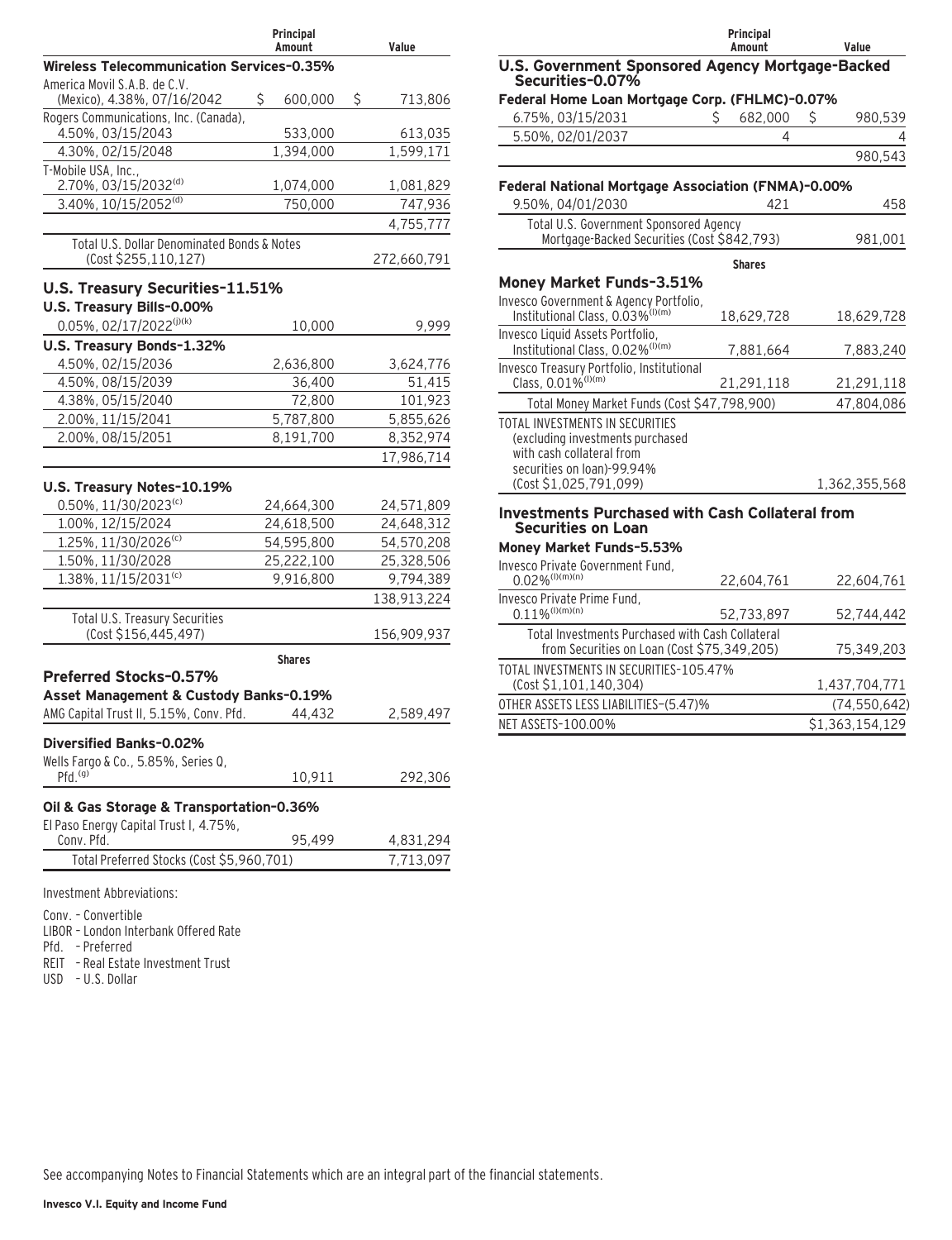|                                                                      | Principal<br>Amount     | Value                   |
|----------------------------------------------------------------------|-------------------------|-------------------------|
| <b>Wireless Telecommunication Services-0.35%</b>                     |                         |                         |
| America Movil S.A.B. de C.V.                                         |                         |                         |
| (Mexico), 4.38%, 07/16/2042<br>Rogers Communications, Inc. (Canada), | \$<br>600,000           | \$<br>713,806           |
| 4.50%, 03/15/2043                                                    | 533,000                 | 613,035                 |
| 4.30%, 02/15/2048                                                    | 1,394,000               | 1,599,171               |
| T-Mobile USA, Inc.,                                                  |                         |                         |
| 2.70%, 03/15/2032(d)                                                 | 1,074,000               | 1,081,829               |
| 3.40%, 10/15/2052(d)                                                 | 750,000                 | 747,936                 |
|                                                                      |                         | 4,755,777               |
| Total U.S. Dollar Denominated Bonds & Notes<br>(Cost \$255,110,127)  |                         | 272,660,791             |
|                                                                      |                         |                         |
| <b>U.S. Treasury Securities-11.51%</b>                               |                         |                         |
| U.S. Treasury Bills-0.00%                                            |                         |                         |
| 0.05%, 02/17/2022 <sup>(j)(k)</sup>                                  | 10,000                  | 9,999                   |
| U.S. Treasury Bonds-1.32%                                            |                         |                         |
| 4.50%, 02/15/2036<br>4.50%, 08/15/2039                               | 2,636,800<br>36,400     | 3,624,776<br>51,415     |
| 4.38%, 05/15/2040                                                    | 72,800                  | 101.923                 |
| 2.00%, 11/15/2041                                                    | 5,787,800               | 5,855,626               |
| 2.00%, 08/15/2051                                                    | 8,191,700               | 8,352,974               |
|                                                                      |                         | 17,986,714              |
|                                                                      |                         |                         |
| U.S. Treasury Notes-10.19%                                           |                         |                         |
| $0.50\%$ , 11/30/2023 <sup>(c)</sup>                                 | 24,664,300              | 24,571,809              |
| 1.00%, 12/15/2024                                                    | 24,618,500              | 24,648,312              |
| 1.25%, 11/30/2026(c)                                                 | 54,595,800              | 54,570,208              |
| 1.50%, 11/30/2028<br>1.38%, 11/15/2031(c)                            | 25,222,100<br>9,916,800 | 25,328,506<br>9,794,389 |
|                                                                      |                         |                         |
|                                                                      |                         | 138,913,224             |
| Total U.S. Treasury Securities<br>(Cost \$156,445,497)               |                         | 156,909,937             |
|                                                                      |                         |                         |
| Preferred Stocks-0.57%                                               | <b>Shares</b>           |                         |
| Asset Management & Custody Banks-0.19%                               |                         |                         |
| AMG Capital Trust II, 5.15%, Conv. Pfd.                              | 44,432                  | 2,589,497               |
|                                                                      |                         |                         |
| Diversified Banks-0.02%                                              |                         |                         |
| Wells Fargo & Co., 5.85%, Series Q,                                  |                         |                         |
| Pfd. <sup>(g)</sup>                                                  | 10,911                  | 292,306                 |
| Oil & Gas Storage & Transportation-0.36%                             |                         |                         |
| El Paso Energy Capital Trust I, 4.75%,                               |                         |                         |
| Conv. Pfd.                                                           | 95,499                  | 4,831,294               |
| Total Preferred Stocks (Cost \$5,960,701)                            |                         | 7,713,097               |
| Investment Abbreviations:                                            |                         |                         |

Conv. – Convertible

LIBOR – London Interbank Offered Rate

Pfd. – Preferred

REIT – Real Estate Investment Trust

USD – U.S. Dollar

|                                                                                        | Principal<br>Amount | Value           |
|----------------------------------------------------------------------------------------|---------------------|-----------------|
| U.S. Government Sponsored Agency Mortgage-Backed<br>Securities-0.07%                   |                     |                 |
| Federal Home Loan Mortgage Corp. (FHLMC)-0.07%                                         |                     |                 |
| 6.75%, 03/15/2031                                                                      | 682,000<br>S        | 980,539<br>S    |
| 5.50%, 02/01/2037                                                                      | 4                   |                 |
|                                                                                        |                     | 980,543         |
|                                                                                        |                     |                 |
| Federal National Mortgage Association (FNMA)-0.00%<br>9.50%, 04/01/2030                | 421                 | 458             |
| Total U.S. Government Sponsored Agency                                                 |                     |                 |
| Mortgage-Backed Securities (Cost \$842,793)                                            |                     | 981,001         |
|                                                                                        | <b>Shares</b>       |                 |
| Money Market Funds-3.51%                                                               |                     |                 |
| Invesco Government & Agency Portfolio,<br>Institutional Class, 0.03% <sup>(I)(m)</sup> | 18,629,728          | 18,629,728      |
| Invesco Liquid Assets Portfolio,<br>Institutional Class, 0.02% <sup>(I)(m)</sup>       | 7,881,664           | 7,883,240       |
| Invesco Treasury Portfolio, Institutional<br>Class, 0.01% <sup>(I)(m)</sup>            |                     |                 |
|                                                                                        | 21,291,118          | 21,291,118      |
| Total Money Market Funds (Cost \$47,798,900)                                           |                     | 47,804,086      |
| TOTAL INVESTMENTS IN SECURITIES<br>(excluding investments purchased                    |                     |                 |
| with cash collateral from                                                              |                     |                 |
| securities on loan)-99.94%                                                             |                     |                 |
| (Cost \$1,025,791,099)                                                                 |                     | 1,362,355,568   |
| <b>Investments Purchased with Cash Collateral from</b><br><b>Securities on Loan</b>    |                     |                 |
| Money Market Funds-5.53%                                                               |                     |                 |
| Invesco Private Government Fund.<br>$0.02\%$ <sup>(I)(m)(n)</sup>                      | 22,604,761          | 22,604,761      |
| Invesco Private Prime Fund,<br>$0.11\%$ <sup>(I)(m)(n)</sup>                           | 52,733,897          | 52,744,442      |
| Total Investments Purchased with Cash Collateral                                       |                     |                 |
| from Securities on Loan (Cost \$75,349,205)                                            |                     | 75,349,203      |
| TOTAL INVESTMENTS IN SECURITIES-105.47%                                                |                     |                 |
| (Cost \$1,101,140,304)                                                                 |                     | 1,437,704,771   |
| OTHER ASSETS LESS LIABILITIES-(5.47)%                                                  |                     | (74, 550, 642)  |
| NET ASSETS-100.00%                                                                     |                     | \$1,363,154,129 |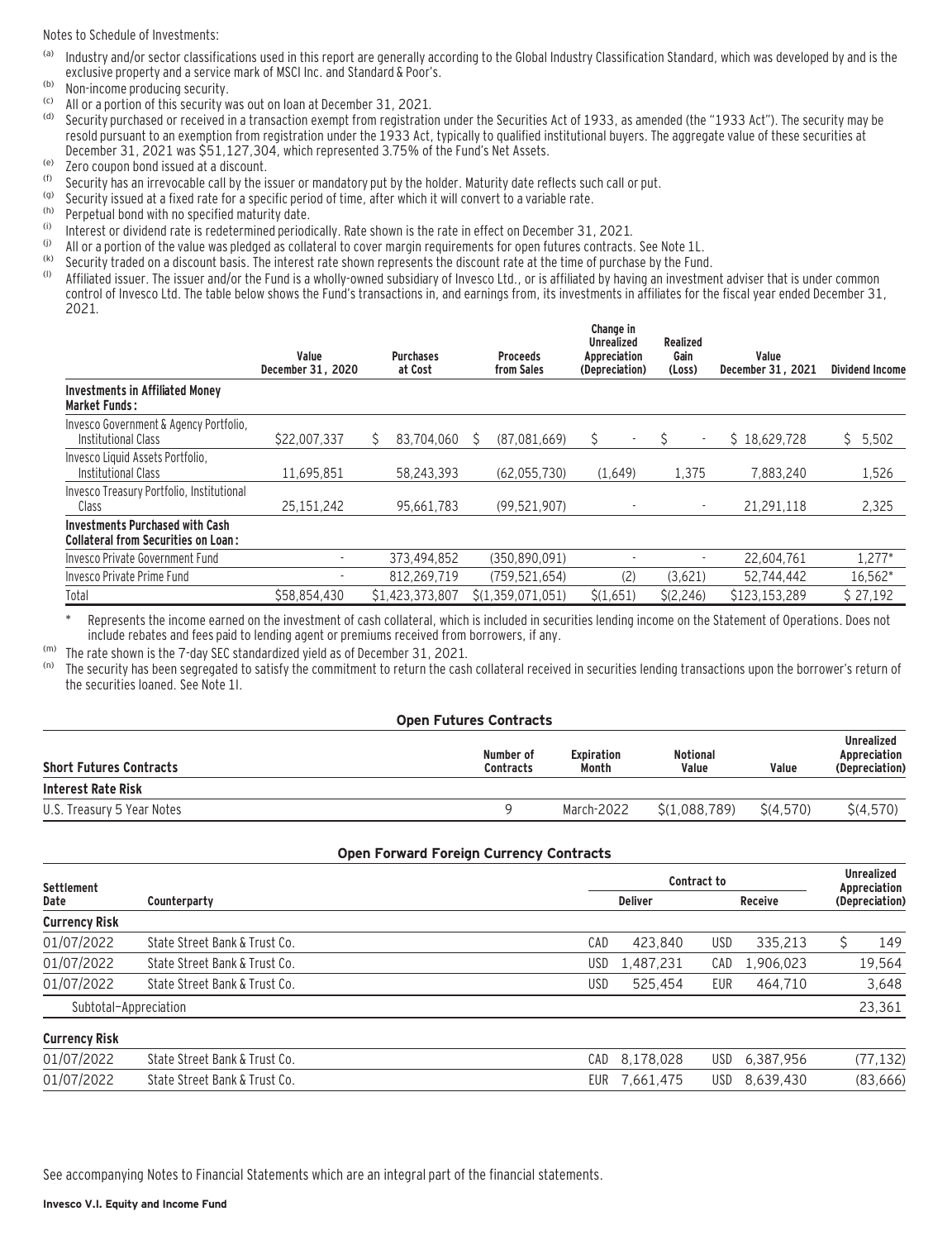Notes to Schedule of Investments:

- (a) Industry and/or sector classifications used in this report are generally according to the Global Industry Classification Standard, which was developed by and is the exclusive property and a service mark of MSCI Inc. and Standard & Poor's.
- $(6)$  Non-income producing security.
- (c) All or a portion of this security was out on loan at December 31, 2021.
- Security purchased or received in a transaction exempt from registration under the Securities Act of 1933, as amended (the "1933 Act"). The security may be resold pursuant to an exemption from registration under the 1933 Act, typically to qualified institutional buyers. The aggregate value of these securities at December 31, 2021 was \$51,127,304, which represented 3.75% of the Fund's Net Assets.
- (e) Zero coupon bond issued at a discount.
- (f) Security has an irrevocable call by the issuer or mandatory put by the holder. Maturity date reflects such call or put.<br>(g) Security issued at a fixed rate for a specific period of time, after which it will convert to
- (g) Security issued at a fixed rate for a specific period of time, after which it will convert to a variable rate.
- $\binom{h}{k}$  Perpetual bond with no specified maturity date.
- (i) Interest or dividend rate is redetermined periodically. Rate shown is the rate in effect on December 31, 2021.
- (i) All or a portion of the value was pledged as collateral to cover margin requirements for open futures contracts. See Note 1L.<br>(k) Socurity traded on a discount basis. The interest rate shown represents the discount ra
- (k) Security traded on a discount basis. The interest rate shown represents the discount rate at the time of purchase by the Fund.<br>(1) Affiliated issues The issues and/or the Fund is a wholly-owned subsidiary of Invesse L

Affiliated issuer. The issuer and/or the Fund is a wholly-owned subsidiary of Invesco Ltd., or is affiliated by having an investment adviser that is under common control of Invesco Ltd. The table below shows the Fund's transactions in, and earnings from, its investments in affiliates for the fiscal year ended December 31, 2021.

|                                                                                      | Value<br>December 31, 2020 |   | <b>Purchases</b><br>at Cost | <b>Proceeds</b><br>from Sales |   | Change in<br><b>Unrealized</b><br>Appreciation<br>(Depreciation) | Realized<br>Gain<br>(Loss) | Value<br>December 31, 2021 |    | <b>Dividend Income</b> |
|--------------------------------------------------------------------------------------|----------------------------|---|-----------------------------|-------------------------------|---|------------------------------------------------------------------|----------------------------|----------------------------|----|------------------------|
| <b>Investments in Affiliated Money</b><br><b>Market Funds:</b>                       |                            |   |                             |                               |   |                                                                  |                            |                            |    |                        |
| Invesco Government & Agency Portfolio,<br>Institutional Class                        | \$22,007,337               | S | 83.704.060                  | (87.081.669)                  | S | $\overline{\phantom{a}}$                                         |                            | \$18,629,728               | Ŝ. | 5,502                  |
| Invesco Liquid Assets Portfolio,<br>Institutional Class                              | 11,695,851                 |   | 58.243.393                  | (62,055,730)                  |   | (1,649)                                                          | 1,375                      | 7,883,240                  |    | 1,526                  |
| Invesco Treasury Portfolio, Institutional<br>Class                                   | 25, 151, 242               |   | 95,661,783                  | (99, 521, 907)                |   |                                                                  |                            | 21.291.118                 |    | 2,325                  |
| <b>Investments Purchased with Cash</b><br><b>Collateral from Securities on Loan:</b> |                            |   |                             |                               |   |                                                                  |                            |                            |    |                        |
| Invesco Private Government Fund                                                      |                            |   | 373,494,852                 | (350.890.091)                 |   |                                                                  |                            | 22.604.761                 |    | 1.277*                 |
| Invesco Private Prime Fund                                                           |                            |   | 812.269.719                 | (759, 521, 654)               |   | (2)                                                              | (3,621)                    | 52,744,442                 |    | 16,562*                |
| Total                                                                                | \$58,854,430               |   | \$1,423,373,807             | \$(1,359,071,051)             |   | \$(1,651)                                                        | \$(2,246)                  | \$123,153,289              |    | \$27,192               |

Represents the income earned on the investment of cash collateral, which is included in securities lending income on the Statement of Operations. Does not include rebates and fees paid to lending agent or premiums received from borrowers, if any.

<sup>(m)</sup> The rate shown is the 7-day SEC standardized yield as of December 31, 2021.<br><sup>(n)</sup> The security has been segregated to satisfy the commitment to return the cast

The security has been segregated to satisfy the commitment to return the cash collateral received in securities lending transactions upon the borrower's return of the securities loaned. See Note 1I.

#### **Open Futures Contracts Short Futures Contracts Number of Contracts Expiration Month Notional Value Value Unrealized Appreciation (Depreciation) Interest Rate Risk** U.S. Treasury 5 Year Notes 9 March-2022 \$(1,088,789) \$(4,570) \$(4,570)

#### **Open Forward Foreign Currency Contracts**

| <b>Settlement</b>     |                               |            | Contract to    |     |           |                                |           |  |
|-----------------------|-------------------------------|------------|----------------|-----|-----------|--------------------------------|-----------|--|
| Date                  | Counterparty                  |            | <b>Deliver</b> |     |           | Appreciation<br>(Depreciation) |           |  |
| <b>Currency Risk</b>  |                               |            |                |     |           |                                |           |  |
| 01/07/2022            | State Street Bank & Trust Co. | CAD        | 423.840        | USD | 335.213   |                                | 149       |  |
| 01/07/2022            | State Street Bank & Trust Co. | USD        | 1.487.231      | CAD | 1.906.023 |                                | 19,564    |  |
| 01/07/2022            | State Street Bank & Trust Co. | USD        | 525.454        | EUR | 464,710   |                                | 3,648     |  |
| Subtotal-Appreciation |                               |            |                |     |           |                                | 23,361    |  |
| <b>Currency Risk</b>  |                               |            |                |     |           |                                |           |  |
| 01/07/2022            | State Street Bank & Trust Co. | CAD        | 8,178,028      | USD | 6,387,956 |                                | (77, 132) |  |
| 01/07/2022            | State Street Bank & Trust Co. | <b>EUR</b> | 7,661,475      | USD | 8,639,430 |                                | (83,666)  |  |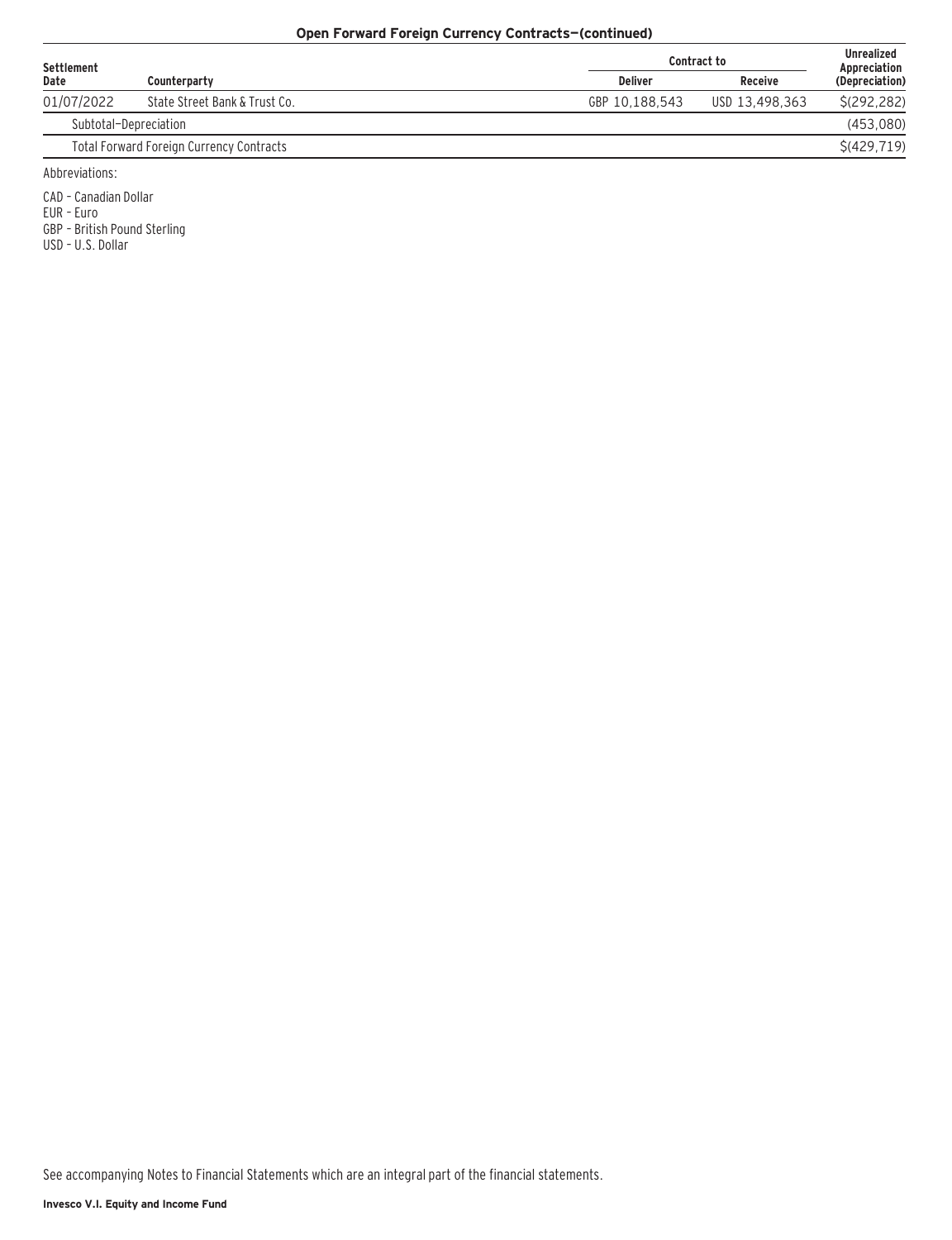#### **Open Forward Foreign Currency Contracts—(continued)**

| Settlement |                                                 |                | <b>Contract to</b> | <b>Unrealized</b><br>Appreciation |
|------------|-------------------------------------------------|----------------|--------------------|-----------------------------------|
| Date       | Counterparty                                    | <b>Deliver</b> | <b>Receive</b>     | (Depreciation)                    |
| 01/07/2022 | State Street Bank & Trust Co.                   | GBP 10.188.543 | USD 13,498,363     | S(292.282)                        |
|            | Subtotal-Depreciation                           |                |                    | (453,080)                         |
|            | <b>Total Forward Foreign Currency Contracts</b> |                |                    | \$ (429, 719)                     |
|            |                                                 |                |                    |                                   |

Abbreviations:

CAD – Canadian Dollar

EUR – Euro

GBP – British Pound Sterling

USD – U.S. Dollar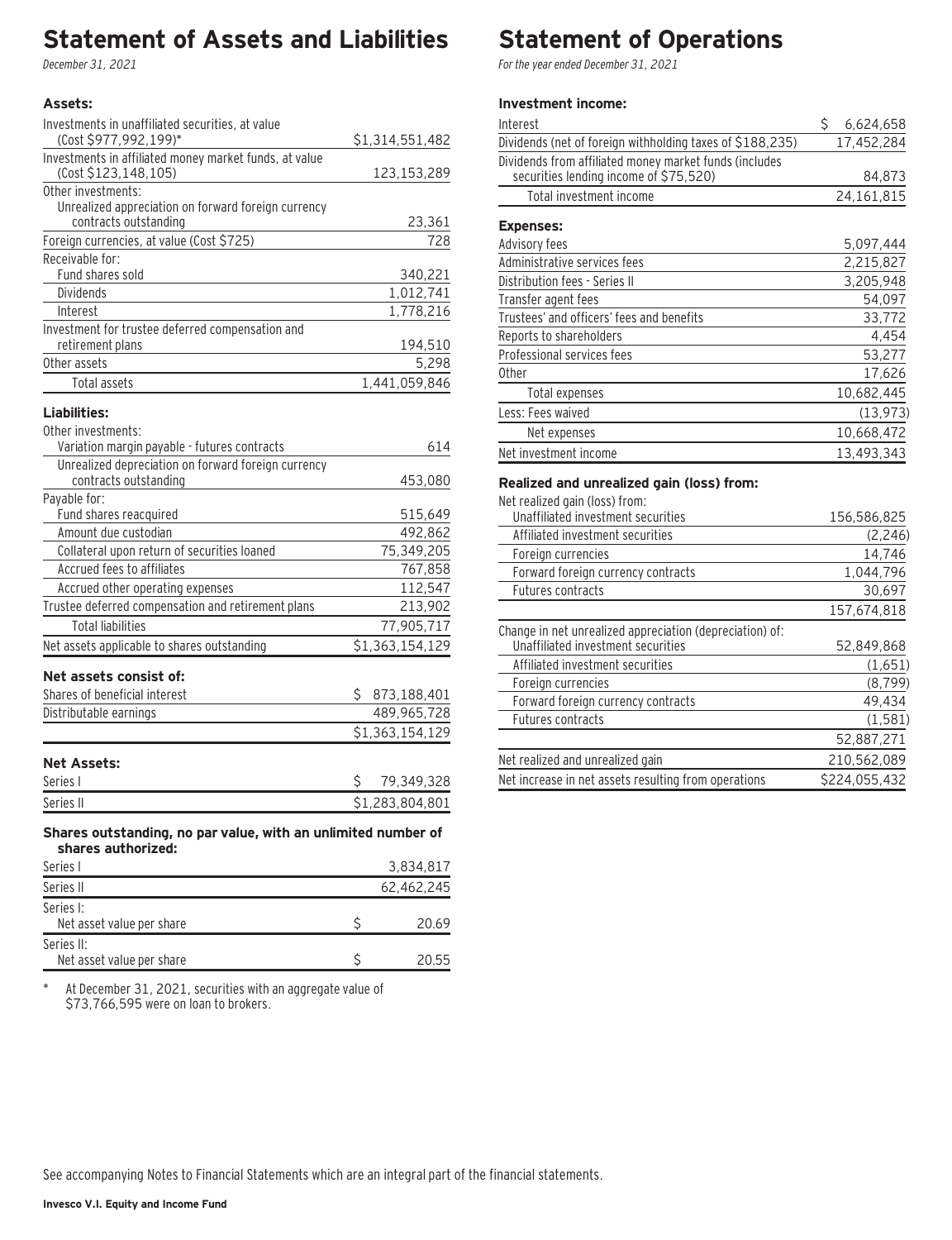### **Statement of Assets and Liabilities**

December 31, 2021

### **Assets:**

| Investments in unaffiliated securities, at value<br>(Cost \$977,992,199)*           |    |                 |
|-------------------------------------------------------------------------------------|----|-----------------|
| Investments in affiliated money market funds, at value                              |    | \$1,314,551,482 |
| (Cost \$123,148,105)                                                                |    | 123, 153, 289   |
| Other investments:                                                                  |    |                 |
| Unrealized appreciation on forward foreign currency                                 |    |                 |
| contracts outstanding                                                               |    | 23,361          |
| Foreign currencies, at value (Cost \$725)                                           |    | 728             |
| Receivable for:                                                                     |    |                 |
| Fund shares sold                                                                    |    | 340,221         |
| Dividends                                                                           |    | 1,012,741       |
| Interest                                                                            |    | 1,778,216       |
| Investment for trustee deferred compensation and                                    |    |                 |
| retirement plans                                                                    |    | 194,510         |
| Other assets                                                                        |    | 5,298           |
| Total assets                                                                        |    | 1,441,059,846   |
| Liabilities:                                                                        |    |                 |
| Other investments:                                                                  |    |                 |
| Variation margin payable - futures contracts                                        |    | 614             |
| Unrealized depreciation on forward foreign currency                                 |    |                 |
| contracts outstanding                                                               |    | 453,080         |
| Payable for:                                                                        |    |                 |
| Fund shares reacquired                                                              |    | 515,649         |
| Amount due custodian                                                                |    | 492,862         |
| Collateral upon return of securities loaned                                         |    | 75,349,205      |
| Accrued fees to affiliates                                                          |    | 767,858         |
| Accrued other operating expenses                                                    |    | 112,547         |
| Trustee deferred compensation and retirement plans                                  |    | 213,902         |
| <b>Total liabilities</b>                                                            |    | 77,905,717      |
| Net assets applicable to shares outstanding                                         |    | \$1,363,154,129 |
|                                                                                     |    |                 |
| Net assets consist of:                                                              |    |                 |
| Shares of beneficial interest                                                       | S. | 873,188,401     |
| Distributable earnings                                                              |    | 489,965,728     |
|                                                                                     |    | \$1,363,154,129 |
| <b>Net Assets:</b>                                                                  |    |                 |
| Series I                                                                            | \$ | 79,349,328      |
| Series II                                                                           |    | \$1,283,804,801 |
|                                                                                     |    |                 |
| Shares outstanding, no par value, with an unlimited number of<br>shares authorized: |    |                 |
| Series L                                                                            |    | 3.834.817       |

| Series I                                | 3.834.817  |
|-----------------------------------------|------------|
| Series II                               | 62.462.245 |
| Series I:<br>Net asset value per share  | 20.69      |
| Series II:<br>Net asset value per share | 20.55      |

\* At December 31, 2021, securities with an aggregate value of \$73,766,595 were on loan to brokers.

### **Statement of Operations**

For the year ended December 31, 2021

#### **Investment income:**

| Interest                                                                                         | \$<br>6,624,658 |
|--------------------------------------------------------------------------------------------------|-----------------|
| Dividends (net of foreign withholding taxes of \$188,235)                                        | 17,452,284      |
| Dividends from affiliated money market funds (includes<br>securities lending income of \$75,520) | 84,873          |
| Total investment income                                                                          | 24,161,815      |
| <b>Expenses:</b>                                                                                 |                 |
| Advisory fees                                                                                    | 5,097,444       |
| Administrative services fees                                                                     | 2,215,827       |
| Distribution fees - Series II                                                                    | 3,205,948       |
| Transfer agent fees                                                                              | 54,097          |
| Trustees' and officers' fees and benefits                                                        | 33,772          |
| Reports to shareholders                                                                          | 4,454           |
| Professional services fees                                                                       | 53,277          |
| 0ther                                                                                            | 17,626          |
| Total expenses                                                                                   | 10,682,445      |
| Less: Fees waived                                                                                | (13, 973)       |
| Net expenses                                                                                     | 10,668,472      |
| Net investment income                                                                            | 13,493,343      |
| Realized and unrealized gain (loss) from:<br>Net realized gain (loss) from:                      |                 |

| Net rediized dallı (10\$\$) fi 0111.                     |               |
|----------------------------------------------------------|---------------|
| Unaffiliated investment securities                       | 156,586,825   |
| Affiliated investment securities                         | (2, 246)      |
| Foreign currencies                                       | 14,746        |
| Forward foreign currency contracts                       | 1,044,796     |
| Futures contracts                                        | 30.697        |
|                                                          | 157.674.818   |
| Change in net unrealized appreciation (depreciation) of: |               |
| Unaffiliated investment securities                       | 52,849,868    |
| Affiliated investment securities                         | (1,651)       |
| Foreign currencies                                       | (8, 799)      |
| Forward foreign currency contracts                       | 49,434        |
| Futures contracts                                        | (1, 581)      |
|                                                          | 52,887,271    |
| Net realized and unrealized gain                         | 210,562,089   |
| Net increase in net assets resulting from operations     | \$224,055,432 |
|                                                          |               |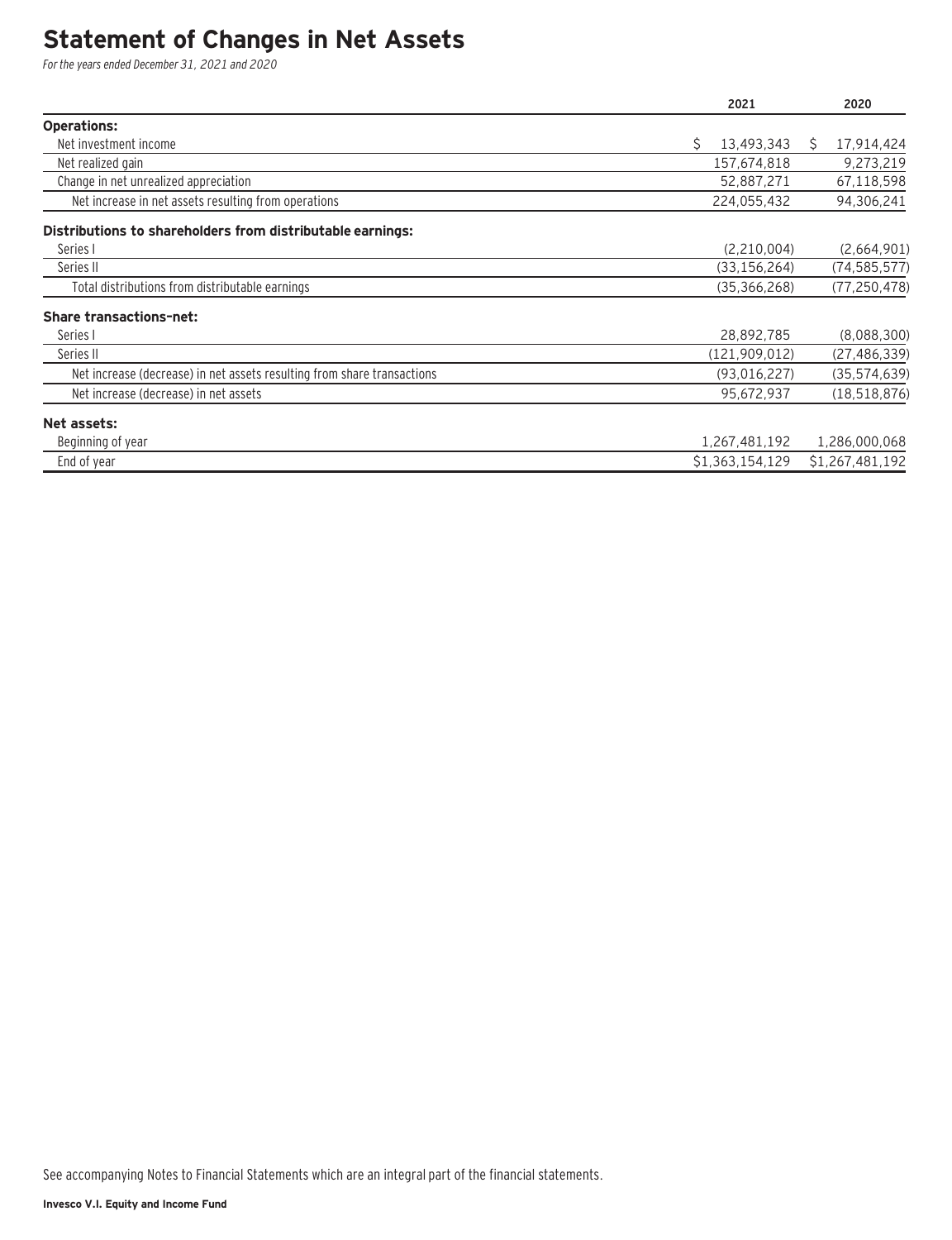### **Statement of Changes in Net Assets**

For the years ended December 31, 2021 and 2020

|                                                                         | 2021             | 2020            |
|-------------------------------------------------------------------------|------------------|-----------------|
| <b>Operations:</b>                                                      |                  |                 |
| Net investment income                                                   | \$<br>13,493,343 | 17,914,424<br>S |
| Net realized gain                                                       | 157,674,818      | 9,273,219       |
| Change in net unrealized appreciation                                   | 52,887,271       | 67,118,598      |
| Net increase in net assets resulting from operations                    | 224,055,432      | 94,306,241      |
| Distributions to shareholders from distributable earnings:              |                  |                 |
| Series I                                                                | (2,210,004)      | (2,664,901)     |
| Series II                                                               | (33, 156, 264)   | (74, 585, 577)  |
| Total distributions from distributable earnings                         | (35, 366, 268)   | (77, 250, 478)  |
| <b>Share transactions-net:</b>                                          |                  |                 |
| Series I                                                                | 28,892,785       | (8,088,300)     |
| Series II                                                               | (121,909,012)    | (27, 486, 339)  |
| Net increase (decrease) in net assets resulting from share transactions | (93, 016, 227)   | (35, 574, 639)  |
| Net increase (decrease) in net assets                                   | 95,672,937       | (18, 518, 876)  |
| Net assets:                                                             |                  |                 |
| Beginning of year                                                       | 1,267,481,192    | 1,286,000,068   |
| End of year                                                             | \$1,363,154,129  | \$1,267,481,192 |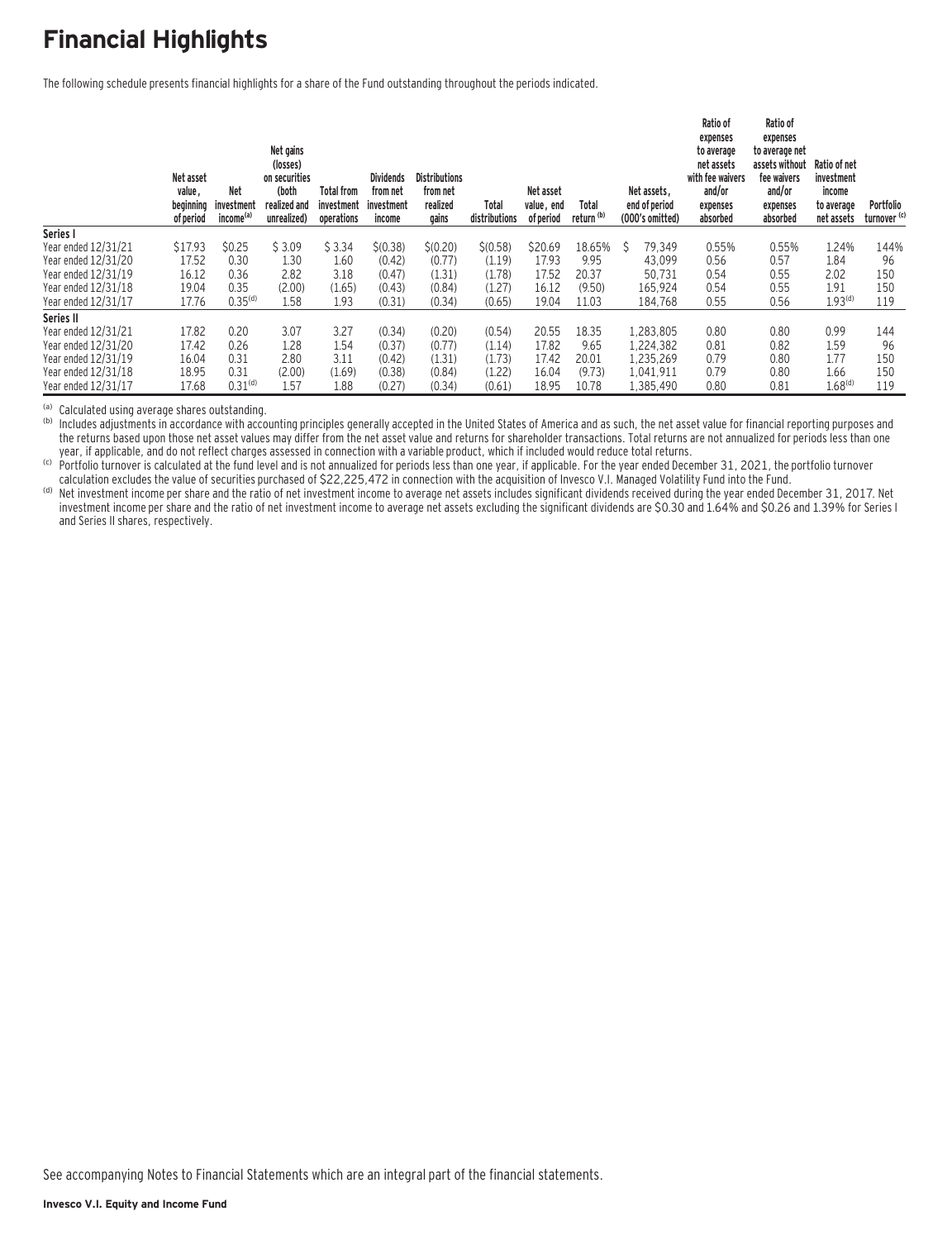### **Financial Highlights**

The following schedule presents financial highlights for a share of the Fund outstanding throughout the periods indicated.

|                     | Net asset<br>value,<br>beginning<br>of period | <b>Net</b><br>investment<br>income <sup>(a)</sup> | Net gains<br>(losses)<br>on securities<br>(both<br>realized and<br>unrealized) | Total from<br>investment<br>operations | <b>Dividends</b><br>from net<br>investment<br>income | <b>Distributions</b><br>from net<br>realized<br>gains | Total<br>distributions | Net asset<br>value, end<br>of period | Total<br>return <sup>(b)</sup> | Net assets.<br>end of period<br>(000's omitted) | Ratio of<br>expenses<br>to average<br>net assets<br>with fee waivers<br>and/or<br>expenses<br>absorbed | Ratio of<br>expenses<br>to average net<br>assets without<br>fee waivers<br>and/or<br>expenses<br>absorbed | Ratio of net<br>investment<br>income<br>to average<br>net assets | Portfolio<br>turnover <sup>(c)</sup> |
|---------------------|-----------------------------------------------|---------------------------------------------------|--------------------------------------------------------------------------------|----------------------------------------|------------------------------------------------------|-------------------------------------------------------|------------------------|--------------------------------------|--------------------------------|-------------------------------------------------|--------------------------------------------------------------------------------------------------------|-----------------------------------------------------------------------------------------------------------|------------------------------------------------------------------|--------------------------------------|
| Series I            |                                               |                                                   |                                                                                |                                        |                                                      |                                                       |                        |                                      |                                |                                                 |                                                                                                        |                                                                                                           |                                                                  |                                      |
| Year ended 12/31/21 | \$17.93                                       | \$0.25                                            | \$3.09                                                                         | \$3.34                                 | \$(0.38)                                             | \$(0.20)                                              | \$(0.58)               | \$20.69                              | 18.65%                         | Ŝ<br>79,349                                     | 0.55%                                                                                                  | 0.55%                                                                                                     | 1.24%                                                            | 144%                                 |
| Year ended 12/31/20 | 17.52                                         | 0.30                                              | 1.30                                                                           | 1.60                                   | (0.42)                                               | (0.77)                                                | (1.19)                 | 17.93                                | 9.95                           | 43.099                                          | 0.56                                                                                                   | 0.57                                                                                                      | 1.84                                                             | 96                                   |
| Year ended 12/31/19 | 16.12                                         | 0.36                                              | 2.82                                                                           | 3.18                                   | (0.47)                                               | (1.31)                                                | (1.78)                 | 17.52                                | 20.37                          | 50,731                                          | 0.54                                                                                                   | 0.55                                                                                                      | 2.02                                                             | 150                                  |
| Year ended 12/31/18 | 19.04                                         | 0.35                                              | (2.00)                                                                         | (1.65)                                 | (0.43)                                               | (0.84)                                                | (1.27)                 | 16.12                                | (9.50)                         | 165,924                                         | 0.54                                                                                                   | 0.55                                                                                                      | 1.91                                                             | 150                                  |
| Year ended 12/31/17 | 17.76                                         | 0.35 <sup>(d)</sup>                               | 1.58                                                                           | 1.93                                   | (0.31)                                               | (0.34)                                                | (0.65)                 | 19.04                                | 11.03                          | 184,768                                         | 0.55                                                                                                   | 0.56                                                                                                      | 1.93 <sup>(d)</sup>                                              | 119                                  |
| Series II           |                                               |                                                   |                                                                                |                                        |                                                      |                                                       |                        |                                      |                                |                                                 |                                                                                                        |                                                                                                           |                                                                  |                                      |
| Year ended 12/31/21 | 17.82                                         | 0.20                                              | 3.07                                                                           | 3.27                                   | (0.34)                                               | (0.20)                                                | (0.54)                 | 20.55                                | 18.35                          | 1.283.805                                       | 0.80                                                                                                   | 0.80                                                                                                      | 0.99                                                             | 144                                  |
| Year ended 12/31/20 | 17.42                                         | 0.26                                              | 1.28                                                                           | 1.54                                   | (0.37)                                               | (0.77)                                                | (1.14)                 | 17.82                                | 9.65                           | 1.224.382                                       | 0.81                                                                                                   | 0.82                                                                                                      | 1.59                                                             | 96                                   |
| Year ended 12/31/19 | 16.04                                         | 0.31                                              | 2.80                                                                           | 3.11                                   | (0.42)                                               | (1.31)                                                | (1.73)                 | 17.42                                | 20.01                          | 1,235,269                                       | 0.79                                                                                                   | 0.80                                                                                                      | 1.77                                                             | 150                                  |
| Year ended 12/31/18 | 18.95                                         | 0.31                                              | (2.00)                                                                         | (1.69)                                 | (0.38)                                               | (0.84)                                                | (1.22)                 | 16.04                                | (9.73)                         | 1,041,911                                       | 0.79                                                                                                   | 0.80                                                                                                      | 1.66                                                             | 150                                  |
| Year ended 12/31/17 | 17.68                                         | 0.31 <sup>(d)</sup>                               | 1.57                                                                           | 1.88                                   | (0.27)                                               | (0.34)                                                | (0.61)                 | 18.95                                | 10.78                          | 1,385,490                                       | 0.80                                                                                                   | 0.81                                                                                                      | 1.68 <sup>(d)</sup>                                              | 119                                  |

(a) Calculated using average shares outstanding.<br>(b) Includes adjustments in accordance with accounting principles generally accepted in the United States of America and as such, the net asset value for financial reporting the returns based upon those net asset values may differ from the net asset value and returns for shareholder transactions. Total returns are not annualized for periods less than one vear, if applicable, and do not reflect

(c) Portfolio turnover is calculated at the fund level and is not annualized for periods less than one year, if applicable. For the year ended December 31, 2021, the portfolio turnover<br>calculation excludes the value of sec

(d) Net investment income per share and the ratio of net investment income to average net assets includes significant dividends received during the year ended December 31, 2017. Net investment income per share and the ratio of net investment income to average net assets excluding the significant dividends are \$0.30 and 1.64% and \$0.26 and 1.39% for Series I and Series II shares, respectively.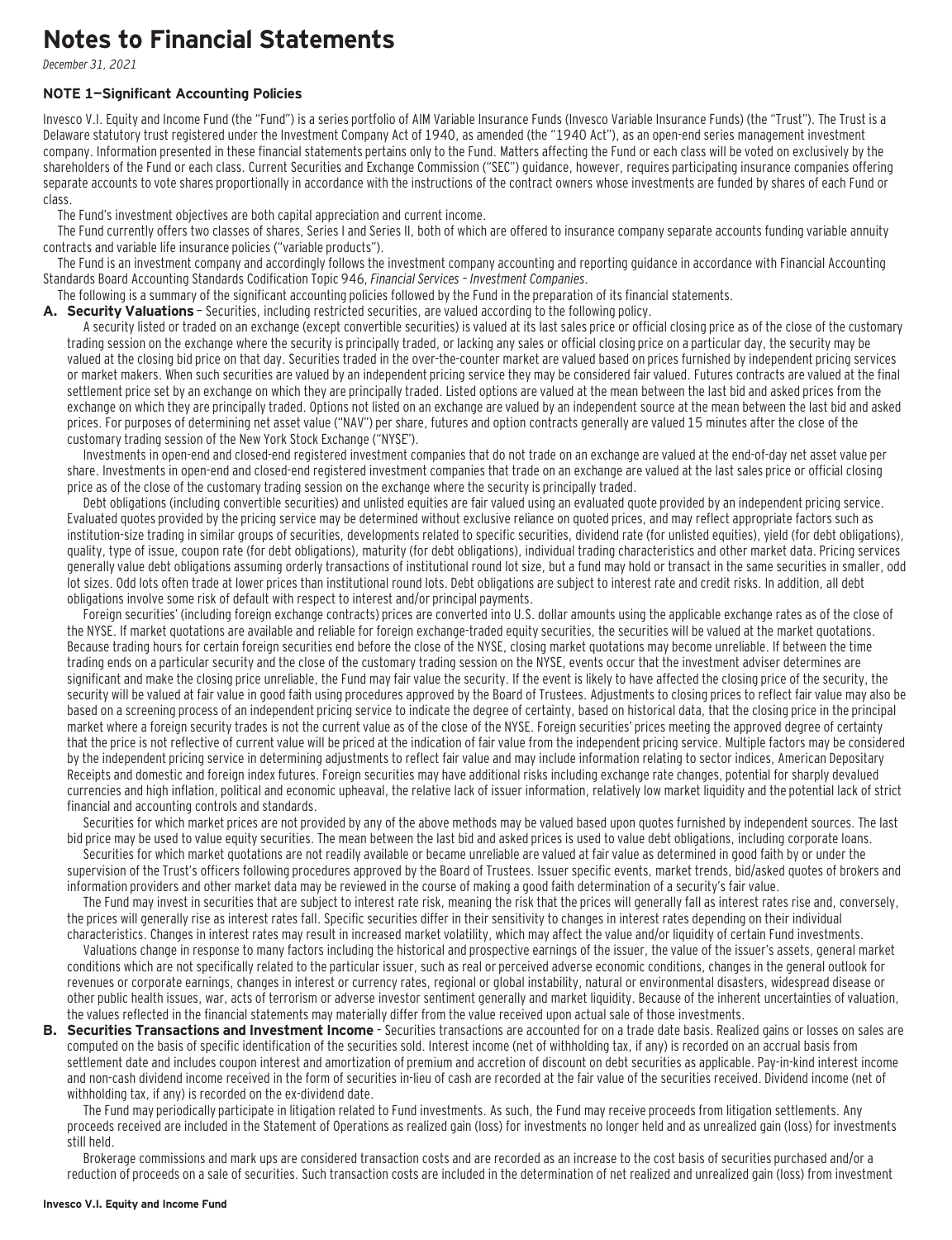### **Notes to Financial Statements**

December 31, 2021

#### **NOTE 1—Significant Accounting Policies**

Invesco V.I. Equity and Income Fund (the "Fund") is a series portfolio of AIM Variable Insurance Funds (Invesco Variable Insurance Funds) (the "Trust"). The Trust is a Delaware statutory trust registered under the Investment Company Act of 1940, as amended (the "1940 Act"), as an open-end series management investment company. Information presented in these financial statements pertains only to the Fund. Matters affecting the Fund or each class will be voted on exclusively by the shareholders of the Fund or each class. Current Securities and Exchange Commission ("SEC") guidance, however, requires participating insurance companies offering separate accounts to vote shares proportionally in accordance with the instructions of the contract owners whose investments are funded by shares of each Fund or class.

The Fund's investment objectives are both capital appreciation and current income.

The Fund currently offers two classes of shares, Series I and Series II, both of which are offered to insurance company separate accounts funding variable annuity contracts and variable life insurance policies ("variable products").

The Fund is an investment company and accordingly follows the investment company accounting and reporting guidance in accordance with Financial Accounting Standards Board Accounting Standards Codification Topic 946, Financial Services – Investment Companies.

The following is a summary of the significant accounting policies followed by the Fund in the preparation of its financial statements.

A. Security Valuations - Securities, including restricted securities, are valued according to the following policy.

A security listed or traded on an exchange (except convertible securities) is valued at its last sales price or official closing price as of the close of the customary trading session on the exchange where the security is principally traded, or lacking any sales or official closing price on a particular day, the security may be valued at the closing bid price on that day. Securities traded in the over-the-counter market are valued based on prices furnished by independent pricing services or market makers. When such securities are valued by an independent pricing service they may be considered fair valued. Futures contracts are valued at the final settlement price set by an exchange on which they are principally traded. Listed options are valued at the mean between the last bid and asked prices from the exchange on which they are principally traded. Options not listed on an exchange are valued by an independent source at the mean between the last bid and asked prices. For purposes of determining net asset value ("NAV") per share, futures and option contracts generally are valued 15 minutes after the close of the customary trading session of the New York Stock Exchange ("NYSE").

Investments in open-end and closed-end registered investment companies that do not trade on an exchange are valued at the end-of-day net asset value per share. Investments in open-end and closed-end registered investment companies that trade on an exchange are valued at the last sales price or official closing price as of the close of the customary trading session on the exchange where the security is principally traded.

Debt obligations (including convertible securities) and unlisted equities are fair valued using an evaluated quote provided by an independent pricing service. Evaluated quotes provided by the pricing service may be determined without exclusive reliance on quoted prices, and may reflect appropriate factors such as institution-size trading in similar groups of securities, developments related to specific securities, dividend rate (for unlisted equities), yield (for debt obligations), quality, type of issue, coupon rate (for debt obligations), maturity (for debt obligations), individual trading characteristics and other market data. Pricing services generally value debt obligations assuming orderly transactions of institutional round lot size, but a fund may hold or transact in the same securities in smaller, odd lot sizes. Odd lots often trade at lower prices than institutional round lots. Debt obligations are subject to interest rate and credit risks. In addition, all debt obligations involve some risk of default with respect to interest and/or principal payments.

Foreign securities' (including foreign exchange contracts) prices are converted into U.S. dollar amounts using the applicable exchange rates as of the close of the NYSE. If market quotations are available and reliable for foreign exchange-traded equity securities, the securities will be valued at the market quotations. Because trading hours for certain foreign securities end before the close of the NYSE, closing market quotations may become unreliable. If between the time trading ends on a particular security and the close of the customary trading session on the NYSE, events occur that the investment adviser determines are significant and make the closing price unreliable, the Fund may fair value the security. If the event is likely to have affected the closing price of the security, the security will be valued at fair value in good faith using procedures approved by the Board of Trustees. Adjustments to closing prices to reflect fair value may also be based on a screening process of an independent pricing service to indicate the degree of certainty, based on historical data, that the closing price in the principal market where a foreign security trades is not the current value as of the close of the NYSE. Foreign securities' prices meeting the approved degree of certainty that the price is not reflective of current value will be priced at the indication of fair value from the independent pricing service. Multiple factors may be considered by the independent pricing service in determining adjustments to reflect fair value and may include information relating to sector indices, American Depositary Receipts and domestic and foreign index futures. Foreign securities may have additional risks including exchange rate changes, potential for sharply devalued currencies and high inflation, political and economic upheaval, the relative lack of issuer information, relatively low market liquidity and the potential lack of strict financial and accounting controls and standards.

Securities for which market prices are not provided by any of the above methods may be valued based upon quotes furnished by independent sources. The last bid price may be used to value equity securities. The mean between the last bid and asked prices is used to value debt obligations, including corporate loans.

Securities for which market quotations are not readily available or became unreliable are valued at fair value as determined in good faith by or under the supervision of the Trust's officers following procedures approved by the Board of Trustees. Issuer specific events, market trends, bid/asked quotes of brokers and information providers and other market data may be reviewed in the course of making a good faith determination of a security's fair value.

The Fund may invest in securities that are subject to interest rate risk, meaning the risk that the prices will generally fall as interest rates rise and, conversely, the prices will generally rise as interest rates fall. Specific securities differ in their sensitivity to changes in interest rates depending on their individual characteristics. Changes in interest rates may result in increased market volatility, which may affect the value and/or liquidity of certain Fund investments.

Valuations change in response to many factors including the historical and prospective earnings of the issuer, the value of the issuer's assets, general market conditions which are not specifically related to the particular issuer, such as real or perceived adverse economic conditions, changes in the general outlook for revenues or corporate earnings, changes in interest or currency rates, regional or global instability, natural or environmental disasters, widespread disease or other public health issues, war, acts of terrorism or adverse investor sentiment generally and market liquidity. Because of the inherent uncertainties of valuation, the values reflected in the financial statements may materially differ from the value received upon actual sale of those investments.

**B. Securities Transactions and Investment Income** - Securities transactions are accounted for on a trade date basis. Realized gains or losses on sales are computed on the basis of specific identification of the securities sold. Interest income (net of withholding tax, if any) is recorded on an accrual basis from settlement date and includes coupon interest and amortization of premium and accretion of discount on debt securities as applicable. Pay-in-kind interest income and non-cash dividend income received in the form of securities in-lieu of cash are recorded at the fair value of the securities received. Dividend income (net of withholding tax, if any) is recorded on the ex-dividend date.

The Fund may periodically participate in litigation related to Fund investments. As such, the Fund may receive proceeds from litigation settlements. Any proceeds received are included in the Statement of Operations as realized gain (loss) for investments no longer held and as unrealized gain (loss) for investments still held.

Brokerage commissions and mark ups are considered transaction costs and are recorded as an increase to the cost basis of securities purchased and/or a reduction of proceeds on a sale of securities. Such transaction costs are included in the determination of net realized and unrealized gain (loss) from investment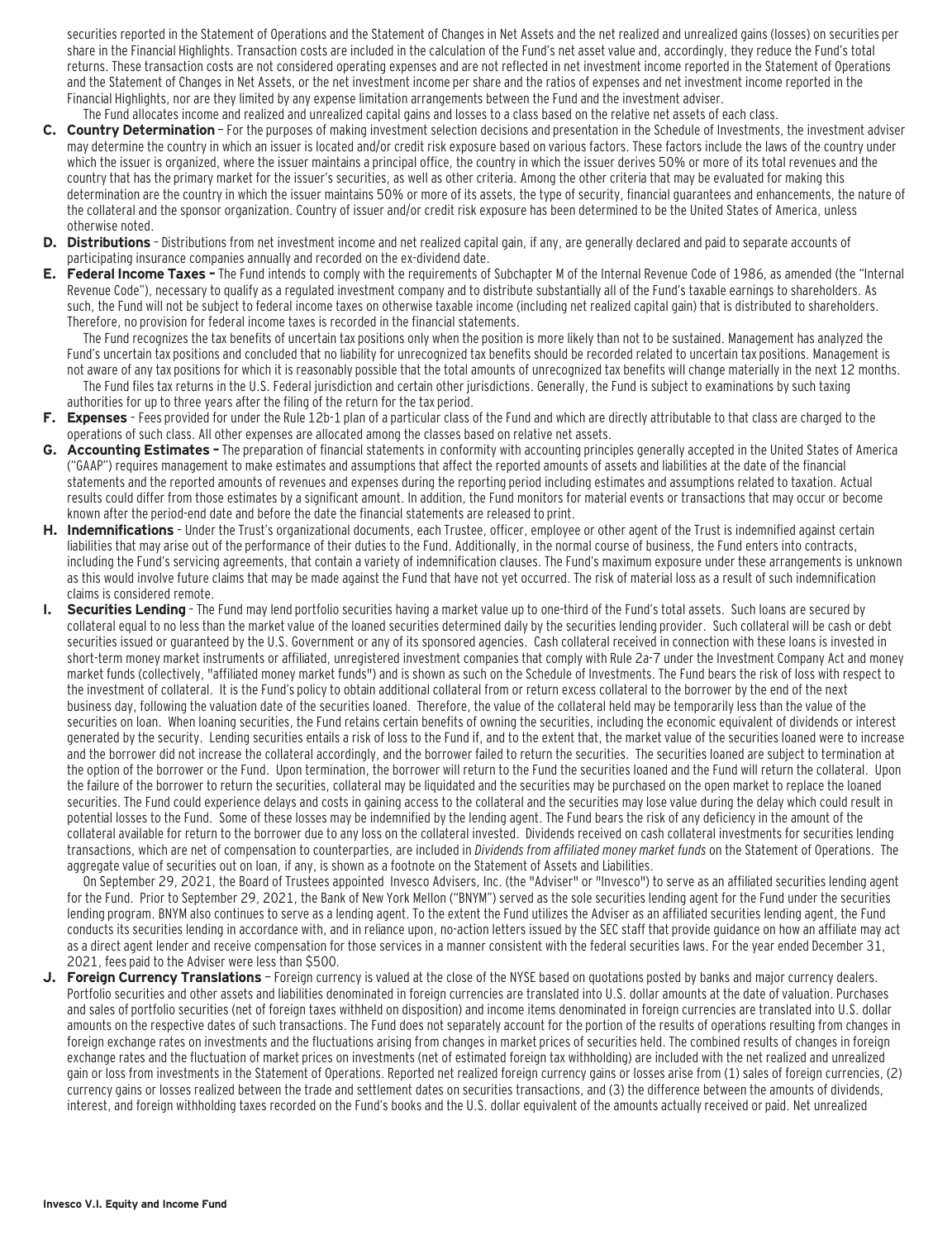securities reported in the Statement of Operations and the Statement of Changes in Net Assets and the net realized and unrealized gains (losses) on securities per share in the Financial Highlights. Transaction costs are included in the calculation of the Fund's net asset value and, accordingly, they reduce the Fund's total returns. These transaction costs are not considered operating expenses and are not reflected in net investment income reported in the Statement of Operations and the Statement of Changes in Net Assets, or the net investment income per share and the ratios of expenses and net investment income reported in the Financial Highlights, nor are they limited by any expense limitation arrangements between the Fund and the investment adviser. The Fund allocates income and realized and unrealized capital gains and losses to a class based on the relative net assets of each class.

- **C. Country Determination**  For the purposes of making investment selection decisions and presentation in the Schedule of Investments, the investment adviser may determine the country in which an issuer is located and/or credit risk exposure based on various factors. These factors include the laws of the country under which the issuer is organized, where the issuer maintains a principal office, the country in which the issuer derives 50% or more of its total revenues and the country that has the primary market for the issuer's securities, as well as other criteria. Among the other criteria that may be evaluated for making this determination are the country in which the issuer maintains 50% or more of its assets, the type of security, financial guarantees and enhancements, the nature of the collateral and the sponsor organization. Country of issuer and/or credit risk exposure has been determined to be the United States of America, unless otherwise noted.
- **D. Distributions**  Distributions from net investment income and net realized capital gain, if any, are generally declared and paid to separate accounts of participating insurance companies annually and recorded on the ex-dividend date.
- **E. Federal Income Taxes** The Fund intends to comply with the requirements of Subchapter M of the Internal Revenue Code of 1986, as amended (the "Internal Revenue Code"), necessary to qualify as a regulated investment company and to distribute substantially all of the Fund's taxable earnings to shareholders. As such, the Fund will not be subject to federal income taxes on otherwise taxable income (including net realized capital gain) that is distributed to shareholders. Therefore, no provision for federal income taxes is recorded in the financial statements.

The Fund recognizes the tax benefits of uncertain tax positions only when the position is more likely than not to be sustained. Management has analyzed the Fund's uncertain tax positions and concluded that no liability for unrecognized tax benefits should be recorded related to uncertain tax positions. Management is not aware of any tax positions for which it is reasonably possible that the total amounts of unrecognized tax benefits will change materially in the next 12 months. The Fund files tax returns in the U.S. Federal jurisdiction and certain other jurisdictions. Generally, the Fund is subject to examinations by such taxing

- authorities for up to three years after the filing of the return for the tax period. **F. Expenses** – Fees provided for under the Rule 12b-1 plan of a particular class of the Fund and which are directly attributable to that class are charged to the
- operations of such class. All other expenses are allocated among the classes based on relative net assets.
- **G. Accounting Estimates** The preparation of financial statements in conformity with accounting principles generally accepted in the United States of America ("GAAP") requires management to make estimates and assumptions that affect the reported amounts of assets and liabilities at the date of the financial statements and the reported amounts of revenues and expenses during the reporting period including estimates and assumptions related to taxation. Actual results could differ from those estimates by a significant amount. In addition, the Fund monitors for material events or transactions that may occur or become known after the period-end date and before the date the financial statements are released to print.
- **H. Indemnifications**  Under the Trust's organizational documents, each Trustee, officer, employee or other agent of the Trust is indemnified against certain liabilities that may arise out of the performance of their duties to the Fund. Additionally, in the normal course of business, the Fund enters into contracts, including the Fund's servicing agreements, that contain a variety of indemnification clauses. The Fund's maximum exposure under these arrangements is unknown as this would involve future claims that may be made against the Fund that have not yet occurred. The risk of material loss as a result of such indemnification claims is considered remote.
- **I. Securities Lending**  The Fund may lend portfolio securities having a market value up to one-third of the Fund's total assets. Such loans are secured by collateral equal to no less than the market value of the loaned securities determined daily by the securities lending provider. Such collateral will be cash or debt securities issued or guaranteed by the U.S. Government or any of its sponsored agencies. Cash collateral received in connection with these loans is invested in short-term money market instruments or affiliated, unregistered investment companies that comply with Rule 2a-7 under the Investment Company Act and money market funds (collectively, "affiliated money market funds") and is shown as such on the Schedule of Investments. The Fund bears the risk of loss with respect to the investment of collateral. It is the Fund's policy to obtain additional collateral from or return excess collateral to the borrower by the end of the next business day, following the valuation date of the securities loaned. Therefore, the value of the collateral held may be temporarily less than the value of the securities on loan. When loaning securities, the Fund retains certain benefits of owning the securities, including the economic equivalent of dividends or interest generated by the security. Lending securities entails a risk of loss to the Fund if, and to the extent that, the market value of the securities loaned were to increase and the borrower did not increase the collateral accordingly, and the borrower failed to return the securities. The securities loaned are subject to termination at the option of the borrower or the Fund. Upon termination, the borrower will return to the Fund the securities loaned and the Fund will return the collateral. Upon the failure of the borrower to return the securities, collateral may be liquidated and the securities may be purchased on the open market to replace the loaned securities. The Fund could experience delays and costs in gaining access to the collateral and the securities may lose value during the delay which could result in potential losses to the Fund. Some of these losses may be indemnified by the lending agent. The Fund bears the risk of any deficiency in the amount of the collateral available for return to the borrower due to any loss on the collateral invested. Dividends received on cash collateral investments for securities lending transactions, which are net of compensation to counterparties, are included in Dividends from affiliated money market funds on the Statement of Operations. The aggregate value of securities out on loan, if any, is shown as a footnote on the Statement of Assets and Liabilities.

On September 29, 2021, the Board of Trustees appointed Invesco Advisers, Inc. (the "Adviser" or "Invesco") to serve as an affiliated securities lending agent for the Fund. Prior to September 29, 2021, the Bank of New York Mellon ("BNYM") served as the sole securities lending agent for the Fund under the securities lending program. BNYM also continues to serve as a lending agent. To the extent the Fund utilizes the Adviser as an affiliated securities lending agent, the Fund conducts its securities lending in accordance with, and in reliance upon, no-action letters issued by the SEC staff that provide guidance on how an affiliate may act as a direct agent lender and receive compensation for those services in a manner consistent with the federal securities laws. For the year ended December 31, 2021, fees paid to the Adviser were less than \$500.

**J. Foreign Currency Translations** — Foreign currency is valued at the close of the NYSE based on quotations posted by banks and major currency dealers. Portfolio securities and other assets and liabilities denominated in foreign currencies are translated into U.S. dollar amounts at the date of valuation. Purchases and sales of portfolio securities (net of foreign taxes withheld on disposition) and income items denominated in foreign currencies are translated into U.S. dollar amounts on the respective dates of such transactions. The Fund does not separately account for the portion of the results of operations resulting from changes in foreign exchange rates on investments and the fluctuations arising from changes in market prices of securities held. The combined results of changes in foreign exchange rates and the fluctuation of market prices on investments (net of estimated foreign tax withholding) are included with the net realized and unrealized gain or loss from investments in the Statement of Operations. Reported net realized foreign currency gains or losses arise from (1) sales of foreign currencies, (2) currency gains or losses realized between the trade and settlement dates on securities transactions, and (3) the difference between the amounts of dividends, interest, and foreign withholding taxes recorded on the Fund's books and the U.S. dollar equivalent of the amounts actually received or paid. Net unrealized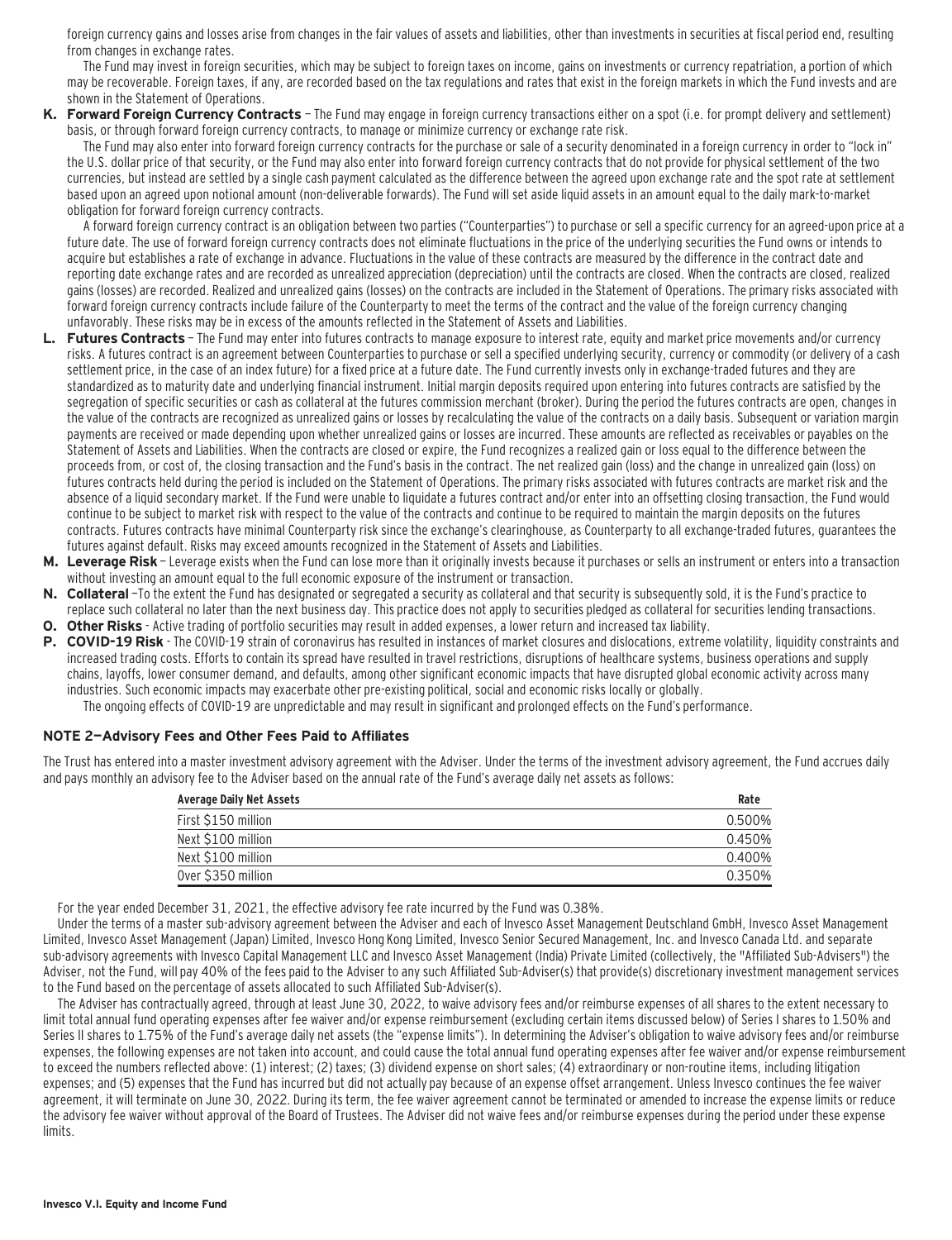foreign currency gains and losses arise from changes in the fair values of assets and liabilities, other than investments in securities at fiscal period end, resulting from changes in exchange rates.

The Fund may invest in foreign securities, which may be subject to foreign taxes on income, gains on investments or currency repatriation, a portion of which may be recoverable. Foreign taxes, if any, are recorded based on the tax regulations and rates that exist in the foreign markets in which the Fund invests and are shown in the Statement of Operations.

**K. Forward Foreign Currency Contracts** — The Fund may engage in foreign currency transactions either on a spot (i.e. for prompt delivery and settlement) basis, or through forward foreign currency contracts, to manage or minimize currency or exchange rate risk.

The Fund may also enter into forward foreign currency contracts for the purchase or sale of a security denominated in a foreign currency in order to "lock in" the U.S. dollar price of that security, or the Fund may also enter into forward foreign currency contracts that do not provide for physical settlement of the two currencies, but instead are settled by a single cash payment calculated as the difference between the agreed upon exchange rate and the spot rate at settlement based upon an agreed upon notional amount (non-deliverable forwards). The Fund will set aside liquid assets in an amount equal to the daily mark-to-market obligation for forward foreign currency contracts.

A forward foreign currency contract is an obligation between two parties ("Counterparties") to purchase or sell a specific currency for an agreed-upon price at a future date. The use of forward foreign currency contracts does not eliminate fluctuations in the price of the underlying securities the Fund owns or intends to acquire but establishes a rate of exchange in advance. Fluctuations in the value of these contracts are measured by the difference in the contract date and reporting date exchange rates and are recorded as unrealized appreciation (depreciation) until the contracts are closed. When the contracts are closed, realized gains (losses) are recorded. Realized and unrealized gains (losses) on the contracts are included in the Statement of Operations. The primary risks associated with forward foreign currency contracts include failure of the Counterparty to meet the terms of the contract and the value of the foreign currency changing unfavorably. These risks may be in excess of the amounts reflected in the Statement of Assets and Liabilities.

- L. Futures Contracts The Fund may enter into futures contracts to manage exposure to interest rate, equity and market price movements and/or currency risks. A futures contract is an agreement between Counterparties to purchase or sell a specified underlying security, currency or commodity (or delivery of a cash settlement price, in the case of an index future) for a fixed price at a future date. The Fund currently invests only in exchange-traded futures and they are standardized as to maturity date and underlying financial instrument. Initial margin deposits required upon entering into futures contracts are satisfied by the segregation of specific securities or cash as collateral at the futures commission merchant (broker). During the period the futures contracts are open, changes in the value of the contracts are recognized as unrealized gains or losses by recalculating the value of the contracts on a daily basis. Subsequent or variation margin payments are received or made depending upon whether unrealized gains or losses are incurred. These amounts are reflected as receivables or payables on the Statement of Assets and Liabilities. When the contracts are closed or expire, the Fund recognizes a realized gain or loss equal to the difference between the proceeds from, or cost of, the closing transaction and the Fund's basis in the contract. The net realized gain (loss) and the change in unrealized gain (loss) on futures contracts held during the period is included on the Statement of Operations. The primary risks associated with futures contracts are market risk and the absence of a liquid secondary market. If the Fund were unable to liquidate a futures contract and/or enter into an offsetting closing transaction, the Fund would continue to be subject to market risk with respect to the value of the contracts and continue to be required to maintain the margin deposits on the futures contracts. Futures contracts have minimal Counterparty risk since the exchange's clearinghouse, as Counterparty to all exchange-traded futures, guarantees the futures against default. Risks may exceed amounts recognized in the Statement of Assets and Liabilities.
- **M. Leverage Risk**  Leverage exists when the Fund can lose more than it originally invests because it purchases or sells an instrument or enters into a transaction without investing an amount equal to the full economic exposure of the instrument or transaction.
- **N. Collateral** —To the extent the Fund has designated or segregated a security as collateral and that security is subsequently sold, it is the Fund's practice to replace such collateral no later than the next business day. This practice does not apply to securities pledged as collateral for securities lending transactions.
- **O. Other Risks**  Active trading of portfolio securities may result in added expenses, a lower return and increased tax liability.
- P. COVID-19 Risk The COVID-19 strain of coronavirus has resulted in instances of market closures and dislocations, extreme volatility, liquidity constraints and increased trading costs. Efforts to contain its spread have resulted in travel restrictions, disruptions of healthcare systems, business operations and supply chains, layoffs, lower consumer demand, and defaults, among other significant economic impacts that have disrupted global economic activity across many industries. Such economic impacts may exacerbate other pre-existing political, social and economic risks locally or globally. The ongoing effects of COVID-19 are unpredictable and may result in significant and prolonged effects on the Fund's performance.

**NOTE 2—Advisory Fees and Other Fees Paid to Affiliates**

The Trust has entered into a master investment advisory agreement with the Adviser. Under the terms of the investment advisory agreement, the Fund accrues daily and pays monthly an advisory fee to the Adviser based on the annual rate of the Fund's average daily net assets as follows:

| <b>Average Daily Net Assets</b> | Rate   |
|---------------------------------|--------|
| First \$150 million             | 0.500% |
| Next \$100 million              | 0.450% |
| Next \$100 million              | 0.400% |
| Over \$350 million              | 0.350% |

For the year ended December 31, 2021, the effective advisory fee rate incurred by the Fund was 0.38%.

Under the terms of a master sub-advisory agreement between the Adviser and each of Invesco Asset Management Deutschland GmbH, Invesco Asset Management Limited, Invesco Asset Management (Japan) Limited, Invesco Hong Kong Limited, Invesco Senior Secured Management, Inc. and Invesco Canada Ltd. and separate sub-advisory agreements with Invesco Capital Management LLC and Invesco Asset Management (India) Private Limited (collectively, the "Affiliated Sub-Advisers") the Adviser, not the Fund, will pay 40% of the fees paid to the Adviser to any such Affiliated Sub-Adviser(s) that provide(s) discretionary investment management services to the Fund based on the percentage of assets allocated to such Affiliated Sub-Adviser(s).

The Adviser has contractually agreed, through at least June 30, 2022, to waive advisory fees and/or reimburse expenses of all shares to the extent necessary to limit total annual fund operating expenses after fee waiver and/or expense reimbursement (excluding certain items discussed below) of Series I shares to 1.50% and Series II shares to 1.75% of the Fund's average daily net assets (the "expense limits"). In determining the Adviser's obligation to waive advisory fees and/or reimburse expenses, the following expenses are not taken into account, and could cause the total annual fund operating expenses after fee waiver and/or expense reimbursement to exceed the numbers reflected above: (1) interest; (2) taxes; (3) dividend expense on short sales; (4) extraordinary or non-routine items, including litigation expenses; and (5) expenses that the Fund has incurred but did not actually pay because of an expense offset arrangement. Unless Invesco continues the fee waiver agreement, it will terminate on June 30, 2022. During its term, the fee waiver agreement cannot be terminated or amended to increase the expense limits or reduce the advisory fee waiver without approval of the Board of Trustees. The Adviser did not waive fees and/or reimburse expenses during the period under these expense limits.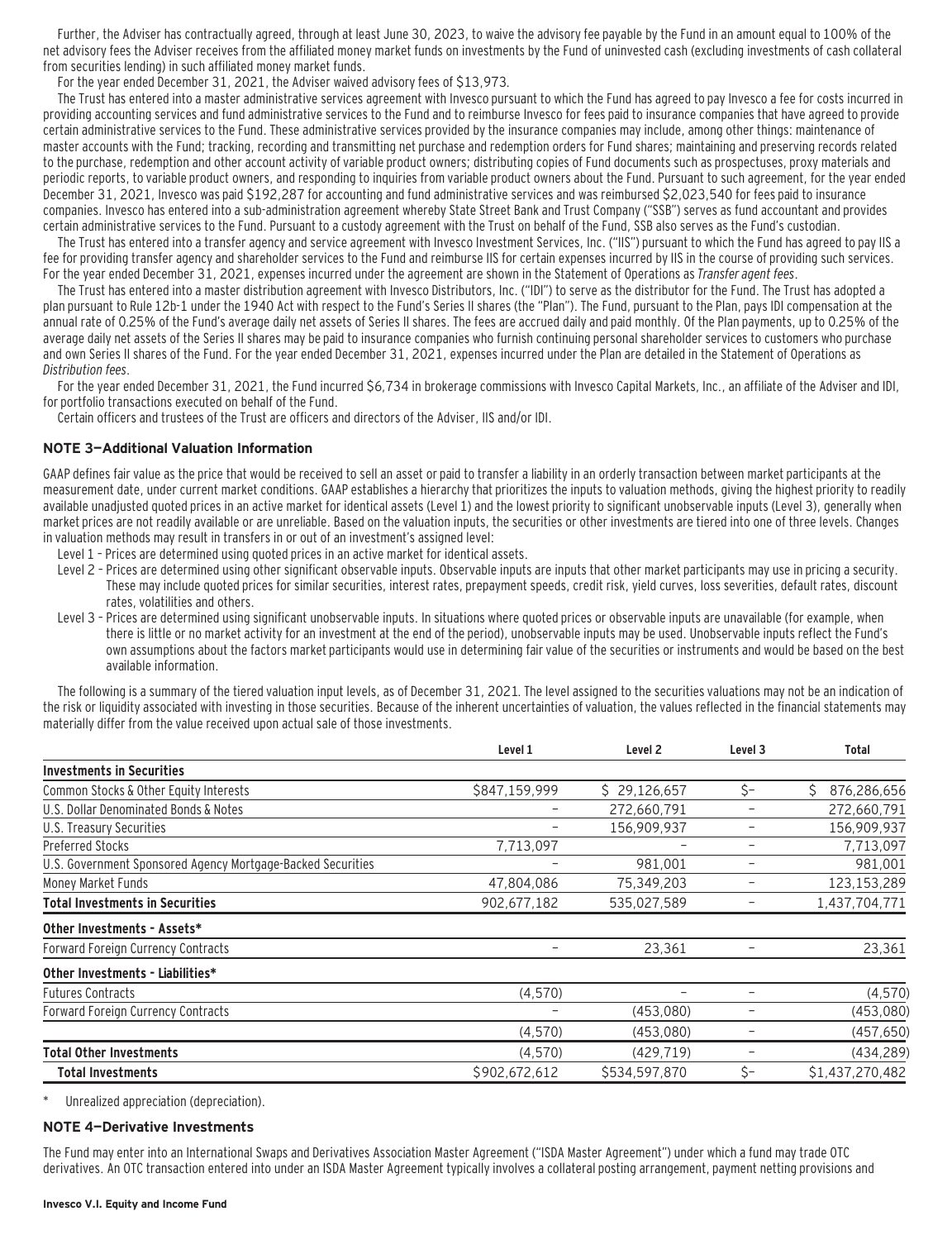Further, the Adviser has contractually agreed, through at least June 30, 2023, to waive the advisory fee payable by the Fund in an amount equal to 100% of the net advisory fees the Adviser receives from the affiliated money market funds on investments by the Fund of uninvested cash (excluding investments of cash collateral from securities lending) in such affiliated money market funds.

For the year ended December 31, 2021, the Adviser waived advisory fees of \$13,973.

The Trust has entered into a master administrative services agreement with Invesco pursuant to which the Fund has agreed to pay Invesco a fee for costs incurred in providing accounting services and fund administrative services to the Fund and to reimburse Invesco for fees paid to insurance companies that have agreed to provide certain administrative services to the Fund. These administrative services provided by the insurance companies may include, among other things: maintenance of master accounts with the Fund; tracking, recording and transmitting net purchase and redemption orders for Fund shares; maintaining and preserving records related to the purchase, redemption and other account activity of variable product owners; distributing copies of Fund documents such as prospectuses, proxy materials and periodic reports, to variable product owners, and responding to inquiries from variable product owners about the Fund. Pursuant to such agreement, for the year ended December 31, 2021, Invesco was paid \$192,287 for accounting and fund administrative services and was reimbursed \$2,023,540 for fees paid to insurance companies. Invesco has entered into a sub-administration agreement whereby State Street Bank and Trust Company ("SSB") serves as fund accountant and provides certain administrative services to the Fund. Pursuant to a custody agreement with the Trust on behalf of the Fund, SSB also serves as the Fund's custodian.

The Trust has entered into a transfer agency and service agreement with Invesco Investment Services, Inc. ("IIS") pursuant to which the Fund has agreed to pay IIS a fee for providing transfer agency and shareholder services to the Fund and reimburse IIS for certain expenses incurred by IIS in the course of providing such services. For the year ended December 31, 2021, expenses incurred under the agreement are shown in the Statement of Operations as Transfer agent fees.

The Trust has entered into a master distribution agreement with Invesco Distributors, Inc. ("IDI") to serve as the distributor for the Fund. The Trust has adopted a plan pursuant to Rule 12b-1 under the 1940 Act with respect to the Fund's Series II shares (the "Plan"). The Fund, pursuant to the Plan, pays IDI compensation at the annual rate of 0.25% of the Fund's average daily net assets of Series II shares. The fees are accrued daily and paid monthly. Of the Plan payments, up to 0.25% of the average daily net assets of the Series II shares may be paid to insurance companies who furnish continuing personal shareholder services to customers who purchase and own Series II shares of the Fund. For the year ended December 31, 2021, expenses incurred under the Plan are detailed in the Statement of Operations as Distribution fees.

For the year ended December 31, 2021, the Fund incurred \$6,734 in brokerage commissions with Invesco Capital Markets, Inc., an affiliate of the Adviser and IDI, for portfolio transactions executed on behalf of the Fund.

Certain officers and trustees of the Trust are officers and directors of the Adviser, IIS and/or IDI.

#### **NOTE 3—Additional Valuation Information**

GAAP defines fair value as the price that would be received to sell an asset or paid to transfer a liability in an orderly transaction between market participants at the measurement date, under current market conditions. GAAP establishes a hierarchy that prioritizes the inputs to valuation methods, giving the highest priority to readily available unadjusted quoted prices in an active market for identical assets (Level 1) and the lowest priority to significant unobservable inputs (Level 3), generally when market prices are not readily available or are unreliable. Based on the valuation inputs, the securities or other investments are tiered into one of three levels. Changes in valuation methods may result in transfers in or out of an investment's assigned level:

- Level 1 Prices are determined using quoted prices in an active market for identical assets.
- Level 2 Prices are determined using other significant observable inputs. Observable inputs that other market participants may use in pricing a security. These may include quoted prices for similar securities, interest rates, prepayment speeds, credit risk, yield curves, loss severities, default rates, discount rates, volatilities and others.
- Level 3 Prices are determined using significant unobservable inputs. In situations where quoted prices or observable inputs are unavailable (for example, when there is little or no market activity for an investment at the end of the period), unobservable inputs may be used. Unobservable inputs reflect the Fund's own assumptions about the factors market participants would use in determining fair value of the securities or instruments and would be based on the best available information.

The following is a summary of the tiered valuation input levels, as of December 31, 2021. The level assigned to the securities valuations may not be an indication of the risk or liquidity associated with investing in those securities. Because of the inherent uncertainties of valuation, the values reflected in the financial statements may materially differ from the value received upon actual sale of those investments.

|                                                             | Level 1                  | Level <sub>2</sub> | Level 3 | <b>Total</b>      |
|-------------------------------------------------------------|--------------------------|--------------------|---------|-------------------|
| <b>Investments in Securities</b>                            |                          |                    |         |                   |
| Common Stocks & Other Equity Interests                      | \$847,159,999            | \$29,126,657       | \$-     | Ś.<br>876,286,656 |
| U.S. Dollar Denominated Bonds & Notes                       |                          | 272,660,791        |         | 272,660,791       |
| U.S. Treasury Securities                                    | -                        | 156,909,937        |         | 156,909,937       |
| <b>Preferred Stocks</b>                                     | 7,713,097                |                    |         | 7,713,097         |
| U.S. Government Sponsored Agency Mortgage-Backed Securities |                          | 981,001            |         | 981,001           |
| Money Market Funds                                          | 47,804,086               | 75,349,203         |         | 123, 153, 289     |
| Total Investments in Securities                             | 902,677,182              | 535,027,589        |         | 1,437,704,771     |
| Other Investments - Assets*                                 |                          |                    |         |                   |
| <b>Forward Foreign Currency Contracts</b>                   | $\overline{\phantom{0}}$ | 23,361             |         | 23,361            |
| Other Investments - Liabilities*                            |                          |                    |         |                   |
| <b>Futures Contracts</b>                                    | (4,570)                  | -                  | -       | (4, 570)          |
| <b>Forward Foreign Currency Contracts</b>                   |                          | (453,080)          |         | (453,080)         |
|                                                             | (4,570)                  | (453,080)          |         | (457, 650)        |
| <b>Total Other Investments</b>                              | (4,570)                  | (429, 719)         |         | (434, 289)        |
| <b>Total Investments</b>                                    | \$902,672,612            | \$534,597,870      | \$-     | \$1,437,270,482   |

\* Unrealized appreciation (depreciation).

#### **NOTE 4—Derivative Investments**

The Fund may enter into an International Swaps and Derivatives Association Master Agreement ("ISDA Master Agreement") under which a fund may trade OTC derivatives. An OTC transaction entered into under an ISDA Master Agreement typically involves a collateral posting arrangement, payment netting provisions and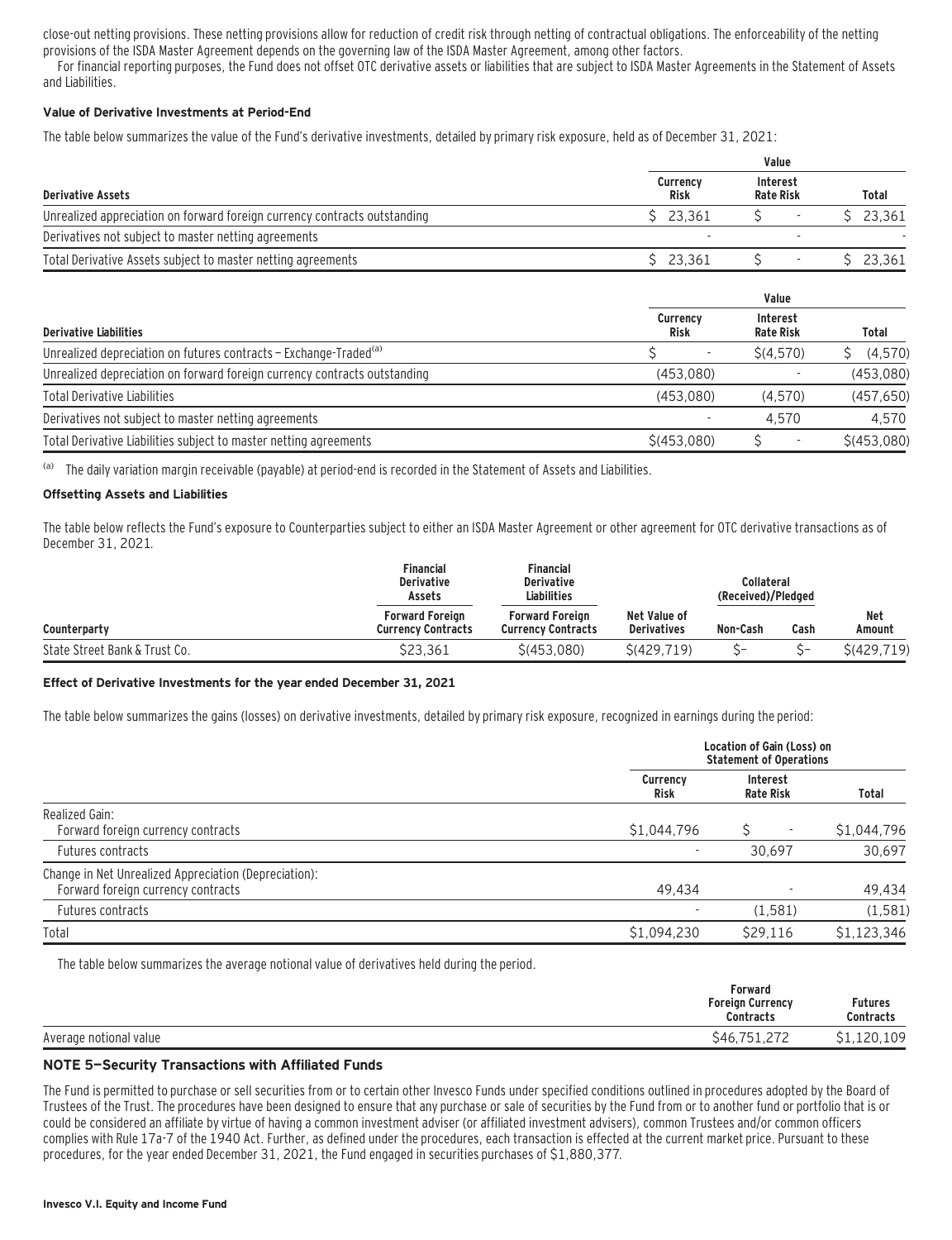close-out netting provisions. These netting provisions allow for reduction of credit risk through netting of contractual obligations. The enforceability of the netting provisions of the ISDA Master Agreement depends on the governing law of the ISDA Master Agreement, among other factors.

For financial reporting purposes, the Fund does not offset OTC derivative assets or liabilities that are subject to ISDA Master Agreements in the Statement of Assets and Liabilities.

#### **Value of Derivative Investments at Period-End**

The table below summarizes the value of the Fund's derivative investments, detailed by primary risk exposure, held as of December 31, 2021:

|                                                                           |                  | Value                        |        |  |  |  |  |  |
|---------------------------------------------------------------------------|------------------|------------------------------|--------|--|--|--|--|--|
| <b>Derivative Assets</b>                                                  | Currency<br>Risk | Interest<br><b>Rate Risk</b> | Total  |  |  |  |  |  |
| Unrealized appreciation on forward foreign currency contracts outstanding | \$23.361         |                              | 23.361 |  |  |  |  |  |
| Derivatives not subject to master netting agreements                      |                  |                              |        |  |  |  |  |  |
| Total Derivative Assets subject to master netting agreements              | \$23.361         |                              | 23.361 |  |  |  |  |  |

|                                                                               | Value                   |                                     |             |  |  |  |  |
|-------------------------------------------------------------------------------|-------------------------|-------------------------------------|-------------|--|--|--|--|
| <b>Derivative Liabilities</b>                                                 | Currency<br><b>Risk</b> | <b>Interest</b><br><b>Rate Risk</b> | Total       |  |  |  |  |
| Unrealized depreciation on futures contracts - Exchange-Traded <sup>(a)</sup> |                         | \$(4,570)                           | (4,570)     |  |  |  |  |
| Unrealized depreciation on forward foreign currency contracts outstanding     | (453.080)               |                                     | (453,080)   |  |  |  |  |
| <b>Total Derivative Liabilities</b>                                           | (453.080)               | (4.570)                             | (457, 650)  |  |  |  |  |
| Derivatives not subject to master netting agreements                          |                         | 4.570                               | 4.570       |  |  |  |  |
| Total Derivative Liabilities subject to master netting agreements             | S(453.080)              |                                     | \$(453,080) |  |  |  |  |

<sup>(a)</sup> The daily variation margin receivable (payable) at period-end is recorded in the Statement of Assets and Liabilities.

#### **Offsetting Assets and Liabilities**

The table below reflects the Fund's exposure to Counterparties subject to either an ISDA Master Agreement or other agreement for OTC derivative transactions as of December 31, 2021.

|                               | Financial<br><b>Derivative</b><br>Assets            | <b>Financial</b><br><b>Derivative</b><br><b>Liabilities</b> |                                    | Collateral<br>(Received)/Pledged |      |                      |
|-------------------------------|-----------------------------------------------------|-------------------------------------------------------------|------------------------------------|----------------------------------|------|----------------------|
| Counterparty                  | <b>Forward Foreign</b><br><b>Currency Contracts</b> | <b>Forward Foreign</b><br><b>Currency Contracts</b>         | Net Value of<br><b>Derivatives</b> | Non-Cash                         | Cash | <b>Net</b><br>Amount |
| State Street Bank & Trust Co. | \$23.361                                            | \$(453.080)                                                 | S(429.719)                         |                                  |      | \$(429, 719)         |

#### **Effect of Derivative Investments for the year ended December 31, 2021**

The table below summarizes the gains (losses) on derivative investments, detailed by primary risk exposure, recognized in earnings during the period:

|                                                                                             | Location of Gain (Loss) on<br><b>Statement of Operations</b> |                                     |             |  |
|---------------------------------------------------------------------------------------------|--------------------------------------------------------------|-------------------------------------|-------------|--|
|                                                                                             | <b>Currency</b><br>Risk                                      | <b>Interest</b><br><b>Rate Risk</b> | Total       |  |
| Realized Gain:<br>Forward foreign currency contracts                                        | \$1,044,796                                                  | ٠                                   | \$1,044,796 |  |
| Futures contracts                                                                           | ٠                                                            | 30.697                              | 30,697      |  |
| Change in Net Unrealized Appreciation (Depreciation):<br>Forward foreign currency contracts | 49.434                                                       |                                     | 49,434      |  |
| Futures contracts                                                                           | ٠                                                            | (1,581)                             | (1, 581)    |  |
| Total                                                                                       | \$1,094,230                                                  | \$29,116                            | \$1,123,346 |  |

The table below summarizes the average notional value of derivatives held during the period.

|                        | Forward<br><b>Foreign Currency</b><br><b>Contracts</b> | <b>Futures</b><br><b>Contracts</b> |
|------------------------|--------------------------------------------------------|------------------------------------|
| Average notional value | $\sim$ $\sim$<br>フロー<br>\$46.<br>-----                 | 120,109                            |

#### **NOTE 5—Security Transactions with Affiliated Funds**

The Fund is permitted to purchase or sell securities from or to certain other Invesco Funds under specified conditions outlined in procedures adopted by the Board of Trustees of the Trust. The procedures have been designed to ensure that any purchase or sale of securities by the Fund from or to another fund or portfolio that is or could be considered an affiliate by virtue of having a common investment adviser (or affiliated investment advisers), common Trustees and/or common officers complies with Rule 17a-7 of the 1940 Act. Further, as defined under the procedures, each transaction is effected at the current market price. Pursuant to these procedures, for the year ended December 31, 2021, the Fund engaged in securities purchases of \$1,880,377.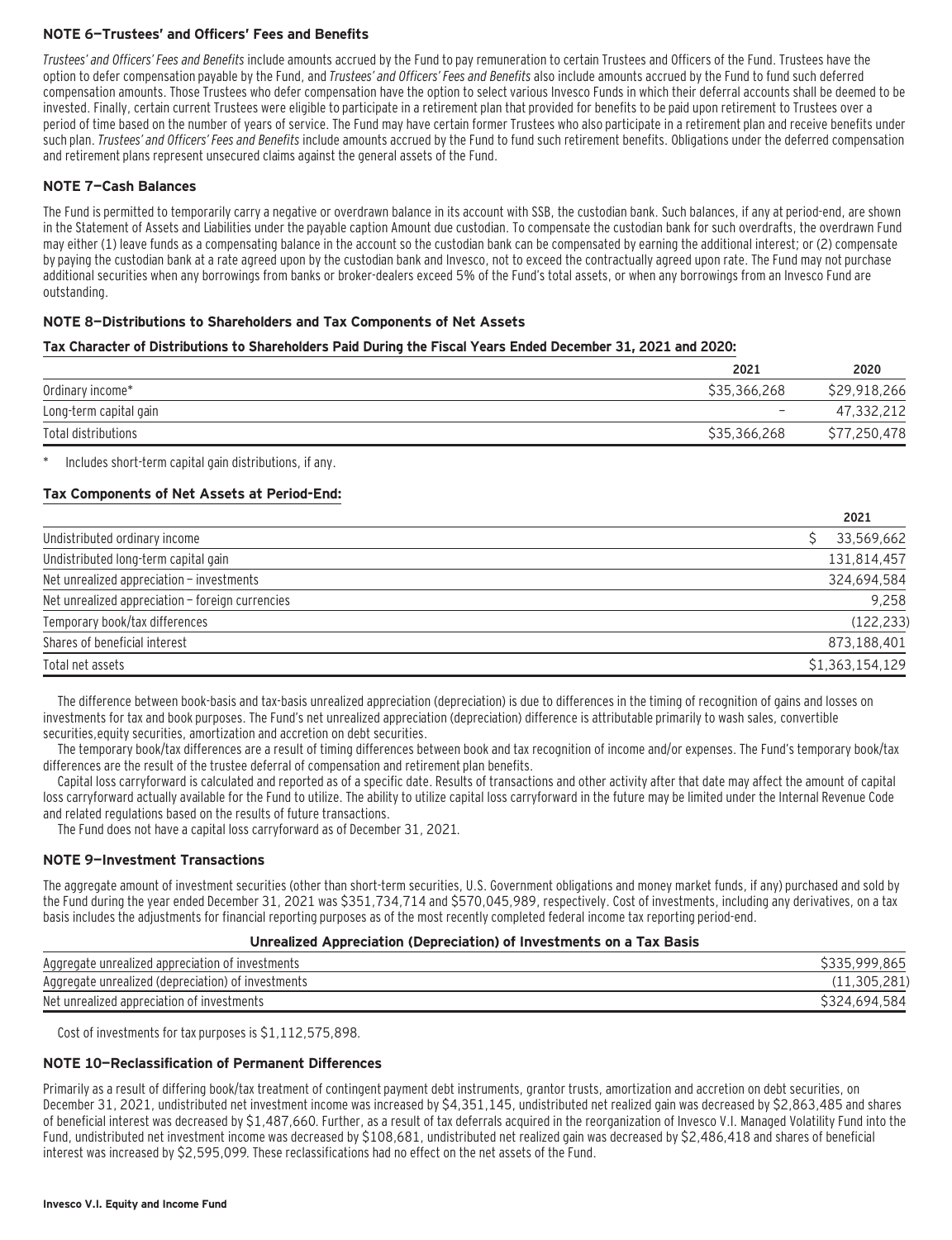#### **NOTE 6—Trustees' and Officers' Fees and Benefits**

Trustees' and Officers' Fees and Benefits include amounts accrued by the Fund to pay remuneration to certain Trustees and Officers of the Fund. Trustees have the option to defer compensation payable by the Fund, and Trustees' and Officers' Fees and Benefits also include amounts accrued by the Fund to fund such deferred compensation amounts. Those Trustees who defer compensation have the option to select various Invesco Funds in which their deferral accounts shall be deemed to be invested. Finally, certain current Trustees were eligible to participate in a retirement plan that provided for benefits to be paid upon retirement to Trustees over a period of time based on the number of years of service. The Fund may have certain former Trustees who also participate in a retirement plan and receive benefits under such plan. Trustees' and Officers' Fees and Benefits include amounts accrued by the Fund to fund such retirement benefits. Obligations under the deferred compensation and retirement plans represent unsecured claims against the general assets of the Fund.

#### **NOTE 7—Cash Balances**

The Fund is permitted to temporarily carry a negative or overdrawn balance in its account with SSB, the custodian bank. Such balances, if any at period-end, are shown in the Statement of Assets and Liabilities under the payable caption Amount due custodian. To compensate the custodian bank for such overdrafts, the overdrawn Fund may either (1) leave funds as a compensating balance in the account so the custodian bank can be compensated by earning the additional interest; or (2) compensate by paying the custodian bank at a rate agreed upon by the custodian bank and Invesco, not to exceed the contractually agreed upon rate. The Fund may not purchase additional securities when any borrowings from banks or broker-dealers exceed 5% of the Fund's total assets, or when any borrowings from an Invesco Fund are outstanding.

#### **NOTE 8—Distributions to Shareholders and Tax Components of Net Assets**

#### **Tax Character of Distributions to Shareholders Paid During the Fiscal Years Ended December 31, 2021 and 2020:**

|                        | 2021                     | 2020                   |
|------------------------|--------------------------|------------------------|
| Ordinary income*       | \$35,366,268             | \$29,918,266           |
| Long-term capital gain | $\overline{\phantom{0}}$ | 47,332,212             |
| Total distributions    | \$35,366,268             | .250.478<br><b>S77</b> |

Includes short-term capital gain distributions, if any.

#### **Tax Components of Net Assets at Period-End:**

|                                                  | 2021            |
|--------------------------------------------------|-----------------|
| Undistributed ordinary income                    | 33,569,662      |
| Undistributed long-term capital gain             | 131,814,457     |
| Net unrealized appreciation - investments        | 324,694,584     |
| Net unrealized appreciation - foreign currencies | 9,258           |
| Temporary book/tax differences                   | (122, 233)      |
| Shares of beneficial interest                    | 873,188,401     |
| Total net assets                                 | \$1,363,154,129 |

The difference between book-basis and tax-basis unrealized appreciation (depreciation) is due to differences in the timing of recognition of gains and losses on investments for tax and book purposes. The Fund's net unrealized appreciation (depreciation) difference is attributable primarily to wash sales, convertible securities,equity securities, amortization and accretion on debt securities.

The temporary book/tax differences are a result of timing differences between book and tax recognition of income and/or expenses. The Fund's temporary book/tax differences are the result of the trustee deferral of compensation and retirement plan benefits.

Capital loss carryforward is calculated and reported as of a specific date. Results of transactions and other activity after that date may affect the amount of capital loss carryforward actually available for the Fund to utilize. The ability to utilize capital loss carryforward in the future may be limited under the Internal Revenue Code and related regulations based on the results of future transactions.

The Fund does not have a capital loss carryforward as of December 31, 2021.

#### **NOTE 9—Investment Transactions**

The aggregate amount of investment securities (other than short-term securities, U.S. Government obligations and money market funds, if any) purchased and sold by the Fund during the year ended December 31, 2021 was \$351,734,714 and \$570,045,989, respectively. Cost of investments, including any derivatives, on a tax basis includes the adjustments for financial reporting purposes as of the most recently completed federal income tax reporting period-end.

#### **Unrealized Appreciation (Depreciation) of Investments on a Tax Basis**

| Aggregate unrealized appreciation of investments   | .865             |
|----------------------------------------------------|------------------|
| Aggregate unrealized (depreciation) of investments | 11.305.281)      |
| Net unrealized appreciation of investments         | .584<br>3324,694 |

Cost of investments for tax purposes is \$1,112,575,898.

#### **NOTE 10—Reclassification of Permanent Differences**

Primarily as a result of differing book/tax treatment of contingent payment debt instruments, grantor trusts, amortization and accretion on debt securities, on December 31, 2021, undistributed net investment income was increased by \$4,351,145, undistributed net realized gain was decreased by \$2,863,485 and shares of beneficial interest was decreased by \$1,487,660. Further, as a result of tax deferrals acquired in the reorganization of Invesco V.I. Managed Volatility Fund into the Fund, undistributed net investment income was decreased by \$108,681, undistributed net realized gain was decreased by \$2,486,418 and shares of beneficial interest was increased by \$2,595,099. These reclassifications had no effect on the net assets of the Fund.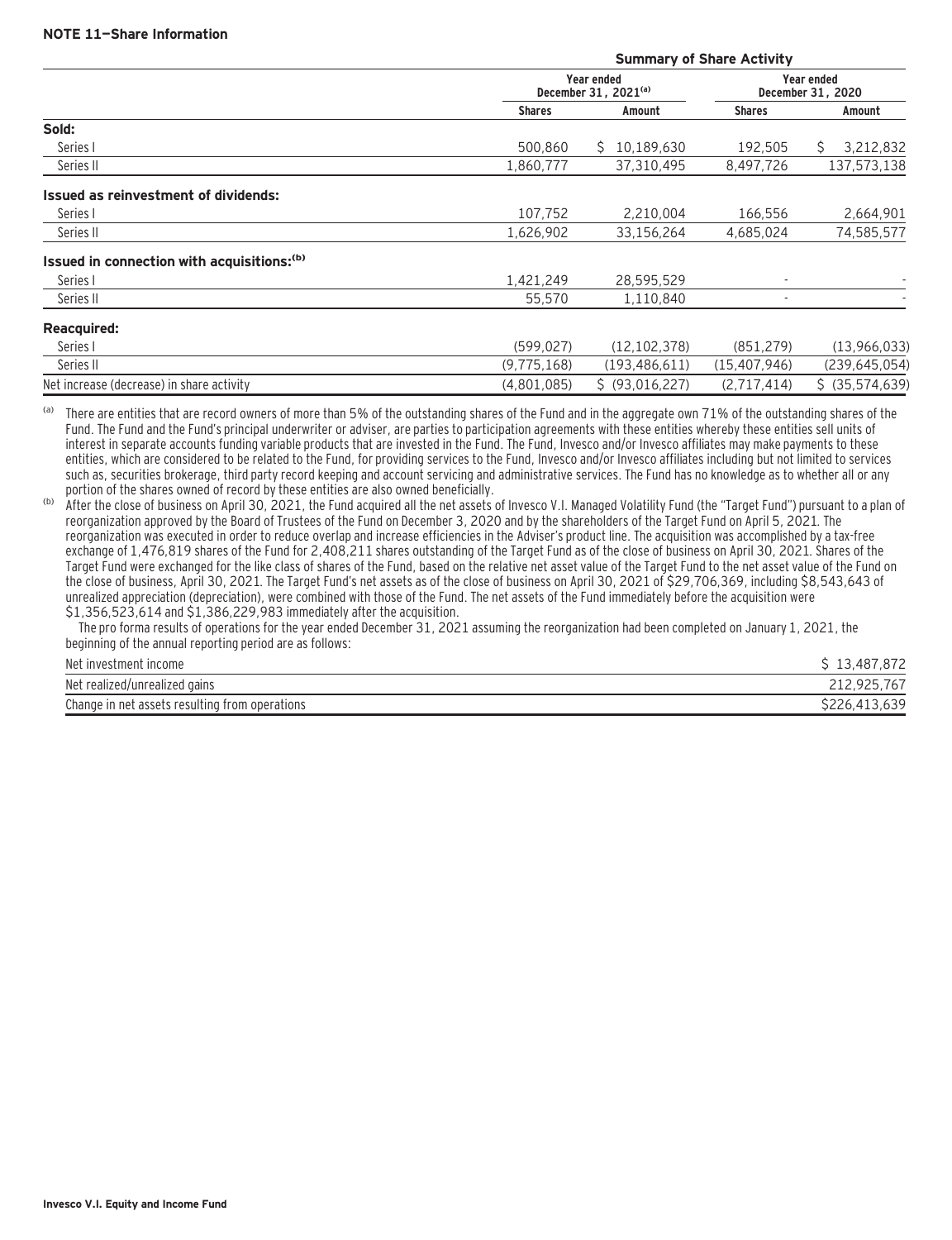|                                                        |               |                                                | <b>Summary of Share Activity</b> |                                        |
|--------------------------------------------------------|---------------|------------------------------------------------|----------------------------------|----------------------------------------|
|                                                        |               | Year ended<br>December 31, 2021 <sup>(a)</sup> |                                  | <b>Year ended</b><br>December 31, 2020 |
|                                                        | <b>Shares</b> | Amount                                         | <b>Shares</b>                    | Amount                                 |
| Sold:                                                  |               |                                                |                                  |                                        |
| Series I                                               | 500.860       | 10.189.630<br>S.                               | 192.505                          | 3,212,832<br>S.                        |
| Series II                                              | 1,860,777     | 37,310,495                                     | 8,497,726                        | 137,573,138                            |
| Issued as reinvestment of dividends:                   |               |                                                |                                  |                                        |
| Series I                                               | 107.752       | 2,210,004                                      | 166,556                          | 2,664,901                              |
| Series II                                              | 1,626,902     | 33,156,264                                     | 4,685,024                        | 74,585,577                             |
| Issued in connection with acquisitions: <sup>(b)</sup> |               |                                                |                                  |                                        |
| Series I                                               | 1.421.249     | 28,595,529                                     |                                  |                                        |
| Series II                                              | 55,570        | 1,110,840                                      | $\blacksquare$                   |                                        |
| <b>Reacquired:</b>                                     |               |                                                |                                  |                                        |
| Series I                                               | (599, 027)    | (12, 102, 378)                                 | (851, 279)                       | (13,966,033)                           |
| Series II                                              | (9,775,168)   | (193, 486, 611)                                | (15, 407, 946)                   | (239, 645, 054)                        |
| Net increase (decrease) in share activity              | (4,801,085)   | \$ (93,016,227)                                | (2,717,414)                      | $$$ (35,574,639)                       |
|                                                        |               |                                                |                                  |                                        |

(a) There are entities that are record owners of more than 5% of the outstanding shares of the Fund and in the aggregate own 71% of the outstanding shares of the Fund. The Fund and the Fund's principal underwriter or adviser, are parties to participation agreements with these entities whereby these entities sell units of interest in separate accounts funding variable products that are invested in the Fund. The Fund, Invesco and/or Invesco affiliates may make payments to these entities, which are considered to be related to the Fund, for providing services to the Fund, Invesco and/or Invesco affiliates including but not limited to services such as, securities brokerage, third party record keeping and account servicing and administrative services. The Fund has no knowledge as to whether all or any portion of the shares owned of record by these entities are also owned beneficially.

(b) After the close of business on April 30, 2021, the Fund acquired all the net assets of Invesco V.I. Managed Volatility Fund (the "Target Fund") pursuant to a plan of reorganization approved by the Board of Trustees of the Fund on December 3, 2020 and by the shareholders of the Target Fund on April 5, 2021. The reorganization was executed in order to reduce overlap and increase efficiencies in the Adviser's product line. The acquisition was accomplished by a tax-free exchange of 1,476,819 shares of the Fund for 2,408,211 shares outstanding of the Target Fund as of the close of business on April 30, 2021. Shares of the Target Fund were exchanged for the like class of shares of the Fund, based on the relative net asset value of the Target Fund to the net asset value of the Fund on the close of business, April 30, 2021. The Target Fund's net assets as of the close of business on April 30, 2021 of \$29,706,369, including \$8,543,643 of unrealized appreciation (depreciation), were combined with those of the Fund. The net assets of the Fund immediately before the acquisition were \$1,356,523,614 and \$1,386,229,983 immediately after the acquisition.

 The pro forma results of operations for the year ended December 31, 2021 assuming the reorganization had been completed on January 1, 2021, the beginning of the annual reporting period are as follows:

| Net investment income                          | .872<br>. 487<br>C 13<br>TO. |
|------------------------------------------------|------------------------------|
| Net realized/unrealized gains                  | 767<br>212.925.              |
| Change in net assets resulting from operations | \$226,413                    |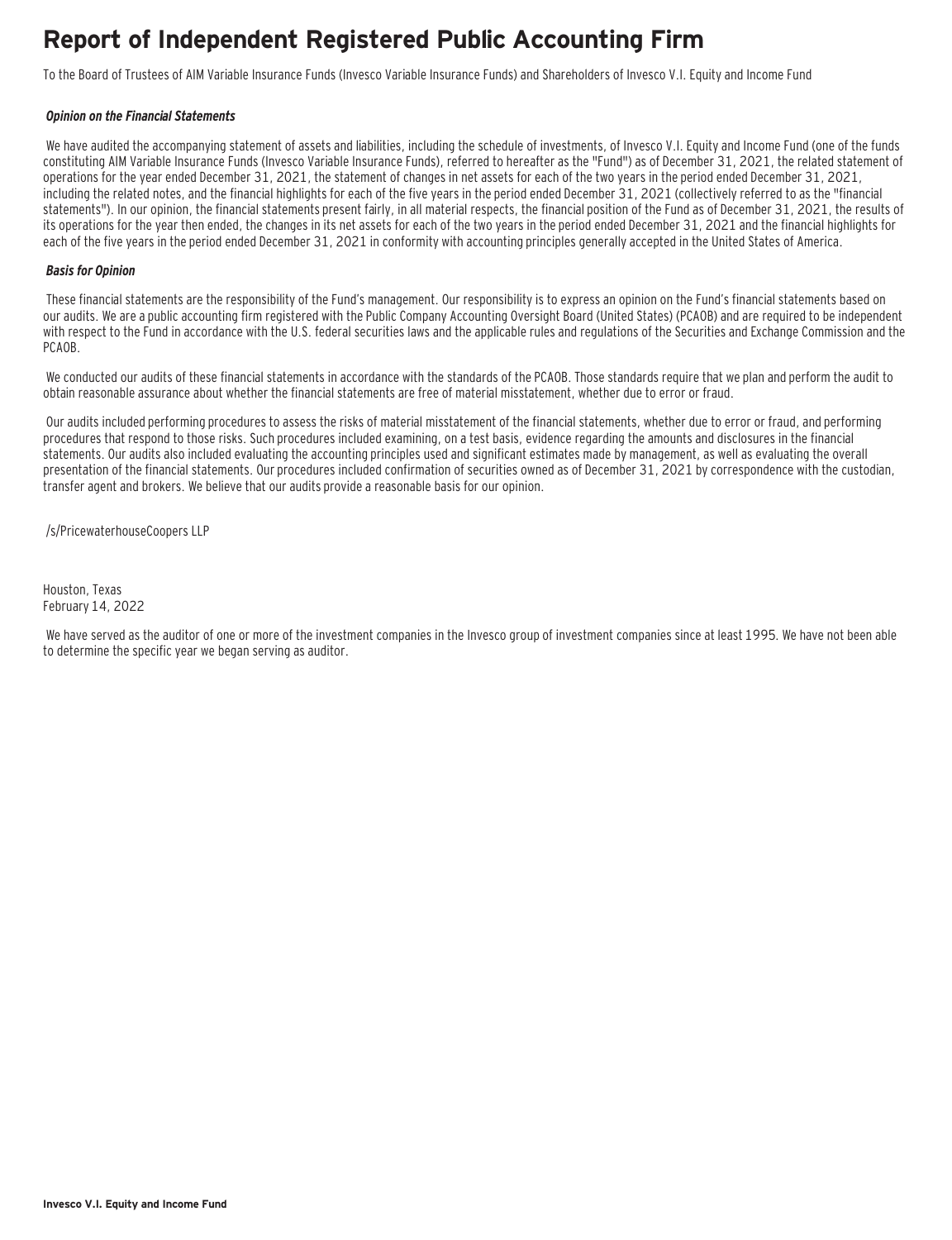### **Report of Independent Registered Public Accounting Firm**

To the Board of Trustees of AIM Variable Insurance Funds (Invesco Variable Insurance Funds) and Shareholders of Invesco V.I. Equity and Income Fund

#### **Opinion on the Financial Statements**

We have audited the accompanying statement of assets and liabilities, including the schedule of investments, of Invesco V.I. Equity and Income Fund (one of the funds constituting AIM Variable Insurance Funds (Invesco Variable Insurance Funds), referred to hereafter as the "Fund") as of December 31, 2021, the related statement of operations for the year ended December 31, 2021, the statement of changes in net assets for each of the two years in the period ended December 31, 2021, including the related notes, and the financial highlights for each of the five years in the period ended December 31, 2021 (collectively referred to as the "financial statements"). In our opinion, the financial statements present fairly, in all material respects, the financial position of the Fund as of December 31, 2021, the results of its operations for the year then ended, the changes in its net assets for each of the two years in the period ended December 31, 2021 and the financial highlights for each of the five years in the period ended December 31, 2021 in conformity with accounting principles generally accepted in the United States of America.

#### **Basis for Opinion**

These financial statements are the responsibility of the Fund's management. Our responsibility is to express an opinion on the Fund's financial statements based on our audits. We are a public accounting firm registered with the Public Company Accounting Oversight Board (United States) (PCAOB) and are required to be independent with respect to the Fund in accordance with the U.S. federal securities laws and the applicable rules and regulations of the Securities and Exchange Commission and the PCAOB.

We conducted our audits of these financial statements in accordance with the standards of the PCAOB. Those standards require that we plan and perform the audit to obtain reasonable assurance about whether the financial statements are free of material misstatement, whether due to error or fraud.

 Our audits included performing procedures to assess the risks of material misstatement of the financial statements, whether due to error or fraud, and performing procedures that respond to those risks. Such procedures included examining, on a test basis, evidence regarding the amounts and disclosures in the financial statements. Our audits also included evaluating the accounting principles used and significant estimates made by management, as well as evaluating the overall presentation of the financial statements. Our procedures included confirmation of securities owned as of December 31, 2021 by correspondence with the custodian, transfer agent and brokers. We believe that our audits provide a reasonable basis for our opinion.

/s/PricewaterhouseCoopers LLP

Houston, Texas February 14, 2022

 We have served as the auditor of one or more of the investment companies in the Invesco group of investment companies since at least 1995. We have not been able to determine the specific year we began serving as auditor.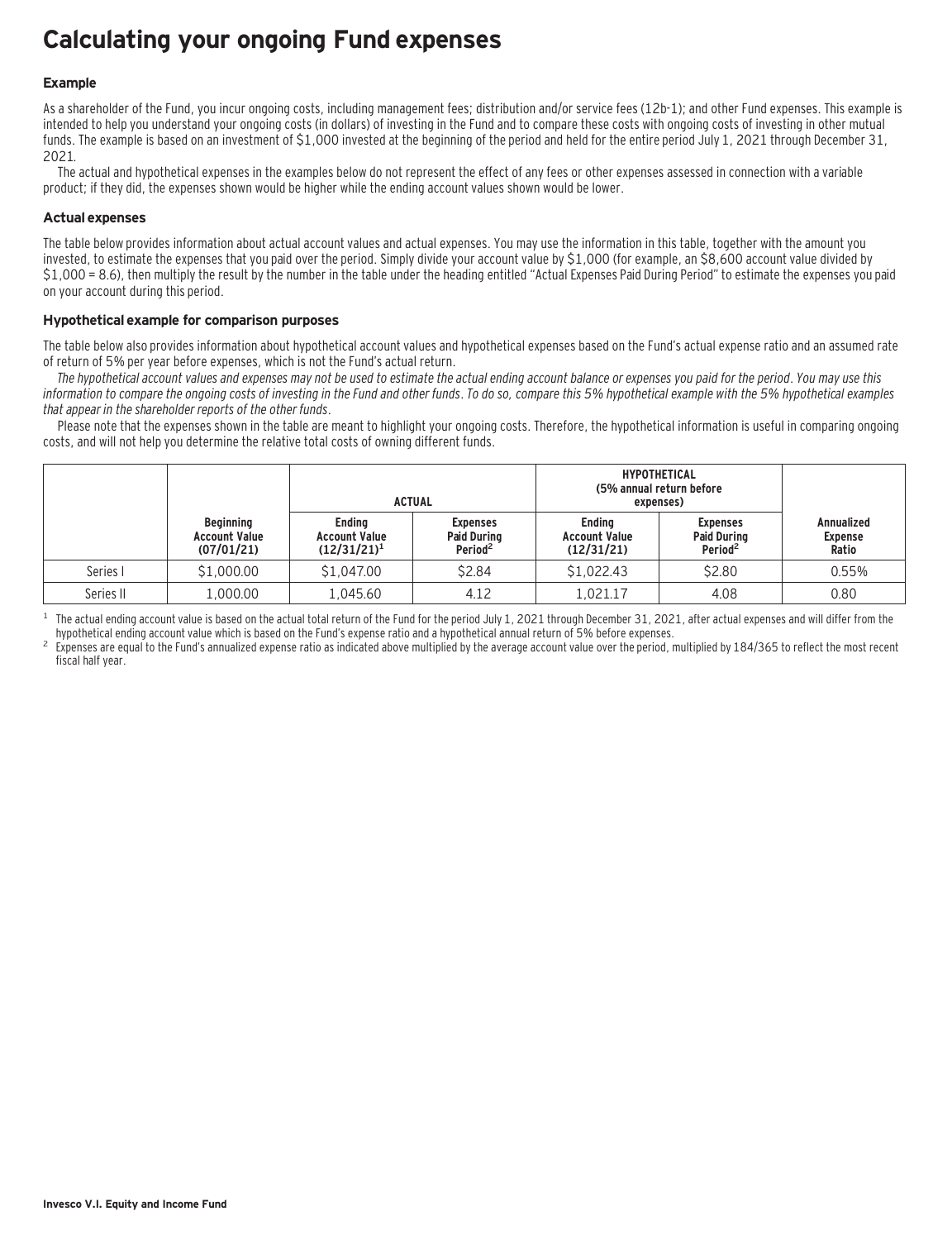### **Calculating your ongoing Fund expenses**

#### **Example**

As a shareholder of the Fund, you incur ongoing costs, including management fees; distribution and/or service fees (12b-1); and other Fund expenses. This example is intended to help you understand your ongoing costs (in dollars) of investing in the Fund and to compare these costs with ongoing costs of investing in other mutual funds. The example is based on an investment of \$1,000 invested at the beginning of the period and held for the entire period July 1, 2021 through December 31, 2021.

The actual and hypothetical expenses in the examples below do not represent the effect of any fees or other expenses assessed in connection with a variable product; if they did, the expenses shown would be higher while the ending account values shown would be lower.

#### **Actual expenses**

The table below provides information about actual account values and actual expenses. You may use the information in this table, together with the amount you invested, to estimate the expenses that you paid over the period. Simply divide your account value by \$1,000 (for example, an \$8,600 account value divided by \$1,000 = 8.6), then multiply the result by the number in the table under the heading entitled "Actual Expenses Paid During Period" to estimate the expenses you paid on your account during this period.

#### **Hypothetical example for comparison purposes**

The table below also provides information about hypothetical account values and hypothetical expenses based on the Fund's actual expense ratio and an assumed rate of return of 5% per year before expenses, which is not the Fund's actual return.

The hypothetical account values and expenses may not be used to estimate the actual ending account balance or expenses you paid for the period. You may use this information to compare the ongoing costs of investing in the Fund and other funds. To do so, compare this 5% hypothetical example with the 5% hypothetical examples that appear in the shareholder reports of the other funds.

Please note that the expenses shown in the table are meant to highlight your ongoing costs. Therefore, the hypothetical information is useful in comparing ongoing costs, and will not help you determine the relative total costs of owning different funds.

|           |                                                        | <b>ACTUAL</b>                                           |                                                              | <b>HYPOTHETICAL</b><br>(5% annual return before<br>expenses) |                                                              |                                              |
|-----------|--------------------------------------------------------|---------------------------------------------------------|--------------------------------------------------------------|--------------------------------------------------------------|--------------------------------------------------------------|----------------------------------------------|
|           | <b>Beginning</b><br><b>Account Value</b><br>(07/01/21) | <b>Endina</b><br><b>Account Value</b><br>$(12/31/21)^1$ | <b>Expenses</b><br><b>Paid During</b><br>Period <sup>2</sup> | <b>Endina</b><br><b>Account Value</b><br>(12/31/21)          | <b>Expenses</b><br><b>Paid During</b><br>Period <sup>2</sup> | <b>Annualized</b><br><b>Expense</b><br>Ratio |
| Series I  | \$1,000.00                                             | \$1,047.00                                              | \$2.84                                                       | \$1,022.43                                                   | \$2.80                                                       | 0.55%                                        |
| Series II | 1,000.00                                               | 1.045.60                                                | 4.12                                                         | 1.021.17                                                     | 4.08                                                         | 0.80                                         |

<sup>1</sup> The actual ending account value is based on the actual total return of the Fund for the period July 1, 2021 through December 31, 2021, after actual expenses and will differ from the hupothetical ending account value w

Expenses are equal to the Fund's annualized expense ratio as indicated above multiplied by the average account value over the period, multiplied by 184/365 to reflect the most recent fiscal half year.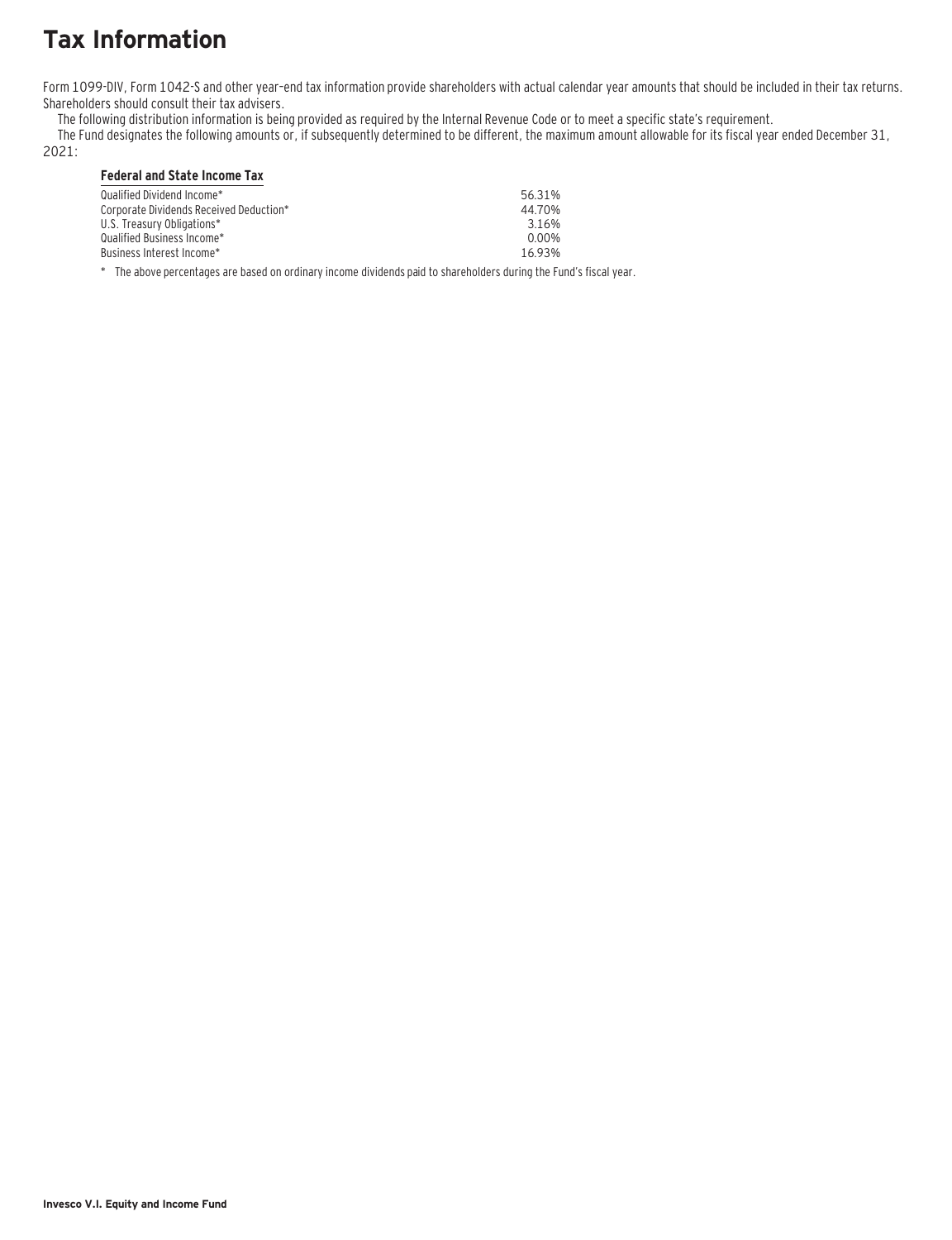### **Tax Information**

Form 1099-DIV, Form 1042-S and other year–end tax information provide shareholders with actual calendar year amounts that should be included in their tax returns. Shareholders should consult their tax advisers.

The following distribution information is being provided as required by the Internal Revenue Code or to meet a specific state's requirement.

The Fund designates the following amounts or, if subsequently determined to be different, the maximum amount allowable for its fiscal year ended December 31,

2021:

#### **Federal and State Income Tax**

| Qualified Dividend Income*_<br>Corporate Dividends Received Deduction*<br>U.S. Treasurv Obligations*<br>Oualified Business Income* | 56.31%<br>44 70%<br>316%<br>0.00% |
|------------------------------------------------------------------------------------------------------------------------------------|-----------------------------------|
| Business Interest Income*_                                                                                                         | 1693%                             |
|                                                                                                                                    |                                   |

\* The above percentages are based on ordinary income dividends paid to shareholders during the Fund's fiscal year.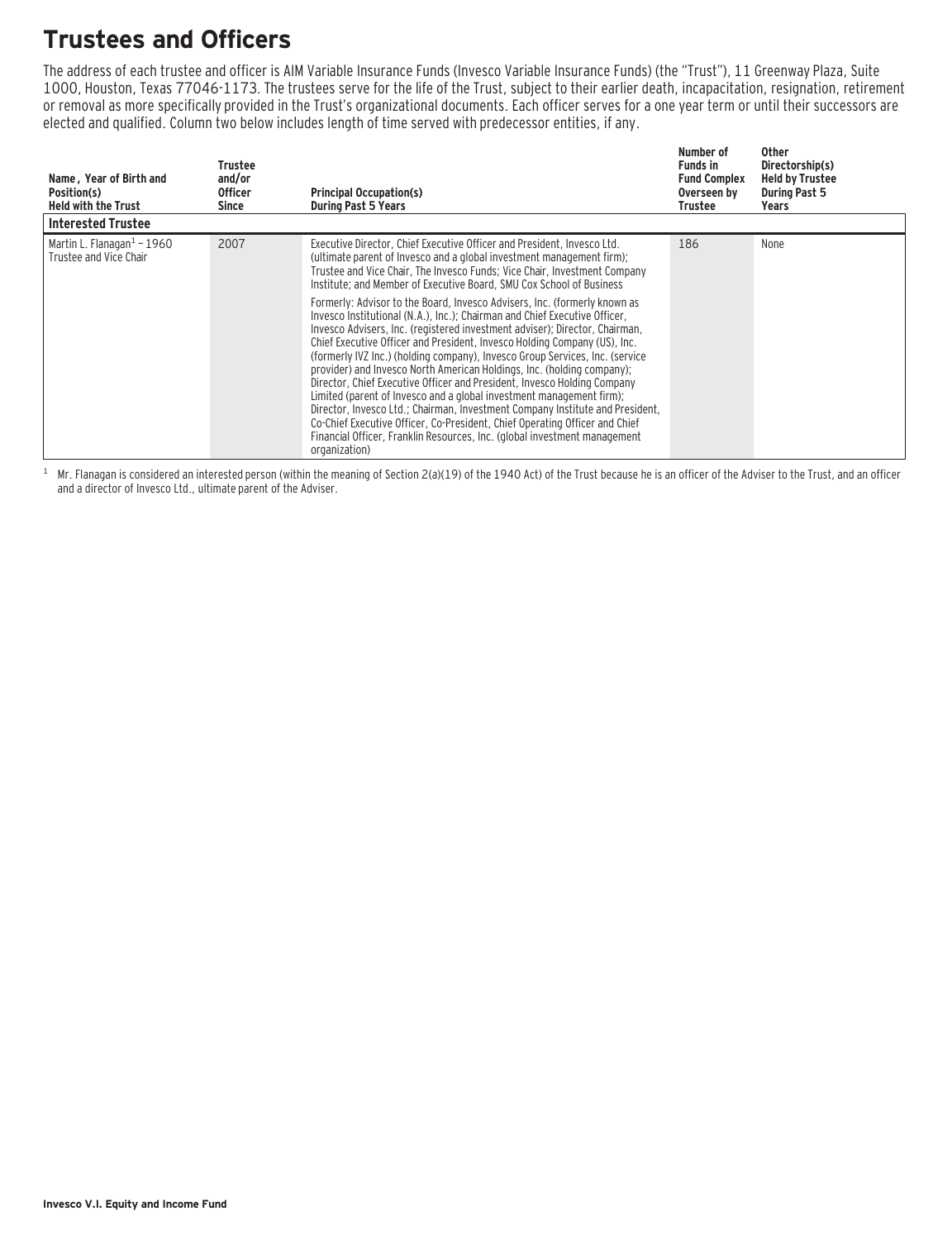### **Trustees and Officers**

The address of each trustee and officer is AIM Variable Insurance Funds (Invesco Variable Insurance Funds) (the "Trust"), 11 Greenway Plaza, Suite 1000, Houston, Texas 77046-1173. The trustees serve for the life of the Trust, subject to their earlier death, incapacitation, resignation, retirement or removal as more specifically provided in the Trust's organizational documents. Each officer serves for a one year term or until their successors are elected and qualified. Column two below includes length of time served with predecessor entities, if any.

| Name, Year of Birth and<br>Position(s)<br><b>Held with the Trust</b> | Trustee<br>and/or<br><b>Officer</b><br>Since | <b>Principal Occupation(s)</b><br><b>During Past 5 Years</b>                                                                                                                                                                                                                                                                                                                                                                                                                                                                                                                                                                                                                                                                                                                                                                                                                                                                                                                                                                                                                                                                                                                                             | Number of<br><b>Funds in</b><br><b>Fund Complex</b><br>Overseen by<br>Trustee | <b>Other</b><br>Directorship(s)<br><b>Held by Trustee</b><br><b>During Past 5</b><br>Years |
|----------------------------------------------------------------------|----------------------------------------------|----------------------------------------------------------------------------------------------------------------------------------------------------------------------------------------------------------------------------------------------------------------------------------------------------------------------------------------------------------------------------------------------------------------------------------------------------------------------------------------------------------------------------------------------------------------------------------------------------------------------------------------------------------------------------------------------------------------------------------------------------------------------------------------------------------------------------------------------------------------------------------------------------------------------------------------------------------------------------------------------------------------------------------------------------------------------------------------------------------------------------------------------------------------------------------------------------------|-------------------------------------------------------------------------------|--------------------------------------------------------------------------------------------|
| <b>Interested Trustee</b>                                            |                                              |                                                                                                                                                                                                                                                                                                                                                                                                                                                                                                                                                                                                                                                                                                                                                                                                                                                                                                                                                                                                                                                                                                                                                                                                          |                                                                               |                                                                                            |
| Martin L. Flanagan $1 - 1960$<br>Trustee and Vice Chair              | 2007                                         | Executive Director, Chief Executive Officer and President, Invesco Ltd.<br>(ultimate parent of Invesco and a global investment management firm);<br>Trustee and Vice Chair, The Invesco Funds; Vice Chair, Investment Company<br>Institute; and Member of Executive Board, SMU Cox School of Business<br>Formerly: Advisor to the Board, Invesco Advisers, Inc. (formerly known as<br>Invesco Institutional (N.A.), Inc.): Chairman and Chief Executive Officer.<br>Invesco Advisers, Inc. (registered investment adviser); Director, Chairman,<br>Chief Executive Officer and President, Invesco Holding Company (US), Inc.<br>(formerly IVZ Inc.) (holding company), Invesco Group Services, Inc. (service<br>provider) and Invesco North American Holdings, Inc. (holding company);<br>Director, Chief Executive Officer and President, Invesco Holding Company<br>Limited (parent of Invesco and a global investment management firm);<br>Director, Invesco Ltd.; Chairman, Investment Company Institute and President,<br>Co-Chief Executive Officer, Co-President, Chief Operating Officer and Chief<br>Financial Officer, Franklin Resources, Inc. (global investment management<br>organization) | 186                                                                           | None                                                                                       |

 $1$  Mr. Flanagan is considered an interested person (within the meaning of Section 2(a)(19) of the 1940 Act) of the Trust because he is an officer of the Adviser to the Trust, and an officer and a director of Invesco Ltd., ultimate parent of the Adviser.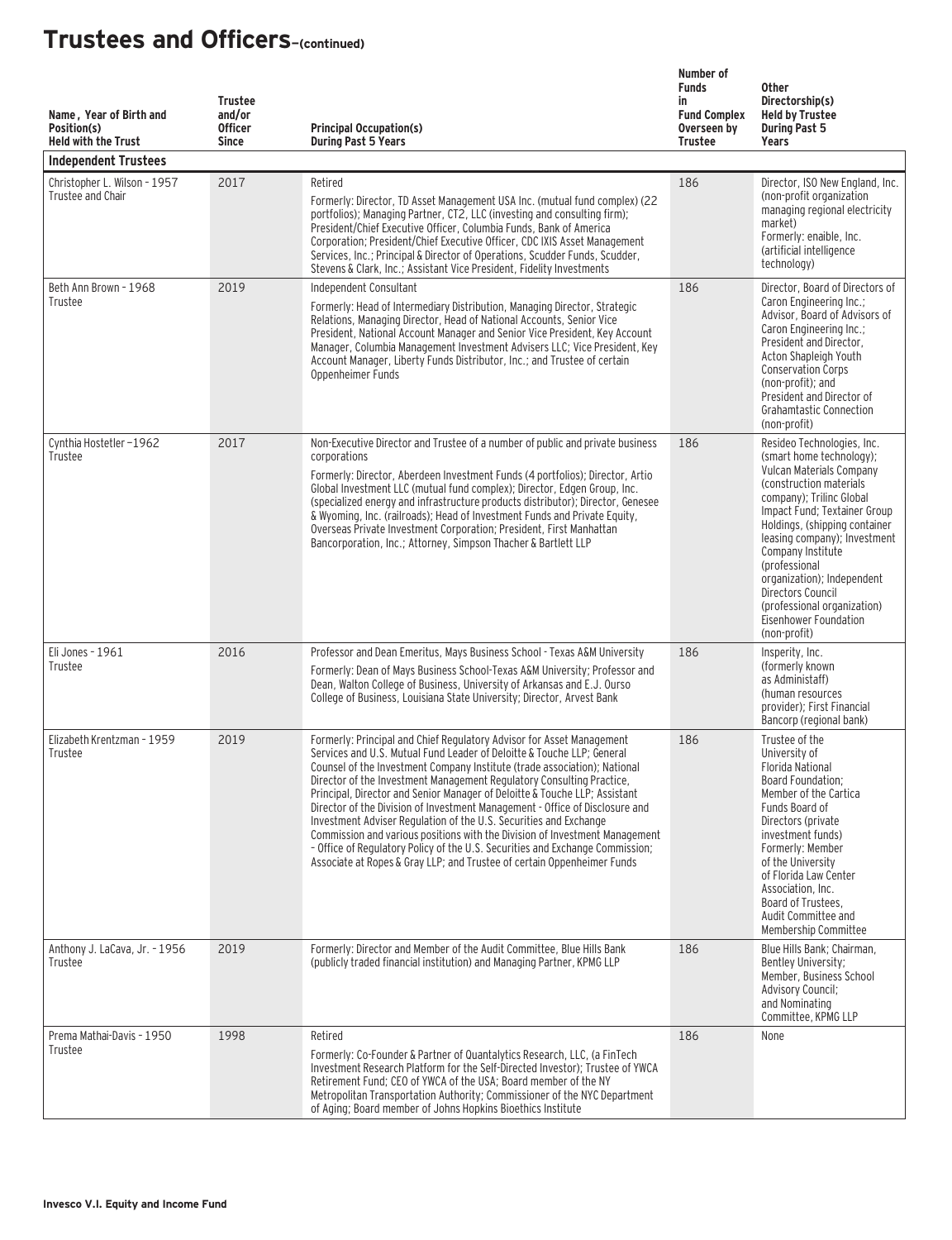| Name, Year of Birth and<br>Position(s)<br><b>Held with the Trust</b><br><b>Independent Trustees</b> | <b>Trustee</b><br>and/or<br><b>Officer</b><br><b>Since</b> | <b>Principal Occupation(s)</b><br><b>During Past 5 Years</b>                                                                                                                                                                                                                                                                                                                                                                                                                                                                                                                                                                                                                                                                                                                        | Number of<br><b>Funds</b><br>in<br><b>Fund Complex</b><br>Overseen by<br><b>Trustee</b> | <b>Other</b><br>Directorship(s)<br><b>Held by Trustee</b><br><b>During Past 5</b><br>Years                                                                                                                                                                                                                                                                                                                   |
|-----------------------------------------------------------------------------------------------------|------------------------------------------------------------|-------------------------------------------------------------------------------------------------------------------------------------------------------------------------------------------------------------------------------------------------------------------------------------------------------------------------------------------------------------------------------------------------------------------------------------------------------------------------------------------------------------------------------------------------------------------------------------------------------------------------------------------------------------------------------------------------------------------------------------------------------------------------------------|-----------------------------------------------------------------------------------------|--------------------------------------------------------------------------------------------------------------------------------------------------------------------------------------------------------------------------------------------------------------------------------------------------------------------------------------------------------------------------------------------------------------|
| Christopher L. Wilson - 1957<br>Trustee and Chair                                                   | 2017                                                       | Retired<br>Formerly: Director, TD Asset Management USA Inc. (mutual fund complex) (22<br>portfolios); Managing Partner, CT2, LLC (investing and consulting firm);<br>President/Chief Executive Officer, Columbia Funds, Bank of America<br>Corporation; President/Chief Executive Officer, CDC IXIS Asset Management<br>Services, Inc.; Principal & Director of Operations, Scudder Funds, Scudder,<br>Stevens & Clark, Inc.; Assistant Vice President, Fidelity Investments                                                                                                                                                                                                                                                                                                        | 186                                                                                     | Director, ISO New England, Inc.<br>(non-profit organization<br>managing regional electricity<br>market)<br>Formerly: enaible, Inc.<br>(artificial intelligence<br>technology)                                                                                                                                                                                                                                |
| Beth Ann Brown - 1968<br>Trustee                                                                    | 2019                                                       | Independent Consultant<br>Formerly: Head of Intermediary Distribution, Managing Director, Strategic<br>Relations, Managing Director, Head of National Accounts, Senior Vice<br>President, National Account Manager and Senior Vice President, Key Account<br>Manager, Columbia Management Investment Advisers LLC; Vice President, Key<br>Account Manager, Liberty Funds Distributor, Inc.; and Trustee of certain<br>Oppenheimer Funds                                                                                                                                                                                                                                                                                                                                             | 186                                                                                     | Director, Board of Directors of<br>Caron Engineering Inc.;<br>Advisor, Board of Advisors of<br>Caron Engineering Inc.;<br>President and Director,<br>Acton Shapleigh Youth<br><b>Conservation Corps</b><br>(non-profit); and<br>President and Director of<br><b>Grahamtastic Connection</b><br>(non-profit)                                                                                                  |
| Cynthia Hostetler-1962<br>Trustee                                                                   | 2017                                                       | Non-Executive Director and Trustee of a number of public and private business<br>corporations<br>Formerly: Director, Aberdeen Investment Funds (4 portfolios); Director, Artio<br>Global Investment LLC (mutual fund complex); Director, Edgen Group, Inc.<br>(specialized energy and infrastructure products distributor); Director, Genesee<br>& Wyoming, Inc. (railroads); Head of Investment Funds and Private Equity,<br>Overseas Private Investment Corporation; President, First Manhattan<br>Bancorporation, Inc.; Attorney, Simpson Thacher & Bartlett LLP                                                                                                                                                                                                                 | 186                                                                                     | Resideo Technologies, Inc.<br>(smart home technology);<br>Vulcan Materials Company<br>(construction materials)<br>company); Trilinc Global<br>Impact Fund; Textainer Group<br>Holdings, (shipping container<br>leasing company); Investment<br>Company Institute<br>(professional<br>organization); Independent<br>Directors Council<br>(professional organization)<br>Eisenhower Foundation<br>(non-profit) |
| Eli Jones - 1961<br>Trustee                                                                         | 2016                                                       | Professor and Dean Emeritus, Mays Business School - Texas A&M University<br>Formerly: Dean of Mays Business School-Texas A&M University; Professor and<br>Dean, Walton College of Business, University of Arkansas and E.J. Ourso<br>College of Business, Louisiana State University; Director, Arvest Bank                                                                                                                                                                                                                                                                                                                                                                                                                                                                         | 186                                                                                     | Insperity, Inc.<br>(formerly known)<br>as Administaff)<br>(human resources<br>provider): First Financial<br>Bancorp (regional bank)                                                                                                                                                                                                                                                                          |
| Elizabeth Krentzman - 1959<br>Trustee                                                               | 2019                                                       | Formerly: Principal and Chief Regulatory Advisor for Asset Management<br>Services and U.S. Mutual Fund Leader of Deloitte & Touche LLP: General<br>Counsel of the Investment Company Institute (trade association); National<br>Director of the Investment Management Regulatory Consulting Practice,<br>Principal, Director and Senior Manager of Deloitte & Touche LLP; Assistant<br>Director of the Division of Investment Management - Office of Disclosure and<br>Investment Adviser Regulation of the U.S. Securities and Exchange<br>Commission and various positions with the Division of Investment Management<br>- Office of Regulatory Policy of the U.S. Securities and Exchange Commission;<br>Associate at Ropes & Gray LLP; and Trustee of certain Oppenheimer Funds | 186                                                                                     | Trustee of the<br>University of<br><b>Florida National</b><br>Board Foundation;<br>Member of the Cartica<br>Funds Board of<br>Directors (private<br>investment funds)<br>Formerly: Member<br>of the University<br>of Florida Law Center<br>Association, Inc.<br>Board of Trustees,<br>Audit Committee and<br>Membership Committee                                                                            |
| Anthony J. LaCava, Jr. - 1956<br>Trustee                                                            | 2019                                                       | Formerly: Director and Member of the Audit Committee, Blue Hills Bank<br>(publicly traded financial institution) and Managing Partner, KPMG LLP                                                                                                                                                                                                                                                                                                                                                                                                                                                                                                                                                                                                                                     | 186                                                                                     | Blue Hills Bank; Chairman,<br>Bentley University;<br>Member, Business School<br><b>Advisory Council;</b><br>and Nominating<br>Committee, KPMG LLP                                                                                                                                                                                                                                                            |
| Prema Mathai-Davis - 1950<br>Trustee                                                                | 1998                                                       | Retired<br>Formerly: Co-Founder & Partner of Quantalytics Research, LLC, (a FinTech<br>Investment Research Platform for the Self-Directed Investor); Trustee of YWCA<br>Retirement Fund; CEO of YWCA of the USA; Board member of the NY<br>Metropolitan Transportation Authority; Commissioner of the NYC Department<br>of Aging; Board member of Johns Hopkins Bioethics Institute                                                                                                                                                                                                                                                                                                                                                                                                 | 186                                                                                     | None                                                                                                                                                                                                                                                                                                                                                                                                         |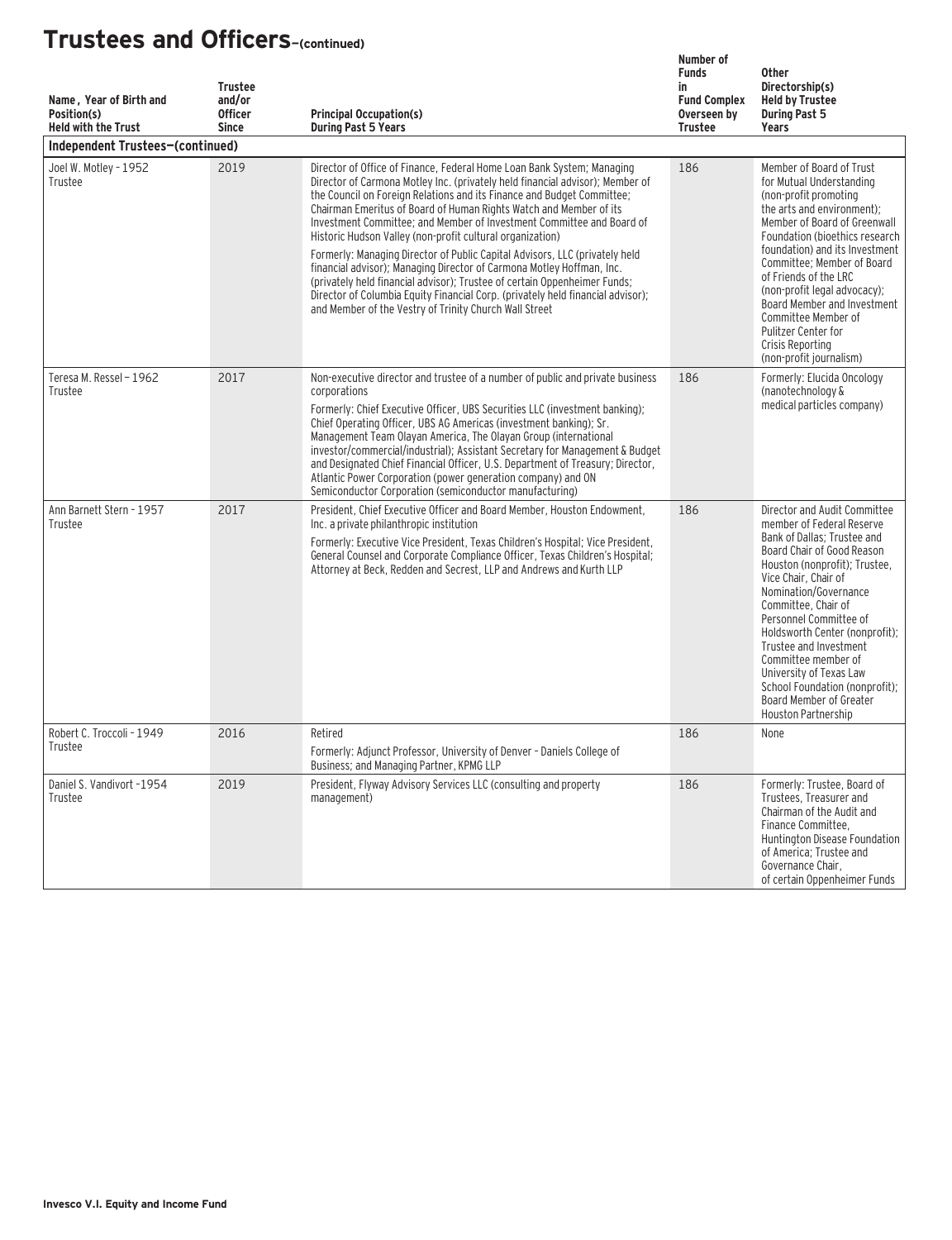| Name, Year of Birth and<br>Position(s)<br><b>Held with the Trust</b> | <b>Trustee</b><br>and/or<br><b>Officer</b><br><b>Since</b> | <b>Principal Occupation(s)</b><br><b>During Past 5 Years</b>                                                                                                                                                                                                                                                                                                                                                                                                                                                                                                                                                                                                                                                                                                                                                                    | Number of<br><b>Funds</b><br>in<br><b>Fund Complex</b><br>Overseen by<br><b>Trustee</b> | <b>Other</b><br>Directorship(s)<br><b>Held by Trustee</b><br><b>During Past 5</b><br>Years                                                                                                                                                                                                                                                                                                                                                                  |
|----------------------------------------------------------------------|------------------------------------------------------------|---------------------------------------------------------------------------------------------------------------------------------------------------------------------------------------------------------------------------------------------------------------------------------------------------------------------------------------------------------------------------------------------------------------------------------------------------------------------------------------------------------------------------------------------------------------------------------------------------------------------------------------------------------------------------------------------------------------------------------------------------------------------------------------------------------------------------------|-----------------------------------------------------------------------------------------|-------------------------------------------------------------------------------------------------------------------------------------------------------------------------------------------------------------------------------------------------------------------------------------------------------------------------------------------------------------------------------------------------------------------------------------------------------------|
| Independent Trustees-(continued)                                     |                                                            |                                                                                                                                                                                                                                                                                                                                                                                                                                                                                                                                                                                                                                                                                                                                                                                                                                 |                                                                                         |                                                                                                                                                                                                                                                                                                                                                                                                                                                             |
| Joel W. Motley - 1952<br>Trustee                                     | 2019                                                       | Director of Office of Finance, Federal Home Loan Bank System; Managing<br>Director of Carmona Motley Inc. (privately held financial advisor); Member of<br>the Council on Foreign Relations and its Finance and Budget Committee;<br>Chairman Emeritus of Board of Human Rights Watch and Member of its<br>Investment Committee; and Member of Investment Committee and Board of<br>Historic Hudson Valley (non-profit cultural organization)<br>Formerly: Managing Director of Public Capital Advisors, LLC (privately held<br>financial advisor); Managing Director of Carmona Motley Hoffman, Inc.<br>(privately held financial advisor); Trustee of certain Oppenheimer Funds;<br>Director of Columbia Equity Financial Corp. (privately held financial advisor);<br>and Member of the Vestry of Trinity Church Wall Street | 186                                                                                     | Member of Board of Trust<br>for Mutual Understanding<br>(non-profit promoting<br>the arts and environment);<br>Member of Board of Greenwall<br>Foundation (bioethics research<br>foundation) and its Investment<br>Committee; Member of Board<br>of Friends of the LRC<br>(non-profit legal advocacy);<br>Board Member and Investment<br>Committee Member of<br>Pulitzer Center for<br>Crisis Reporting<br>(non-profit journalism)                          |
| Teresa M. Ressel - 1962<br>Trustee                                   | 2017                                                       | Non-executive director and trustee of a number of public and private business<br>corporations<br>Formerly: Chief Executive Officer. UBS Securities LLC (investment banking):<br>Chief Operating Officer, UBS AG Americas (investment banking); Sr.<br>Management Team Olayan America, The Olayan Group (international<br>investor/commercial/industrial); Assistant Secretary for Management & Budget<br>and Designated Chief Financial Officer, U.S. Department of Treasury; Director,<br>Atlantic Power Corporation (power generation company) and ON<br>Semiconductor Corporation (semiconductor manufacturing)                                                                                                                                                                                                              | 186                                                                                     | Formerly: Elucida Oncology<br>(nanotechnology &<br>medical particles company)                                                                                                                                                                                                                                                                                                                                                                               |
| Ann Barnett Stern - 1957<br>Trustee                                  | 2017                                                       | President, Chief Executive Officer and Board Member, Houston Endowment.<br>Inc. a private philanthropic institution<br>Formerly: Executive Vice President, Texas Children's Hospital; Vice President,<br>General Counsel and Corporate Compliance Officer, Texas Children's Hospital;<br>Attorney at Beck, Redden and Secrest, LLP and Andrews and Kurth LLP                                                                                                                                                                                                                                                                                                                                                                                                                                                                    | 186                                                                                     | Director and Audit Committee<br>member of Federal Reserve<br>Bank of Dallas; Trustee and<br>Board Chair of Good Reason<br>Houston (nonprofit); Trustee,<br>Vice Chair, Chair of<br>Nomination/Governance<br>Committee, Chair of<br>Personnel Committee of<br>Holdsworth Center (nonprofit);<br>Trustee and Investment<br>Committee member of<br>University of Texas Law<br>School Foundation (nonprofit):<br>Board Member of Greater<br>Houston Partnership |
| Robert C. Troccoli - 1949<br>Trustee                                 | 2016                                                       | Retired<br>Formerly: Adjunct Professor, University of Denver - Daniels College of<br>Business; and Managing Partner, KPMG LLP                                                                                                                                                                                                                                                                                                                                                                                                                                                                                                                                                                                                                                                                                                   | 186                                                                                     | None                                                                                                                                                                                                                                                                                                                                                                                                                                                        |
| Daniel S. Vandivort -1954<br>Trustee                                 | 2019                                                       | President, Flyway Advisory Services LLC (consulting and property<br>management)                                                                                                                                                                                                                                                                                                                                                                                                                                                                                                                                                                                                                                                                                                                                                 | 186                                                                                     | Formerly: Trustee, Board of<br>Trustees, Treasurer and<br>Chairman of the Audit and<br>Finance Committee.<br>Huntington Disease Foundation<br>of America; Trustee and<br>Governance Chair,<br>of certain Oppenheimer Funds                                                                                                                                                                                                                                  |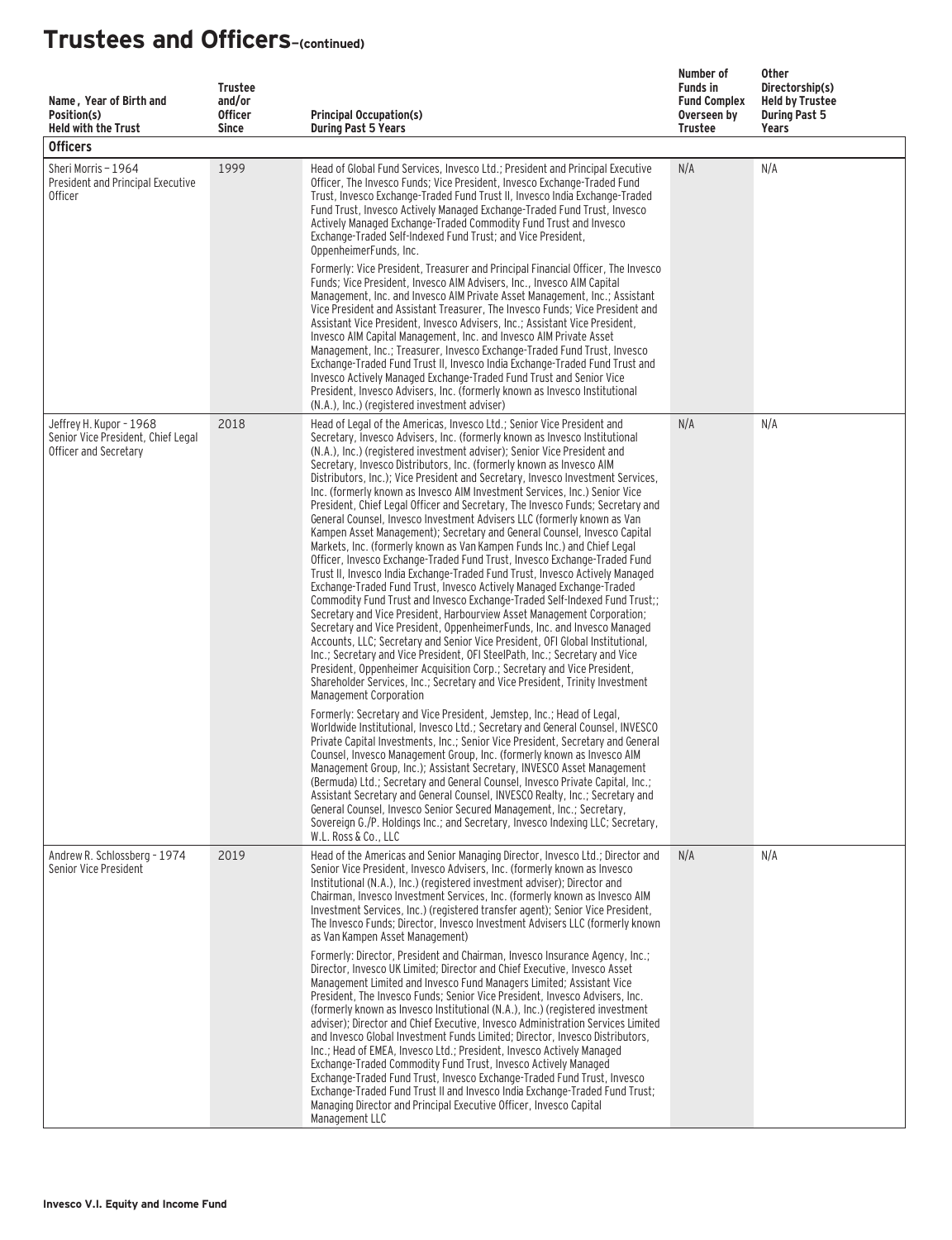| Name, Year of Birth and<br>Position(s)<br><b>Held with the Trust</b><br><b>Officers</b> | <b>Trustee</b><br>and/or<br><b>Officer</b><br><b>Since</b> | <b>Principal Occupation(s)</b><br><b>During Past 5 Years</b>                                                                                                                                                                                                                                                                                                                                                                                                                                                                                                                                                                                                                                                                                                                                                                                                                                                                                                                                                                                                                                                                                                                                                                                                                                                                                                                                                                                                                                                                                                                                                                 | Number of<br><b>Funds in</b><br><b>Fund Complex</b><br>Overseen by<br>Trustee | Other<br>Directorship(s)<br><b>Held by Trustee</b><br><b>During Past 5</b><br>Years |
|-----------------------------------------------------------------------------------------|------------------------------------------------------------|------------------------------------------------------------------------------------------------------------------------------------------------------------------------------------------------------------------------------------------------------------------------------------------------------------------------------------------------------------------------------------------------------------------------------------------------------------------------------------------------------------------------------------------------------------------------------------------------------------------------------------------------------------------------------------------------------------------------------------------------------------------------------------------------------------------------------------------------------------------------------------------------------------------------------------------------------------------------------------------------------------------------------------------------------------------------------------------------------------------------------------------------------------------------------------------------------------------------------------------------------------------------------------------------------------------------------------------------------------------------------------------------------------------------------------------------------------------------------------------------------------------------------------------------------------------------------------------------------------------------------|-------------------------------------------------------------------------------|-------------------------------------------------------------------------------------|
| Sheri Morris - 1964<br>President and Principal Executive<br><b>Officer</b>              | 1999                                                       | Head of Global Fund Services, Invesco Ltd.; President and Principal Executive<br>Officer, The Invesco Funds; Vice President, Invesco Exchange-Traded Fund<br>Trust, Invesco Exchange-Traded Fund Trust II, Invesco India Exchange-Traded<br>Fund Trust, Invesco Actively Managed Exchange-Traded Fund Trust, Invesco<br>Actively Managed Exchange-Traded Commodity Fund Trust and Invesco<br>Exchange-Traded Self-Indexed Fund Trust: and Vice President.<br>OppenheimerFunds, Inc.<br>Formerly: Vice President, Treasurer and Principal Financial Officer, The Invesco<br>Funds; Vice President, Invesco AIM Advisers, Inc., Invesco AIM Capital<br>Management, Inc. and Invesco AIM Private Asset Management, Inc.; Assistant<br>Vice President and Assistant Treasurer, The Invesco Funds; Vice President and<br>Assistant Vice President, Invesco Advisers, Inc.; Assistant Vice President,<br>Invesco AIM Capital Management, Inc. and Invesco AIM Private Asset<br>Management, Inc.; Treasurer, Invesco Exchange-Traded Fund Trust, Invesco<br>Exchange-Traded Fund Trust II, Invesco India Exchange-Traded Fund Trust and<br>Invesco Actively Managed Exchange-Traded Fund Trust and Senior Vice<br>President, Invesco Advisers, Inc. (formerly known as Invesco Institutional<br>(N.A.), Inc.) (registered investment adviser)                                                                                                                                                                                                                                                                                       | N/A                                                                           | N/A                                                                                 |
| Jeffrey H. Kupor - 1968<br>Senior Vice President, Chief Legal<br>Officer and Secretary  | 2018                                                       | Head of Legal of the Americas, Invesco Ltd.; Senior Vice President and<br>Secretary, Invesco Advisers, Inc. (formerly known as Invesco Institutional<br>(N.A.), Inc.) (registered investment adviser); Senior Vice President and<br>Secretary, Invesco Distributors, Inc. (formerly known as Invesco AIM<br>Distributors, Inc.); Vice President and Secretary, Invesco Investment Services,<br>Inc. (formerly known as Invesco AIM Investment Services, Inc.) Senior Vice<br>President, Chief Legal Officer and Secretary, The Invesco Funds; Secretary and<br>General Counsel, Invesco Investment Advisers LLC (formerly known as Van<br>Kampen Asset Management); Secretary and General Counsel, Invesco Capital<br>Markets, Inc. (formerly known as Van Kampen Funds Inc.) and Chief Legal<br>Officer, Invesco Exchange-Traded Fund Trust, Invesco Exchange-Traded Fund<br>Trust II, Invesco India Exchange-Traded Fund Trust, Invesco Actively Managed<br>Exchange-Traded Fund Trust, Invesco Actively Managed Exchange-Traded<br>Commodity Fund Trust and Invesco Exchange-Traded Self-Indexed Fund Trust;;<br>Secretary and Vice President, Harbourview Asset Management Corporation;<br>Secretary and Vice President, OppenheimerFunds, Inc. and Invesco Managed<br>Accounts, LLC; Secretary and Senior Vice President, OFI Global Institutional,<br>Inc.; Secretary and Vice President, OFI SteelPath, Inc.; Secretary and Vice<br>President, Oppenheimer Acquisition Corp.; Secretary and Vice President,<br>Shareholder Services, Inc.; Secretary and Vice President, Trinity Investment<br>Management Corporation | N/A                                                                           | N/A                                                                                 |
|                                                                                         |                                                            | Formerly: Secretary and Vice President, Jemstep, Inc.; Head of Legal,<br>Worldwide Institutional, Invesco Ltd.; Secretary and General Counsel, INVESCO<br>Private Capital Investments, Inc.; Senior Vice President, Secretary and General<br>Counsel, Invesco Management Group, Inc. (formerly known as Invesco AIM<br>Management Group, Inc.); Assistant Secretary, INVESCO Asset Management<br>(Bermuda) Ltd.; Secretary and General Counsel, Invesco Private Capital, Inc.;<br>Assistant Secretary and General Counsel, INVESCO Realty, Inc.; Secretary and<br>General Counsel, Invesco Senior Secured Management, Inc.; Secretary,<br>Sovereign G./P. Holdings Inc.; and Secretary, Invesco Indexing LLC; Secretary,<br>W.L. Ross & Co., LLC                                                                                                                                                                                                                                                                                                                                                                                                                                                                                                                                                                                                                                                                                                                                                                                                                                                                             |                                                                               |                                                                                     |
| Andrew R. Schlossberg - 1974<br>Senior Vice President                                   | 2019                                                       | Head of the Americas and Senior Managing Director, Invesco Ltd.; Director and<br>Senior Vice President, Invesco Advisers, Inc. (formerly known as Invesco<br>Institutional (N.A.), Inc.) (registered investment adviser); Director and<br>Chairman, Invesco Investment Services, Inc. (formerly known as Invesco AIM<br>Investment Services, Inc.) (registered transfer agent); Senior Vice President,<br>The Invesco Funds: Director, Invesco Investment Advisers LLC (formerly known<br>as Van Kampen Asset Management)<br>Formerly: Director, President and Chairman, Invesco Insurance Agency, Inc.:<br>Director, Invesco UK Limited; Director and Chief Executive, Invesco Asset<br>Management Limited and Invesco Fund Managers Limited; Assistant Vice<br>President, The Invesco Funds; Senior Vice President, Invesco Advisers, Inc.<br>(formerly known as Invesco Institutional (N.A.), Inc.) (registered investment<br>adviser); Director and Chief Executive, Invesco Administration Services Limited<br>and Invesco Global Investment Funds Limited; Director, Invesco Distributors,<br>Inc.; Head of EMEA, Invesco Ltd.; President, Invesco Actively Managed<br>Exchange-Traded Commodity Fund Trust, Invesco Actively Managed<br>Exchange-Traded Fund Trust, Invesco Exchange-Traded Fund Trust, Invesco<br>Exchange-Traded Fund Trust II and Invesco India Exchange-Traded Fund Trust;<br>Managing Director and Principal Executive Officer, Invesco Capital                                                                                                                                                  | N/A                                                                           | N/A                                                                                 |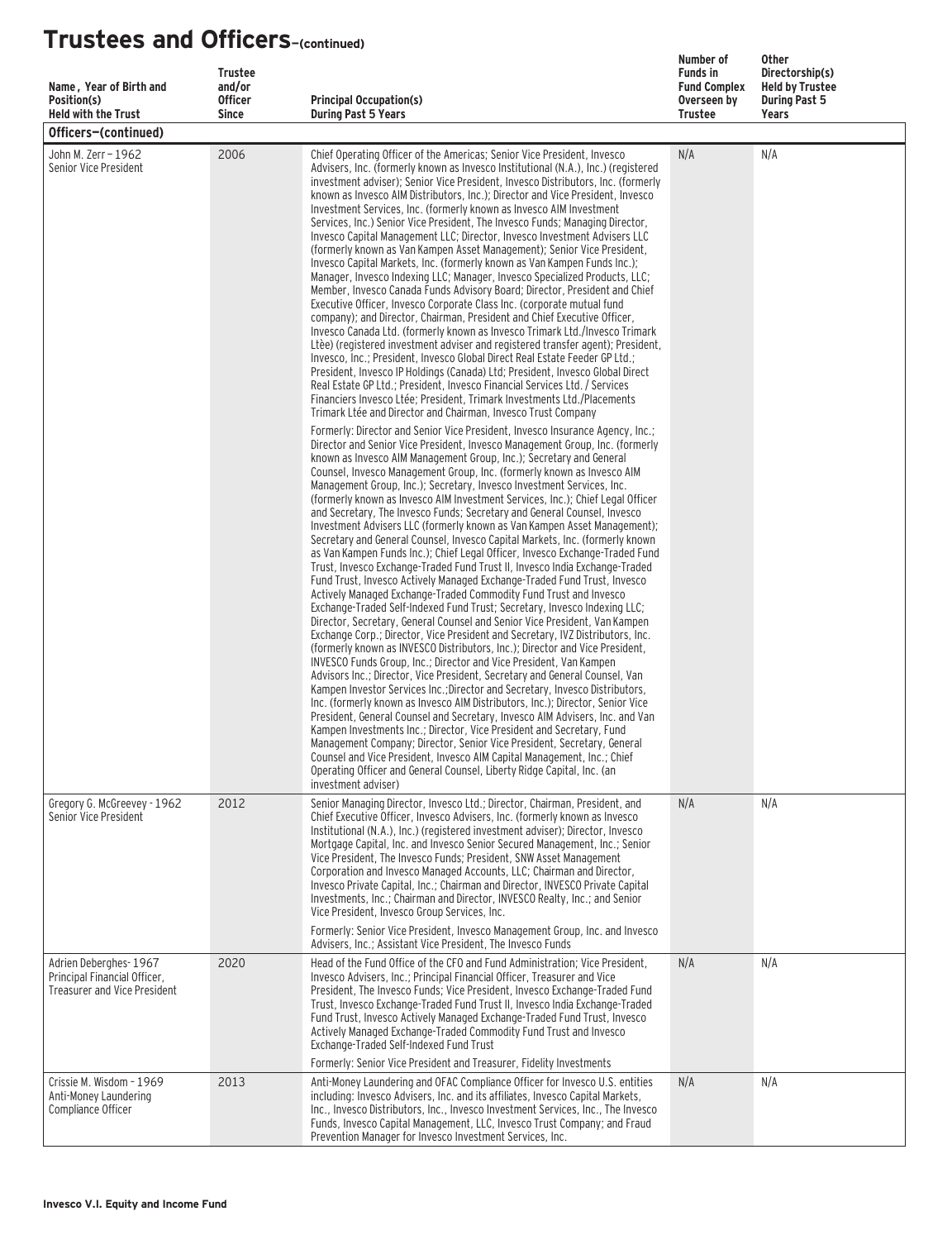| Name, Year of Birth and<br>Position(s)<br><b>Held with the Trust</b>                         | <b>Trustee</b><br>and/or<br><b>Officer</b><br><b>Since</b> | <b>Principal Occupation(s)</b><br><b>During Past 5 Years</b>                                                                                                                                                                                                                                                                                                                                                                                                                                                                                                                                                                                                                                                                                                                                                                                                                                                                                                                                                                                                                                                                                                                                                                                                                                                                                                                                                                                                                                                                                                                                                                                                                                                                                                                                                                                                                                                                                                                                                                                                                                          | Number of<br><b>Funds in</b><br><b>Fund Complex</b><br>Overseen by<br><b>Trustee</b> | <b>Other</b><br>Directorship(s)<br><b>Held by Trustee</b><br><b>During Past 5</b><br>Years |
|----------------------------------------------------------------------------------------------|------------------------------------------------------------|-------------------------------------------------------------------------------------------------------------------------------------------------------------------------------------------------------------------------------------------------------------------------------------------------------------------------------------------------------------------------------------------------------------------------------------------------------------------------------------------------------------------------------------------------------------------------------------------------------------------------------------------------------------------------------------------------------------------------------------------------------------------------------------------------------------------------------------------------------------------------------------------------------------------------------------------------------------------------------------------------------------------------------------------------------------------------------------------------------------------------------------------------------------------------------------------------------------------------------------------------------------------------------------------------------------------------------------------------------------------------------------------------------------------------------------------------------------------------------------------------------------------------------------------------------------------------------------------------------------------------------------------------------------------------------------------------------------------------------------------------------------------------------------------------------------------------------------------------------------------------------------------------------------------------------------------------------------------------------------------------------------------------------------------------------------------------------------------------------|--------------------------------------------------------------------------------------|--------------------------------------------------------------------------------------------|
| Officers-(continued)                                                                         |                                                            |                                                                                                                                                                                                                                                                                                                                                                                                                                                                                                                                                                                                                                                                                                                                                                                                                                                                                                                                                                                                                                                                                                                                                                                                                                                                                                                                                                                                                                                                                                                                                                                                                                                                                                                                                                                                                                                                                                                                                                                                                                                                                                       |                                                                                      |                                                                                            |
| John M. Zerr - 1962<br>Senior Vice President                                                 | 2006                                                       | Chief Operating Officer of the Americas; Senior Vice President, Invesco<br>Advisers, Inc. (formerly known as Invesco Institutional (N.A.), Inc.) (registered<br>investment adviser); Senior Vice President, Invesco Distributors, Inc. (formerly<br>known as Invesco AIM Distributors, Inc.); Director and Vice President, Invesco<br>Investment Services, Inc. (formerly known as Invesco AIM Investment<br>Services, Inc.) Senior Vice President, The Invesco Funds; Managing Director,<br>Invesco Capital Management LLC; Director, Invesco Investment Advisers LLC<br>(formerly known as Van Kampen Asset Management); Senior Vice President,<br>Invesco Capital Markets, Inc. (formerly known as Van Kampen Funds Inc.);<br>Manager, Invesco Indexing LLC; Manager, Invesco Specialized Products, LLC;<br>Member, Invesco Canada Funds Advisory Board; Director, President and Chief<br>Executive Officer, Invesco Corporate Class Inc. (corporate mutual fund<br>company); and Director, Chairman, President and Chief Executive Officer,<br>Invesco Canada Ltd. (formerly known as Invesco Trimark Ltd./Invesco Trimark<br>Ltèe) (registered investment adviser and registered transfer agent); President,<br>Invesco, Inc.; President, Invesco Global Direct Real Estate Feeder GP Ltd.;<br>President, Invesco IP Holdings (Canada) Ltd: President, Invesco Global Direct<br>Real Estate GP Ltd.; President, Invesco Financial Services Ltd. / Services<br>Financiers Invesco Ltée: President, Trimark Investments Ltd./Placements<br>Trimark Ltée and Director and Chairman, Invesco Trust Company                                                                                                                                                                                                                                                                                                                                                                                                                                                                                           | N/A                                                                                  | N/A                                                                                        |
|                                                                                              |                                                            | Formerly: Director and Senior Vice President, Invesco Insurance Agency, Inc.;<br>Director and Senior Vice President, Invesco Management Group, Inc. (formerly<br>known as Invesco AIM Management Group, Inc.); Secretary and General<br>Counsel, Invesco Management Group, Inc. (formerly known as Invesco AIM<br>Management Group, Inc.); Secretary, Invesco Investment Services, Inc.<br>(formerly known as Invesco AIM Investment Services, Inc.); Chief Legal Officer<br>and Secretary, The Invesco Funds; Secretary and General Counsel, Invesco<br>Investment Advisers LLC (formerly known as Van Kampen Asset Management);<br>Secretary and General Counsel, Invesco Capital Markets, Inc. (formerly known<br>as Van Kampen Funds Inc.); Chief Legal Officer, Invesco Exchange-Traded Fund<br>Trust, Invesco Exchange-Traded Fund Trust II, Invesco India Exchange-Traded<br>Fund Trust, Invesco Actively Managed Exchange-Traded Fund Trust, Invesco<br>Actively Managed Exchange-Traded Commodity Fund Trust and Invesco<br>Exchange-Traded Self-Indexed Fund Trust; Secretary, Invesco Indexing LLC;<br>Director, Secretary, General Counsel and Senior Vice President, Van Kampen<br>Exchange Corp.; Director, Vice President and Secretary, IVZ Distributors, Inc.<br>(formerly known as INVESCO Distributors, Inc.); Director and Vice President,<br>INVESCO Funds Group, Inc.; Director and Vice President, Van Kampen<br>Advisors Inc.; Director, Vice President, Secretary and General Counsel, Van<br>Kampen Investor Services Inc.: Director and Secretary, Invesco Distributors.<br>Inc. (formerly known as Invesco AIM Distributors, Inc.); Director, Senior Vice<br>President, General Counsel and Secretary, Invesco AIM Advisers, Inc. and Van<br>Kampen Investments Inc.; Director, Vice President and Secretary, Fund<br>Management Company; Director, Senior Vice President, Secretary, General<br>Counsel and Vice President, Invesco AIM Capital Management, Inc.; Chief<br>Operating Officer and General Counsel, Liberty Ridge Capital, Inc. (an<br>investment adviser) |                                                                                      |                                                                                            |
| Gregory G. McGreevey - 1962<br>Senior Vice President                                         | 2012                                                       | Senior Managing Director, Invesco Ltd.; Director, Chairman, President, and<br>Chief Executive Officer, Invesco Advisers, Inc. (formerly known as Invesco<br>Institutional (N.A.), Inc.) (registered investment adviser); Director, Invesco<br>Mortgage Capital, Inc. and Invesco Senior Secured Management, Inc.; Senior<br>Vice President, The Invesco Funds; President, SNW Asset Management<br>Corporation and Invesco Managed Accounts, LLC; Chairman and Director,<br>Invesco Private Capital, Inc.; Chairman and Director, INVESCO Private Capital<br>Investments, Inc.; Chairman and Director, INVESCO Realty, Inc.; and Senior<br>Vice President, Invesco Group Services, Inc.<br>Formerly: Senior Vice President, Invesco Management Group, Inc. and Invesco                                                                                                                                                                                                                                                                                                                                                                                                                                                                                                                                                                                                                                                                                                                                                                                                                                                                                                                                                                                                                                                                                                                                                                                                                                                                                                                                 | N/A                                                                                  | N/A                                                                                        |
| Adrien Deberghes-1967<br>Principal Financial Officer,<br><b>Treasurer and Vice President</b> | 2020                                                       | Advisers, Inc.; Assistant Vice President, The Invesco Funds<br>Head of the Fund Office of the CFO and Fund Administration; Vice President,<br>Invesco Advisers, Inc.; Principal Financial Officer, Treasurer and Vice<br>President, The Invesco Funds; Vice President, Invesco Exchange-Traded Fund<br>Trust, Invesco Exchange-Traded Fund Trust II, Invesco India Exchange-Traded<br>Fund Trust, Invesco Actively Managed Exchange-Traded Fund Trust, Invesco<br>Actively Managed Exchange-Traded Commodity Fund Trust and Invesco<br>Exchange-Traded Self-Indexed Fund Trust<br>Formerly: Senior Vice President and Treasurer, Fidelity Investments                                                                                                                                                                                                                                                                                                                                                                                                                                                                                                                                                                                                                                                                                                                                                                                                                                                                                                                                                                                                                                                                                                                                                                                                                                                                                                                                                                                                                                                 | N/A                                                                                  | N/A                                                                                        |
| Crissie M. Wisdom - 1969<br>Anti-Money Laundering<br>Compliance Officer                      | 2013                                                       | Anti-Money Laundering and OFAC Compliance Officer for Invesco U.S. entities<br>including: Invesco Advisers, Inc. and its affiliates, Invesco Capital Markets,<br>Inc., Invesco Distributors, Inc., Invesco Investment Services, Inc., The Invesco<br>Funds, Invesco Capital Management, LLC, Invesco Trust Company; and Fraud<br>Prevention Manager for Invesco Investment Services, Inc.                                                                                                                                                                                                                                                                                                                                                                                                                                                                                                                                                                                                                                                                                                                                                                                                                                                                                                                                                                                                                                                                                                                                                                                                                                                                                                                                                                                                                                                                                                                                                                                                                                                                                                             | N/A                                                                                  | N/A                                                                                        |